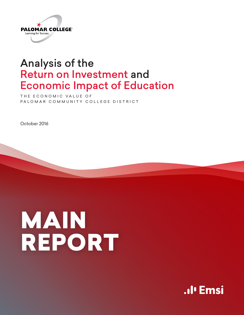

# Analysis of the Return on Investment and Economic Impact of Education

THE ECONOMIC VALUE OF PALOMAR COMMUNITY COLLEGE DISTRICT

October 2016

# MAIN REPORT

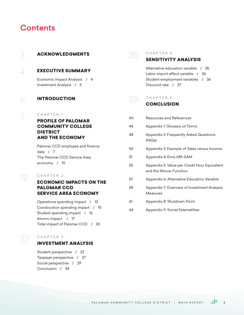# **Contents**

# 3 ACKNOWLEDGMENTS  $\perp$  EXECUTIVE SUMMARY Economic Impact Analysis / 4 Investment Analysis / 5  $\land$  INTRODUCTION C H A P T E R 1: PROFILE OF PALOMAR

# COMMUNITY COLLEGE DISTRICT AND THE ECONOMY

Palomar CCD employee and finance data / 7 The Palomar CCD Service Area economy / 10

# $\gamma$  CHAPTER 2:

# ECONOMIC IMPACTS ON THE PALOMAR CCD SERVICE AREA ECONOMY

Operations spending impact / 13 Construction spending impact / 15 Student spending impact / 16 Alumni impact / 17 Total impact of Palomar CCD / 20

# $(2)$  CHAPTER 3:

# INVESTMENT ANALYSIS

Student perspective / 22 Taxpayer perspective / 27 Social perspective / 29 Conclusion / 34

# $35$  CHAPTER 4:

# SENSITIVITY ANALYSIS

Alternative education variable / 35 Labor import effect variable / 36 Student employment variables / 36 Discount rate / 37

# $39$  CHAPTER 5: **CONCLUSION**

| 40 | Resources and References                                                |
|----|-------------------------------------------------------------------------|
| 46 | Appendix 1: Glossary of Terms                                           |
| 48 | Appendix 2: Frequently Asked Questions<br>(FAQs)                        |
| 50 | Appendix 3: Example of Sales versus Income                              |
| 51 | Appendix 4: Emsi MR-SAM                                                 |
| 55 | Appendix 5: Value per Credit Hour Equivalent<br>and the Mincer Function |
| 57 | Appendix 6: Alternative Education Variable                              |
| 58 | Appendix 7: Overview of Investment Analysis<br>Measures                 |
| 61 | Appendix 8: Shutdown Point                                              |
| 64 | Appendix 9: Social Externalities                                        |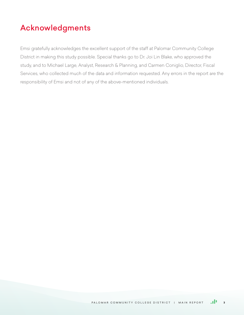# Acknowledgments

Emsi gratefully acknowledges the excellent support of the staff at Palomar Community College District in making this study possible. Special thanks go to Dr. Joi Lin Blake, who approved the study, and to Michael Large, Analyst, Research & Planning, and Carmen Coniglio, Director, Fiscal Services, who collected much of the data and information requested. Any errors in the report are the responsibility of Emsi and not of any of the above-mentioned individuals.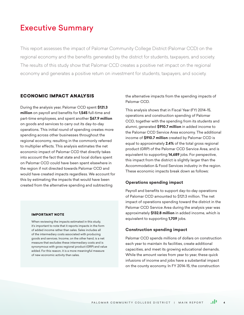# Executive Summary

This report assesses the impact of Palomar Community College District (Palomar CCD) on the regional economy and the benefits generated by the district for students, taxpayers, and society. The results of this study show that Palomar CCD creates a positive net impact on the regional economy and generates a positive return on investment for students, taxpayers, and society.

# ECONOMIC IMPACT ANALYSIS

During the analysis year, Palomar CCD spent **\$121.3 million** on payroll and benefits for **1,545** full-time and part-time employees, and spent another **\$67.9 million**  on goods and services to carry out its day-to-day operations. This initial round of spending creates more spending across other businesses throughout the regional economy, resulting in the commonly referred to multiplier effects. This analysis estimates the net economic impact of Palomar CCD that directly takes into account the fact that state and local dollars spent on Palomar CCD could have been spent elsewhere in the region if not directed towards Palomar CCD and would have created impacts regardless. We account for this by estimating the impacts that would have been created from the alternative spending and subtracting

#### IMPORTANT NOTE

When reviewing the impacts estimated in this study, it's important to note that it reports impacts in the form of added income rather than sales. Sales includes all of the intermediary costs associated with producing goods and services. Income, on the other hand, is a net measure that excludes these intermediary costs and is synonymous with gross regional product (GRP) and value added. For this reason, it is a more meaningful measure of new economic activity than sales.

the alternative impacts from the spending impacts of Palomar CCD.

This analysis shows that in Fiscal Year (FY) 2014-15, operations and construction spending of Palomar CCD, together with the spending from its students and alumni, generated **\$910.7 million** in added income to the Palomar CCD Service Area economy. The additional income of **\$910.7 million** created by Palomar CCD is equal to approximately **2.4%** of the total gross regional product (GRP) of the Palomar CCD Service Area, and is equivalent to supporting **14,689** jobs. For perspective, this impact from the district is slightly larger than the Accommodation & Food Services industry in the region. These economic impacts break down as follows:

#### **Operations spending impact**

Payroll and benefits to support day-to-day operations of Palomar CCD amounted to \$121.3 million. The net impact of operations spending toward the district in the Palomar CCD Service Area during the analysis year was approximately **\$132.8 million** in added income, which is equivalent to supporting **1,709** jobs.

#### **Construction spending impact**

Palomar CCD spends millions of dollars on construction each year to maintain its facilities, create additional capacities, and meet its growing educational demands. While the amount varies from year to year, these quick infusions of income and jobs have a substantial impact on the county economy. In FY 2014-15, the construction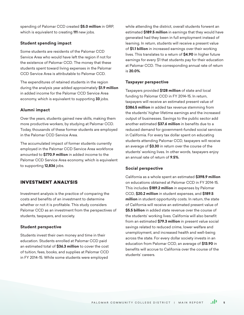spending of Palomar CCD created **\$5.0 million** in GRP, which is equivalent to creating **111** new jobs.

## **Student spending impact**

Some students are residents of the Palomar CCD Service Area who would have left the region if not for the existence of Palomar CCD. The money that these students spent toward living expenses in the Palomar CCD Service Area is attributable to Palomar CCD.

The expenditures of retained students in the region during the analysis year added approximately **\$1.9 million**  in added income for the Palomar CCD Service Area economy, which is equivalent to supporting **33** jobs.

#### **Alumni impact**

Over the years, students gained new skills, making them more productive workers, by studying at Palomar CCD. Today, thousands of these former students are employed in the Palomar CCD Service Area.

The accumulated impact of former students currently employed in the Palomar CCD Service Area workforce amounted to **\$770.9 million** in added income to the Palomar CCD Service Area economy, which is equivalent to supporting **12,836** jobs.

# INVESTMENT ANALYSIS

Investment analysis is the practice of comparing the costs and benefits of an investment to determine whether or not it is profitable. This study considers Palomar CCD as an investment from the perspectives of students, taxpayers, and society.

#### **Student perspective**

Students invest their own money and time in their education. Students enrolled at Palomar CCD paid an estimated total of **\$36.3 million** to cover the cost of tuition, fees, books, and supplies at Palomar CCD in FY 2014-15. While some students were employed

while attending the district, overall students forwent an estimated **\$189.5 million** in earnings that they would have generated had they been in full employment instead of learning. In return, students will receive a present value of **\$1.1 billion** in increased earnings over their working lives. This translates to a return of **\$4.90** in higher future earnings for every \$1 that students pay for their education at Palomar CCD. The corresponding annual rate of return is **20.0%**.

#### **Taxpayer perspective**

Taxpayers provided **\$128 million** of state and local funding to Palomar CCD in FY 2014-15. In return, taxpayers will receive an estimated present value of **\$386.5 million** in added tax revenue stemming from the students' higher lifetime earnings and the increased output of businesses. Savings to the public sector add another estimated **\$37.6 million** in benefits due to a reduced demand for government-funded social services in California. For every tax dollar spent on educating students attending Palomar CCD, taxpayers will receive an average of **\$3.30** in return over the course of the students' working lives. In other words, taxpayers enjoy an annual rate of return of **9.5%**.

## **Social perspective**

California as a whole spent an estimated **\$398.9 million**  on educations obtained at Palomar CCD in FY 2014-15. This includes **\$189.2 million** in expenses by Palomar CCD, **\$20.2 million** in student expenses, and **\$189.5 million** in student opportunity costs. In return, the state of California will receive an estimated present value of **\$5.5 billion** in added state revenue over the course of the students' working lives. California will also benefit from an estimated **\$79.3 million** in present value social savings related to reduced crime, lower welfare and unemployment, and increased health and well-being across the state. For every dollar society invests in an education from Palomar CCD, an average of **\$13.90** in benefits will accrue to California over the course of the students' careers.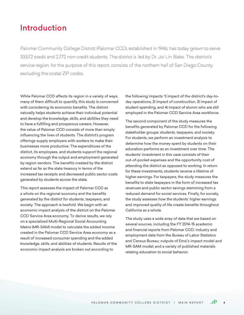# Introduction

Palomar Community College District (Palomar CCD), established in 1946, has today grown to serve 33,572 credit and 2,772 non-credit students. The district is led by Dr. Joi Lin Blake. The district's service region, for the purpose of this report, consists of the northern half of San Diego County, excluding the costal ZIP codes.

While Palomar CCD affects its region in a variety of ways, many of them difficult to quantify, this study is concerned with considering its economic benefits. The district naturally helps students achieve their individual potential and develop the knowledge, skills, and abilities they need to have a fulfilling and prosperous careers. However, the value of Palomar CCD consists of more than simply influencing the lives of students. The district's program offerings supply employers with workers to make their businesses more productive. The expenditures of the district, its employees, and students support the regional economy through the output and employment generated by region vendors. The benefits created by the district extend as far as the state treasury in terms of the increased tax receipts and decreased public sector costs generated by students across the state.

This report assesses the impact of Palomar CCD as a whole on the regional economy and the benefits generated by the district for students, taxpayers, and society. The approach is twofold. We begin with an economic impact analysis of the district on the Palomar CCD Service Area economy. To derive results, we rely on a specialized Multi-Regional Social Accounting Matrix (MR-SAM) model to calculate the added income created in the Palomar CCD Service Area economy as a result of increased consumer spending and the added knowledge, skills, and abilities of students. Results of the economic impact analysis are broken out according to

the following impacts: 1) impact of the district's day-today operations, 2) impact of construction, 3) impact of student spending, and 4) impact of alumni who are still employed in the Palomar CCD Service Area workforce.

The second component of the study measures the benefits generated by Palomar CCD for the following stakeholder groups: students, taxpayers, and society. For students, we perform an investment analysis to determine how the money spent by students on their education performs as an investment over time. The students' investment in this case consists of their out-of-pocket expenses and the opportunity cost of attending the district as opposed to working. In return for these investments, students receive a lifetime of higher earnings. For taxpayers, the study measures the benefits to state taxpayers in the form of increased tax revenues and public sector savings stemming from a reduced demand for social services. Finally, for society, the study assesses how the students' higher earnings and improved quality of life create benefits throughout California as a whole.

The study uses a wide array of data that are based on several sources, including the FY 2014-15 academic and financial reports from Palomar CCD; industry and employment data from the Bureau of Labor Statistics and Census Bureau; outputs of Emsi's impact model and MR-SAM model; and a variety of published materials relating education to social behavior.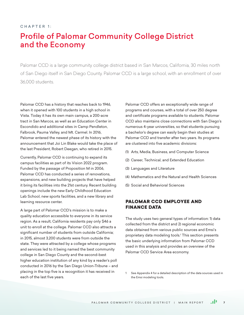## $CHAPTER 1<sup>+</sup>$

# Profile of Palomar Community College District and the Economy

Palomar CCD is a large community college district based in San Marcos, California, 30 miles north of San Diego itself in San Diego County. Palomar CCD is a large school, with an enrollment of over 36,000 students.

Palomar CCD has a history that reaches back to 1946, when it opened with 100 students in a high school in Vista. Today it has its own main campus, a 200-acre tract in San Marcos, as well as an Education Center in Escondido and additional sites in Camp Pendleton, Falbrook, Pauma Valley, and Mt. Carmel. In 2016, Palomar entered the newest phase of its history with the announcement that Joi Lin Blake would take the place of the last President, Robert Deegan, who retired in 2015.

Currently, Palomar CCD is continuing to expand its campus facilities as part of its Vision 2022 program. Funded by the passage of Proposition M in 2006, Palomar CCD has conducted a series of renovations, expansions, and new building projects that have helped it bring its facilities into the 21st century. Recent building openings include the new Early Childhood Education Lab School, new sports facilities, and a new library and learning resource center.

A large part of Palomar CCD's mission is to make a quality education accessible to everyone in its service region. As a result, California residents pay only \$46 a unit to enroll at the college. Palomar CCD also attracts a significant number of students from outside California; in 2015, almost 3,200 students were from outside the state. They were attracted by a college whose programs and services led to it being named the best community college in San Diego County and the second-best higher education institution of any kind by a reader's poll conducted in 2016 by the San Diego Union-Tribune – and placing in the top five is a recognition it has received in each of the last five years.

Palomar CCD offers an exceptionally wide range of programs and courses, with a total of over 250 degree and certificate programs available to students. Palomar CCD also maintains close connections with San Diego's numerous 4-year universities, so that students pursuing a bachelor's degree can easily begin their studies at Palomar CCD and transfer after two years. Its programs are clustered into five academic divisions:

- (1) Arts, Media, Business, and Computer Science
- (2) Career, Technical, and Extended Education
- (3) Languages and Literature
- (4) Mathematics and the Natural and Health Sciences
- (5) Social and Behavioral Sciences

# PALOMAR CCD EMPLOYEE AND FINANCE DATA

The study uses two general types of information: 1) data collected from the district and 2) regional economic data obtained from various public sources and Emsi's proprietary data modeling tools.1 This section presents the basic underlying information from Palomar CCD used in this analysis and provides an overview of the Palomar CCD Service Area economy.

See Appendix 4 for a detailed description of the data sources used in the Emsi modeling tools.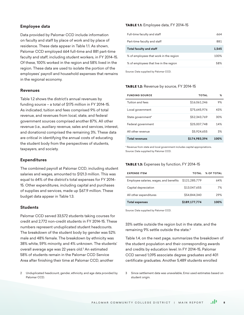## **Employee data**

Data provided by Palomar CCD include information on faculty and staff by place of work and by place of residence. These data appear in Table 1.1. As shown, Palomar CCD employed 664 full-time and 881 part-time faculty and staff, including student workers, in FY 2014-15. Of these, 100% worked in the region and 58% lived in the region. These data are used to isolate the portion of the employees' payroll and household expenses that remains in the regional economy.

#### **Revenues**

Table 1.2 shows the district's annual revenues by funding source – a total of \$175 million in FY 2014-15. As indicated, tuition and fees comprised 9% of total revenue, and revenues from local, state, and federal government sources comprised another 87%. All other revenue (i.e., auxiliary revenue, sales and services, interest, and donations) comprised the remaining 3%. These data are critical in identifying the annual costs of educating the student body from the perspectives of students, taxpayers, and society.

#### **Expenditures**

The combined payroll at Palomar CCD, including student salaries and wages, amounted to \$121.3 million. This was equal to 64% of the district's total expenses for FY 2014- 15. Other expenditures, including capital and purchases of supplies and services, made up \$67.9 million. These budget data appear in Table 1.3.

#### **Students**

Palomar CCD served 33,572 students taking courses for credit and 2,772 non-credit students in FY 2014-15. These numbers represent unduplicated student headcounts. The breakdown of the student body by gender was 52% male and 48% female. The breakdown by ethnicity was 38% white, 59% minority, and 4% unknown. The students' overall average age was 22 years old.<sup>2</sup> An estimated 58% of students remain in the Palomar CCD Service Area after finishing their time at Palomar CCD, another

2 Unduplicated headcount, gender, ethnicity, and age data provided by Palomar CCD.

#### TABLE 1.1: Employee data, FY 2014-15

| Full-time faculty and staff            | 664   |
|----------------------------------------|-------|
| Part-time faculty and staff            | 881   |
| <b>Total faculty and staff</b>         | 1.545 |
| % of employees that work in the region | 100%  |
| % of employees that live in the region | 58%   |
|                                        |       |

Source: Data supplied by Palomar CCD.

#### TABLE 1.2: Revenue by source, FY 2014-15

| <b>FUNDING SOURCE</b> | TOTAL         | ℅    |
|-----------------------|---------------|------|
| Tuition and fees      | \$16,061,246  | 9%   |
| Local government      | \$75,645,976  | 43%  |
| State government*     | \$52,343,769  | 30%  |
| Federal government    | \$25,007,748  | 14%  |
| All other revenue     | \$5,924,655   | 3%   |
| <b>Total revenues</b> | \$174.983.394 | 100% |

\* Revenue from state and local government includes capital appropriations. Source: Data supplied by Palomar CCD.

#### TABLE 1.3: Expenses by function, FY 2014-15

| <b>EXPENSE ITEM</b>                    | TOTAL         | <b>% OF TOTAL</b> |
|----------------------------------------|---------------|-------------------|
| Employee salaries, wages, and benefits | \$121,285,779 | 64%               |
| Capital depreciation                   | \$13,047,655  | 7%                |
| All other expenditures                 | \$54,844,340  | 29%               |
| <b>Total expenses</b>                  | \$189,177,774 | 100%              |

Source: Data supplied by Palomar CCD.

33% settle outside the region but in the state, and the remaining 9% settle outside the state.3

Table 1.4, on the next page, summarizes the breakdown of the student population and their corresponding awards and credits by education level. In FY 2014-15, Palomar CCD served 1,095 associate degree graduates and 401 certificate graduates. Another 5,489 students enrolled

3 Since settlement data was unavailable, Emsi used estimates based on student origin.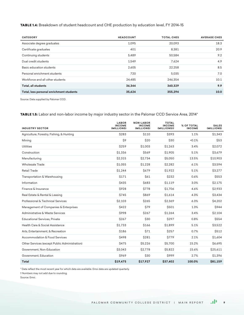TABLE 1.4: Breakdown of student headcount and CHE production by education level, FY 2014-15

| <b>CATEGORY</b>                          | <b>HEADCOUNT</b> | <b>TOTAL CHES</b> | <b>AVERAGE CHES</b> |
|------------------------------------------|------------------|-------------------|---------------------|
| Associate degree graduates               | 1,095            | 20.093            | 18.3                |
| Certificate graduates                    | 401              | 8,381             | 20.9                |
| Continuing students                      | 5,489            | 50,584            | 9.2                 |
| Dual credit students                     | 1,549            | 7.624             | 4.9                 |
| Basic education students                 | 2,605            | 22,258            | 8.5                 |
| Personal enrichment students             | 720              | 5,035             | 7.0                 |
| Workforce and all other students         | 24.485           | 246.354           | 10.1                |
| Total, all students                      | 36,344           | 360,329           | 9.9                 |
| Total, less personal enrichment students | 35.624           | 355,294           | 10.0                |

Source: Data supplied by Palomar CCD.

TABLE 1.5: Labor and non-labor income by major industry sector in the Palomar CCD Service Area, 2014\*

| <b>INDUSTRY SECTOR</b>                        | <b>LABOR</b><br><b>INCOME</b><br>(MILLIONS) | <b>NON-LABOR</b><br><b>INCOME</b><br>(MILLIONS) | <b>TOTAL</b><br><b>INCOME</b><br>(MILLIONS)+ | % OF TOTAL<br><b>INCOME</b> | <b>SALES</b><br>(MILLIONS) |
|-----------------------------------------------|---------------------------------------------|-------------------------------------------------|----------------------------------------------|-----------------------------|----------------------------|
| Agriculture, Forestry, Fishing, & Hunting     | \$283                                       | \$110                                           | <b>\$393</b>                                 | 1.1%                        | \$1,343                    |
| Mining                                        | <b>S9</b>                                   | \$20                                            | \$30                                         | < 0.1%                      | <b>\$53</b>                |
| <b>Utilities</b>                              | \$259                                       | \$1,003                                         | \$1,263                                      | 3.4%                        | \$2,072                    |
| Construction                                  | \$1,336                                     | \$569                                           | \$1,905                                      | 5.1%                        | \$3,679                    |
| Manufacturing                                 | \$2,315                                     | \$2,734                                         | \$5,050                                      | 13.5%                       | \$10,903                   |
| <b>Wholesale Trade</b>                        | \$1,055                                     | \$1,228                                         | \$2,282                                      | 6.1%                        | \$3,594                    |
| <b>Retail Trade</b>                           | \$1,244                                     | <b>\$679</b>                                    | \$1,922                                      | 5.1%                        | \$3,277                    |
| Transportation & Warehousing                  | \$171                                       | \$61                                            | \$232                                        | 0.6%                        | \$553                      |
| Information                                   | \$435                                       | <b>\$683</b>                                    | \$1,119                                      | 3.0%                        | \$2,175                    |
| Finance & Insurance                           | <b>\$928</b>                                | <b>\$778</b>                                    | \$1,706                                      | 4.6%                        | \$2,933                    |
| Real Estate & Rental & Leasing                | \$745                                       | \$869                                           | \$1,614                                      | 4.3%                        | \$3,434                    |
| Professional & Technical Services             | \$2,103                                     | \$265                                           | \$2,369                                      | 6.3%                        | \$4,202                    |
| Management of Companies & Enterprises         | <b>\$422</b>                                | <b>\$79</b>                                     | \$501                                        | 1.3%                        | <b>\$944</b>               |
| Administrative & Waste Services               | \$998                                       | <b>\$267</b>                                    | \$1,264                                      | 3.4%                        | \$2,104                    |
| <b>Educational Services, Private</b>          | \$267                                       | \$30                                            | \$297                                        | 0.8%                        | \$554                      |
| Health Care & Social Assistance               | \$1.733                                     | \$166                                           | \$1.899                                      | 5.1%                        | \$3,522                    |
| Arts, Entertainment, & Recreation             | \$186                                       | \$71                                            | \$257                                        | 0.7%                        | \$512                      |
| Accommodation & Food Services                 | <b>\$498</b>                                | \$281                                           | \$779                                        | 2.1%                        | \$1,604                    |
| Other Services (except Public Administration) | \$475                                       | \$5,226                                         | \$5,700                                      | 15.2%                       | \$6,695                    |
| Government, Non-Education                     | \$3,043                                     | \$2,778                                         | \$5,822                                      | 15.6%                       | \$25,611                   |
| Government, Education                         | \$969                                       | \$30                                            | \$999                                        | 2.7%                        | \$1,396                    |
| Total                                         | \$19,475                                    | \$17,927                                        | \$37,402                                     | 100.0%                      | \$81,159                   |

\* Data reflect the most recent year for which data are available. Emsi data are updated quarterly.

† Numbers may not add due to rounding.

Source: Emsi.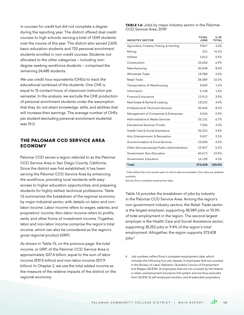in courses for credit but did not complete a degree during the reporting year. The district offered dual credit courses to high schools, serving a total of 1,549 students over the course of the year. The district also served 2,605 basic education students and 720 personal enrichment students enrolled in non-credit courses. Students not allocated to the other categories – including nondegree-seeking workforce students – comprised the remaining 24,485 students.

We use credit hour equivalents (CHEs) to track the educational workload of the students. One CHE is equal to 15 contact hours of classroom instruction per semester. In the analysis, we exclude the CHE production of personal enrichment students under the assumption that they do not attain knowledge, skills, and abilities that will increase their earnings. The average number of CHEs per student (excluding personal enrichment students) was 10.0.

# THE PALOMAR CCD SERVICE AREA ECONOMY

Palomar CCD serves a region referred to as the Palomar CCD Service Area in San Diego County, California. Since the district was first established, it has been serving the Palomar CCD Service Area by enhancing the workforce, providing local residents with easy access to higher education opportunities, and preparing students for highly-skilled, technical professions. Table 1.5 summarizes the breakdown of the regional economy by major industrial sector, with details on labor and nonlabor income. Labor income refers to wages, salaries, and proprietors' income. Non-labor income refers to profits, rents, and other forms of investment income. Together, labor and non-labor income comprise the region's total income, which can also be considered as the region's gross regional product (GRP).

As shown in Table 1.5, on the previous page, the total income, or GRP, of the Palomar CCD Service Area is approximately \$37.4 billion, equal to the sum of labor income (\$19.5 billion) and non-labor income (\$17.9 billion). In Chapter 2, we use the total added income as the measure of the relative impacts of the district on the regional economy.

TABLE 1.6: Jobs by major industry sector in the Palomar CCD Service Area, 2014\*

| <b>INDUSTRY SECTOR</b>                        | <b>TOTAL</b><br><b>JOBS</b> | % OF<br>TOTAL |
|-----------------------------------------------|-----------------------------|---------------|
| Agriculture, Forestry, Fishing, & Hunting     | 9,867                       | 2.6%          |
| Mining                                        | 221                         | < 0.1%        |
| Utilities                                     | 1,812                       | 0.5%          |
| Construction                                  | 25,650                      | 6.9%          |
| Manufacturing                                 | 30,048                      | 8.0%          |
| Wholesale Trade                               | 15,988                      | 4.3%          |
| Retail Trade                                  | 38,389                      | 10.3%         |
| Transportation & Warehousing                  | 4,509                       | 1.2%          |
| Information                                   | 5,138                       | 1.4%          |
| Finance & Insurance                           | 12.912                      | 3.5%          |
| Real Estate & Rental & Leasing                | 18,322                      | 4.9%          |
| Professional & Technical Services             | 30,444                      | 8.2%          |
| Management of Companies & Enterprises         | 3,334                       | 0.9%          |
| Administrative & Waste Services               | 25,131                      | 6.7%          |
| <b>Educational Services, Private</b>          | 7,356                       | 2.0%          |
| Health Care & Social Assistance               | 35,252                      | 9.4%          |
| Arts, Entertainment, & Recreation             | 9,427                       | 2.5%          |
| <b>Accommodation &amp; Food Services</b>      | 23.450                      | 6.3%          |
| Other Services (except Public Administration) | 19,307                      | 5.2%          |
| Government, Non-Education                     | 40,672                      | 10.9%         |
| Government, Education                         | 16,198                      | 4.3%          |
| Total                                         | 373.428                     | 100.0%        |

\* Data reflect the most recent year for which data are available. Emsi data are updated quarterly.

Source: Emsi complete employment data.

Table 1.6 provides the breakdown of jobs by industry in the Palomar CCD Service Area. Among the region's non-government industry sectors, the Retail Trade sector is the largest employer, supporting 38,389 jobs or 10.3% of total employment in the region. The second largest employer is the Health Care and Social Assistance sector, supporting 35,252 jobs or 9.4% of the region's total employment. Altogether, the region supports 373,428 jobs.4

4 Job numbers reflect Emsi's complete employment data, which includes the following four job classes: 1) employees that are counted in the Bureau of Labor Statistics' Quarterly Census of Employment and Wages (QCEW), 2) employees that are not covered by the federal or state unemployment insurance (UI) system and are thus excluded from QCEW, 3) self-employed workers, and 4) extended proprietors.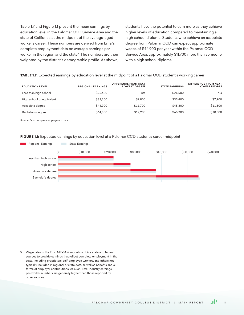Table 1.7 and Figure 1.1 present the mean earnings by education level in the Palomar CCD Service Area and the state of California at the midpoint of the average-aged worker's career. These numbers are derived from Emsi's complete employment data on average earnings per worker in the region and the state.5 The numbers are then weighted by the district's demographic profile. As shown, students have the potential to earn more as they achieve higher levels of education compared to maintaining a high school diploma. Students who achieve an associate degree from Palomar CCD can expect approximate wages of \$44,900 per year within the Palomar CCD Service Area, approximately \$11,700 more than someone with a high school diploma.

#### TABLE 1.7: Expected earnings by education level at the midpoint of a Palomar CCD student's working career

| <b>EDUCATION LEVEL</b>    | <b>REGIONAL EARNINGS</b> | <b>DIFFERENCE FROM NEXT</b><br><b>LOWEST DEGREE</b> | <b>STATE EARNINGS</b> | <b>DIFFERENCE FROM NEXT</b><br><b>LOWEST DEGREE</b> |
|---------------------------|--------------------------|-----------------------------------------------------|-----------------------|-----------------------------------------------------|
| Less than high school     | \$25,400                 | n/a                                                 | \$25,500              | n/a                                                 |
| High school or equivalent | \$33,200                 | \$7,800                                             | \$33,400              | \$7.900                                             |
| Associate degree          | \$44,900                 | \$11,700                                            | <b>\$45,200</b>       | \$11,800                                            |
| Bachelor's degree         | <b>\$64,800</b>          | \$19,900                                            | <b>S65.200</b>        | \$20,000                                            |

Source: Emsi complete employment data.

#### FIGURE 1.1: Expected earnings by education level at a Palomar CCD student's career midpoint



5 Wage rates in the Emsi MR-SAM model combine state and federal sources to provide earnings that reflect complete employment in the state, including proprietors, self-employed workers, and others not typically included in regional or state data, as well as benefits and all forms of employer contributions. As such, Emsi industry earningsper-worker numbers are generally higher than those reported by other sources.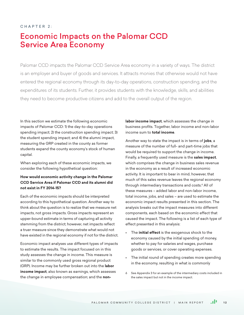## $CHAPTER 2<sup>T</sup>$

# Economic Impacts on the Palomar CCD Service Area Economy

Palomar CCD impacts the Palomar CCD Service Area economy in a variety of ways. The district is an employer and buyer of goods and services. It attracts monies that otherwise would not have entered the regional economy through its day-to-day operations, construction spending, and the expenditures of its students. Further, it provides students with the knowledge, skills, and abilities they need to become productive citizens and add to the overall output of the region.

In this section we estimate the following economic impacts of Palomar CCD: 1) the day-to-day operations spending impact; 2) the construction spending impact; 3) the student spending impact; and 4) the alumni impact, measuring the GRP created in the county as former students expand the county economy's stock of human capital.

When exploring each of these economic impacts, we consider the following hypothetical question:

# **How would economic activity change in the Palomar CCD Service Area if Palomar CCD and its alumni did not exist in FY 2014-15?**

Each of the economic impacts should be interpreted according to this hypothetical question. Another way to think about the question is to realize that we measure net impacts, not gross impacts. Gross impacts represent an upper-bound estimate in terms of capturing all activity stemming from the district; however, net impacts reflect a truer measure since they demonstrate what would not have existed in the regional economy if not for the district.

Economic impact analyses use different types of impacts to estimate the results. The impact focused on in this study assesses the change in income. This measure is similar to the commonly used gross regional product (GRP). Income may be further broken out into the **labor income impact**, also known as earnings, which assesses the change in employee compensation; and the **non-** **labor income impact**, which assesses the change in business profits. Together, labor income and non-labor income sum to **total income**.

Another way to state the impact is in terms of **jobs**, a measure of the number of full- and part-time jobs that would be required to support the change in income. Finally, a frequently used measure is the **sales impact**, which comprises the change in business sales revenue in the economy as a result of increased economic activity. It is important to bear in mind, however, that much of this sales revenue leaves the regional economy through intermediary transactions and costs.<sup>6</sup> All of these measures – added labor and non-labor income, total income, jobs, and sales – are used to estimate the economic impact results presented in this section. The analysis breaks out the impact measures into different components, each based on the economic effect that caused the impact. The following is a list of each type of effect presented in this analysis:

- The **initial effect** is the exogenous shock to the economy caused by the initial spending of money, whether to pay for salaries and wages, purchase goods or services, or cover operating expenses.
- The initial round of spending creates more spending in the economy, resulting in what is commonly
- 6 See Appendix 3 for an example of the intermediary costs included in the sales impact but not in the income impact.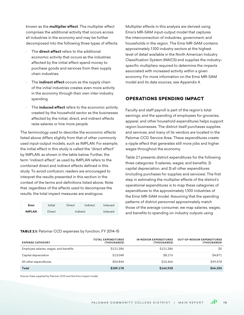known as the **multiplier effect**. The multiplier effect comprises the additional activity that occurs across all industries in the economy and may be further decomposed into the following three types of effects:

- · The **direct effect** refers to the additional economic activity that occurs as the industries affected by the initial effect spend money to purchase goods and services from their supply chain industries.
- The **indirect effect** occurs as the supply chain of the initial industries creates even more activity in the economy through their own inter-industry spending.
- The **induced effect** refers to the economic activity created by the household sector as the businesses affected by the initial, direct, and indirect effects raise salaries or hire more people.

The terminology used to describe the economic effects listed above differs slightly from that of other commonly used input-output models, such as IMPLAN. For example, the initial effect in this study is called the "direct effect" by IMPLAN, as shown in the table below. Further, the term "indirect effect" as used by IMPLAN refers to the combined direct and indirect effects defined in this study. To avoid confusion, readers are encouraged to interpret the results presented in this section in the context of the terms and definitions listed above. Note that, regardless of the effects used to decompose the results, the total impact measures are analogous.

| Emsi          | Initial | Direct | Indirect | Induced |
|---------------|---------|--------|----------|---------|
| <b>IMPLAN</b> | Direct  |        | Indirect | Induced |

Multiplier effects in this analysis are derived using Emsi's MR-SAM input-output model that captures the interconnection of industries, government, and households in the region. The Emsi MR-SAM contains approximately 1,100 industry sectors at the highest level of detail available in the North American Industry Classification System (NAICS) and supplies the industryspecific multipliers required to determine the impacts associated with increased activity within a given economy. For more information on the Emsi MR-SAM model and its data sources, see Appendix 4.

# OPERATIONS SPENDING IMPACT

Faculty and staff payroll is part of the region's total earnings, and the spending of employees for groceries, apparel, and other household expenditures helps support region businesses. The district itself purchases supplies and services, and many of its vendors are located in the Palomar CCD Service Area. These expenditures create a ripple effect that generates still more jobs and higher wages throughout the economy.

Table 2.1 presents district expenditures for the following three categories: 1) salaries, wages, and benefits, 2) capital depreciation, and 3) all other expenditures (including purchases for supplies and services). The first step in estimating the multiplier effects of the district's operational expenditures is to map these categories of expenditures to the approximately 1,100 industries of the Emsi MR-SAM model. Assuming that the spending patterns of district personnel approximately match those of the average consumer, we map salaries, wages, and benefits to spending on industry outputs using

#### TABLE 2.1: Palomar CCD expenses by function, FY 2014-15

| <b>EXPENSE CATEGORY</b>                | <b>TOTAL EXPENDITURES</b><br><b>(THOUSANDS)</b> | <b>IN-REGION EXPENDITURES</b><br>(THOUSANDS) | <b>OUT-OF-REGION EXPENDITURES</b><br>(THOUSANDS) |
|----------------------------------------|-------------------------------------------------|----------------------------------------------|--------------------------------------------------|
| Employee salaries, wages, and benefits | \$121.286                                       | \$121.286                                    | \$0                                              |
| Capital depreciation                   | \$13,048                                        | \$8.176                                      | <b>S4.871</b>                                    |
| All other expenditures                 | \$54,844                                        | \$15,466                                     | \$39,378                                         |
| Total                                  | \$189,178                                       | \$144,928                                    | \$44,250                                         |

Source: Data supplied by Palomar CCD and the Emsi impact model.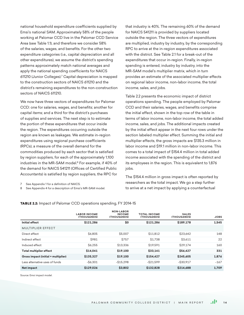national household expenditure coefficients supplied by Emsi's national SAM. Approximately 58% of the people working at Palomar CCD live in the Palomar CCD Service Area (see Table 1.1), and therefore we consider 58% of the salaries, wages, and benefits. For the other two expenditure categories (i.e., capital depreciation and all other expenditures), we assume the district's spending patterns approximately match national averages and apply the national spending coefficients for NAICS 611210 (Junior Colleges).7 Capital depreciation is mapped to the construction sectors of NAICS 611210 and the district's remaining expenditures to the non-construction sectors of NAICS 611210.

We now have three vectors of expenditures for Palomar CCD: one for salaries, wages, and benefits; another for capital items; and a third for the district's purchases of supplies and services. The next step is to estimate the portion of these expenditures that occur inside the region. The expenditures occurring outside the region are known as leakages. We estimate in-region expenditures using regional purchase coefficients (RPCs), a measure of the overall demand for the commodities produced by each sector that is satisfied by region suppliers, for each of the approximately 1,100 industries in the MR-SAM model.<sup>8</sup> For example, if 40% of the demand for NAICS 541211 (Offices of Certified Public Accountants) is satisfied by region suppliers, the RPC for

7 See Appendix 1 for a definition of NAICS.

8 See Appendix 4 for a description of Emsi's MR-SAM model.

that industry is 40%. The remaining 60% of the demand for NAICS 541211 is provided by suppliers located outside the region. The three vectors of expenditures are multiplied, industry by industry, by the corresponding RPC to arrive at the in-region expenditures associated with the district. See Table 2.1 for a break-out of the expenditures that occur in-region. Finally, in-region spending is entered, industry by industry, into the MR-SAM model's multiplier matrix, which in turn provides an estimate of the associated multiplier effects on regional labor income, non-labor income, the total income, sales, and jobs.

Table 2.2 presents the economic impact of district operations spending. The people employed by Palomar CCD and their salaries, wages, and benefits comprise the initial effect, shown in the top row of the table in terms of labor income, non-labor income, the total added income, sales, and jobs. The additional impacts created by the initial effect appear in the next four rows under the section labeled multiplier effect. Summing the initial and multiplier effects, the gross impacts are \$135.3 million in labor income and \$19.1 million in non-labor income. This comes to a total impact of \$154.4 million in total added income associated with the spending of the district and its employees in the region. This is equivalent to 1,876 jobs.

The \$154.4 million in gross impact is often reported by researchers as the total impact. We go a step further to arrive at a net impact by applying a counterfactual

|                                     | <b>LABOR INCOME</b><br>(THOUSANDS) | <b>NON-LABOR</b><br><b>INCOME</b><br>(THOUSANDS) | <b>TOTAL INCOME</b><br>(THOUSANDS) | <b>SALES</b><br>(THOUSANDS) | <b>JOBS</b> |
|-------------------------------------|------------------------------------|--------------------------------------------------|------------------------------------|-----------------------------|-------------|
| Initial effect                      | \$121,286                          | \$0                                              | \$121.286                          | \$189,178                   | 1,545       |
| <b>MULTIPLIER EFFECT</b>            |                                    |                                                  |                                    |                             |             |
| Direct effect                       | <b>\$6,805</b>                     | \$5,007                                          | \$11.812                           | \$23.642                    | 148         |
| Indirect effect                     | <b>\$981</b>                       | <b>\$757</b>                                     | \$1.738                            | \$3,611                     | 22          |
| Induced effect                      | <b>S6.255</b>                      | \$13.336                                         | \$19,591                           | <b>S29.174</b>              | 160         |
| Total multiplier effect             | \$14,041                           | \$19,100                                         | \$33,141                           | \$56,427                    | 331         |
| Gross impact (initial + multiplier) | \$135,327                          | \$19,100                                         | \$154,427                          | \$245,605                   | 1,876       |
| Less alternative uses of funds      | $-$ \$6.301                        | $-$15,298$                                       | $-$ S21.599                        | $-$ \$30.917                | $-167$      |
| Net impact                          | \$129,026                          | \$3,802                                          | \$132,828                          | \$214,688                   | 1,709       |

TABLE 2.2: Impact of Palomar CCD operations spending, FY 2014-15

Source: Emsi impact model.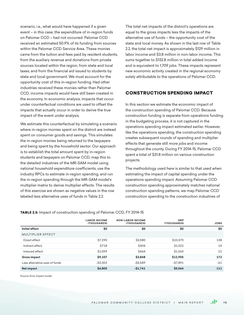scenario, i.e., what would have happened if a given event – in this case, the expenditure of in-region funds on Palomar CCD – had not occurred. Palomar CCD received an estimated 50.9% of its funding from sources within the Palomar CCD Service Area. These monies came from the tuition and fees paid by resident students, from the auxiliary revenue and donations from private sources located within the region, from state and local taxes, and from the financial aid issued to students by state and local government. We must account for the opportunity cost of this in-region funding. Had other industries received these monies rather than Palomar CCD, income impacts would have still been created in the economy. In economic analysis, impacts that occur under counterfactual conditions are used to offset the impacts that actually occur in order to derive the true impact of the event under analysis.

We estimate this counterfactual by simulating a scenario where in-region monies spent on the district are instead spent on consumer goods and savings. This simulates the in-region monies being returned to the taxpayers and being spent by the household sector. Our approach is to establish the total amount spent by in-region students and taxpayers on Palomar CCD, map this to the detailed industries of the MR-SAM model using national household expenditure coefficients, use the industry RPCs to estimate in-region spending, and run the in-region spending through the MR-SAM model's multiplier matrix to derive multiplier effects. The results of this exercise are shown as negative values in the row labeled less alternative uses of funds in Table 2.2.

The total net impacts of the district's operations are equal to the gross impacts less the impacts of the alternative use of funds – the opportunity cost of the state and local money. As shown in the last row of Table 2.2, the total net impact is approximately \$129 million in labor income and \$3.8 million in non-labor income. This sums together to \$132.8 million in total added income and is equivalent to 1,709 jobs. These impacts represent new economic activity created in the regional economy solely attributable to the operations of Palomar CCD.

# CONSTRUCTION SPENDING IMPACT

In this section we estimate the economic impact of the construction spending of Palomar CCD. Because construction funding is separate from operations funding in the budgeting process, it is not captured in the operations spending impact estimated earlier. However, like the operations spending, the construction spending creates subsequent rounds of spending and multiplier effects that generate still more jobs and income throughout the county. During FY 2014-15, Palomar CCD spent a total of \$31.8 million on various construction projects.

The methodology used here is similar to that used when estimating the impact of capital spending under the operations spending impact. Assuming Palomar CCD construction spending approximately matches national construction spending patterns, we map Palomar CCD construction spending to the construction industries of

|                                | <b>LABOR INCOME</b><br>(THOUSANDS) | <b>NON-LABOR INCOME</b><br>(THOUSANDS) | GRP<br>(THOUSANDS) | <b>JOBS</b> |
|--------------------------------|------------------------------------|----------------------------------------|--------------------|-------------|
| Initial effect                 | \$0                                | \$0                                    | \$0                | \$0         |
| <b>MULTIPLIER EFFECT</b>       |                                    |                                        |                    |             |
| Direct effect                  | \$7,290                            | \$3,080                                | \$10,370           | 138         |
| Indirect effect                | <b>\$718</b>                       | \$304                                  | \$1,022            | 14          |
| Induced effect                 | \$1,099                            | <b>\$464</b>                           | \$1,563            | 21          |
| <b>Gross impact</b>            | \$9,107                            | \$3,848                                | \$12,955           | 172         |
| Less alternative uses of funds | $-$ \$2,302                        | $-$ \$5,589                            | $-$ \$7,891        | $-61$       |
| Net impact                     | \$6,805                            | $-$1,741$                              | \$5,064            | 111         |

TABLE 2.3: Impact of construction spending of Palomar CCD, FY 2014-15

Source: Emsi impact model.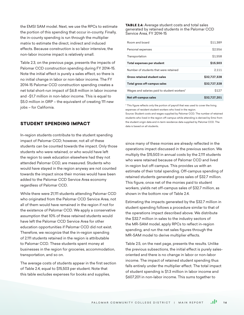the EMSI SAM model. Next, we use the RPCs to estimate the portion of this spending that occur in-county. Finally, the in-county spending is run through the multiplier matrix to estimate the direct, indirect and induced effects. Because construction is so labor intensive, the non-labor income impact is relatively small.

Table 2.3, on the previous page, presents the impacts of Palomar CCD construction spending during FY 2014-15. Note the initial effect is purely a sales effect, so there is no initial change in labor or non-labor income. The FY 2014-15 Palomar CCD construction spending creates a net total short-run impact of \$6.8 million in labor income and -\$1.7 million in non-labor income. This is equal to \$5.0 million in GRP – the equivalent of creating 111 new jobs – for California.

# STUDENT SPENDING IMPACT

In-region students contribute to the student spending impact of Palomar CCD; however, not all of these students can be counted towards the impact. Only those students who were retained, or who would have left the region to seek education elsewhere had they not attended Palomar CCD, are measured. Students who would have stayed in the region anyway are not counted towards the impact since their monies would have been added to the Palomar CCD Service Area economy regardless of Palomar CCD.

While there were 21,111 students attending Palomar CCD who originated from the Palomar CCD Service Area, not all of them would have remained in the region if not for the existence of Palomar CCD. We apply a conservative assumption that 10% of these retained students would have left the Palomar CCD Service Area for other education opportunities if Palomar CCD did not exist. Therefore, we recognize that the in-region spending of 2,111 students retained in the region is attributable to Palomar CCD. These students spent money at businesses in the region for groceries, accommodation, transportation, and so on.

The average costs of students appear in the first section of Table 2.4, equal to \$15,503 per student. Note that this table excludes expenses for books and supplies,

#### TABLE 2.4: Average student costs and total sales generated by retained students in the Palomar CCD Service Area, FY 2014-15

| Room and board                              | \$11.389     |
|---------------------------------------------|--------------|
| Personal expenses                           | \$2.556      |
| Transportation                              | \$1.558      |
| Total expenses per student                  | \$15,503     |
| Number of students that were retained       | 2,111        |
| Gross retained student sales                | \$32.727.328 |
| Total gross off-campus sales                | \$32.727.328 |
| Wages and salaries paid to student workers* | <b>S127</b>  |
| Net off-campus sales                        | \$32.727.201 |

\* This figure reflects only the portion of payroll that was used to cover the living expenses of resident student workers who lived in the region.

Source: Student costs and wages supplied by Palomar CCD. The number of retained students who lived in the region off-campus while attending is derived by Emsi from the student origin data and in-term residence data supplied by Palomar CCD. The data is based on all students.

since many of these monies are already reflected in the operations impact discussed in the previous section. We multiply the \$15,503 in annual costs by the 2,111 students who were retained because of Palomar CCD and lived in-region but off-campus. This provides us with an estimate of their total spending. Off-campus spending of retained students generated gross sales of \$32.7 million. This figure, once net of the monies paid to student workers, yields net off-campus sales of \$32.7 million, as shown in the bottom row of Table 24

Estimating the impacts generated by the \$32.7 million in student spending follows a procedure similar to that of the operations impact described above. We distribute the \$32.7 million in sales to the industry sectors of the MR-SAM model, apply RPCs to reflect in-region spending, and run the net sales figures through the MR-SAM model to derive multiplier effects.

Table 2.5, on the next page, presents the results. Unlike the previous subsections, the initial effect is purely salesoriented and there is no change in labor or non-labor income. The impact of retained student spending thus falls entirely under the multiplier effect. The total impact of student spending is \$1.3 million in labor income and \$607,201 in non-labor income. This sums together to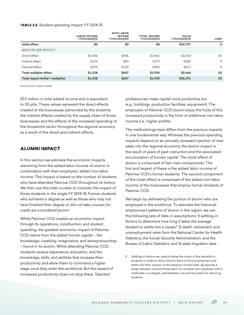#### TABLE 2.5: Student spending impact, FY 2014-15

|                                     | <b>LABOR INCOME</b><br>(THOUSANDS) | <b>NON-LABOR</b><br><b>INCOME</b><br>(THOUSANDS) | <b>TOTAL INCOME</b><br>(THOUSANDS) | <b>SALES</b><br>(THOUSANDS) | <b>JOBS</b> |
|-------------------------------------|------------------------------------|--------------------------------------------------|------------------------------------|-----------------------------|-------------|
| Initial effect                      | \$0                                | \$0                                              | \$0                                | \$32,727                    | 0           |
| <b>MULTIPLIER EFFECT</b>            |                                    |                                                  |                                    |                             |             |
| Direct effect                       | \$1,006                            | <b>S455</b>                                      | \$1,461                            | \$2,623                     | 25          |
| Indirect effect                     | <b>\$129</b>                       | \$50                                             | <b>\$179</b>                       | \$330                       | 3           |
| Induced effect                      | <b>\$193</b>                       | \$103                                            | \$296                              | <b>\$511</b>                | 5           |
| Total multiplier effect             | \$1,328                            | \$607                                            | \$1,935                            | \$3,464                     | 33          |
| Total impact (initial + multiplier) | \$1,328                            | <b>\$607</b>                                     | \$1,935                            | \$36,191                    | 33          |

Source: Emsi impact model.

\$1.9 million in total added income and is equivalent to 33 jobs. These values represent the direct effects created at the businesses patronized by the students, the indirect effects created by the supply chain of those businesses, and the effects of the increased spending of the household sector throughout the regional economy as a result of the direct and indirect effects.

# ALUMNI IMPACT

In this section we estimate the economic impacts stemming from the added labor income of alumni in combination with their employers' added non-labor income. This impact is based on the number of students who have attended Palomar CCD throughout its history. We then use this total number to consider the impact of those students in the single FY 2014-15. Former students who achieved a degree as well as those who may not have finished their degree or did not take courses for credit are considered alumni.

While Palomar CCD creates an economic impact through its operations, construction, and student spending, the greatest economic impact of Palomar CCD stems from the added human capital – the knowledge, creativity, imagination, and entrepreneurship – found in its alumni. While attending Palomar CCD, students receive experience, education, and the knowledge, skills, and abilities that increase their productivity and allow them to command a higher wage once they enter the workforce. But the reward of increased productivity does not stop there. Talented

professionals make capital more productive too (e.g., buildings, production facilities, equipment). The employers of Palomar CCD alumni enjoy the fruits of this increased productivity in the form of additional non-labor income (i.e., higher profits).

The methodology here differs from the previous impacts in one fundamental way. Whereas the previous spending impacts depend on an annually renewed injection of new sales into the regional economy, the alumni impact is the result of years of past instruction and the associated accumulation of human capital. The initial effect of alumni is comprised of two main components. The first and largest of these is the added labor income of Palomar CCD's former students. The second component of the initial effect is comprised of the added non-labor income of the businesses that employ former students of Palomar CCD.

We begin by estimating the portion of alumni who are employed in the workforce. To estimate the historical employment patterns of alumni in the region, we use the following sets of data or assumptions: 1) settling-in factors to determine how long it takes the average student to settle into a career;<sup>9</sup> 2) death, retirement, and unemployment rates from the National Center for Health Statistics, the Social Security Administration, and the Bureau of Labor Statistics; and 3) state migration data

<sup>9</sup> Settling-in factors are used to delay the onset of the benefits to students in order to allow time for them to find employment and settle into their careers. In the absence of hard data, we assume a range between one and three years for students who graduate with a certificate or a degree, and between one and five years for returning students.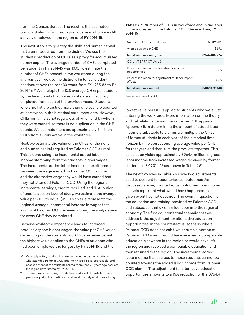from the Census Bureau. The result is the estimated portion of alumni from each previous year who were still actively employed in the region as of FY 2014-15.

The next step is to quantify the skills and human capital that alumni acquired from the district. We use the students' production of CHEs as a proxy for accumulated human capital. The average number of CHEs completed per student in FY 2014-15 was 10.0. To estimate the number of CHEs present in the workforce during the analysis year, we use the district's historical student headcount over the past 30 years, from FY 1985-86 to FY 2014-15.10 We multiply the 10.0 average CHEs per student by the headcounts that we estimate are still actively employed from each of the previous years.<sup>11</sup> Students who enroll at the district more than one year are counted at least twice in the historical enrollment data. However, CHEs remain distinct regardless of when and by whom they were earned, so there is no duplication in the CHE counts. We estimate there are approximately 5 million CHEs from alumni active in the workforce.

Next, we estimate the value of the CHEs, or the skills and human capital acquired by Palomar CCD alumni. This is done using the incremental added labor income stemming from the students' higher wages. The incremental added labor income is the difference between the wage earned by Palomar CCD alumni and the alternative wage they would have earned had they not attended Palomar CCD. Using the regional incremental earnings, credits required, and distribution of credits at each level of study, we estimate the average value per CHE to equal \$191. This value represents the regional average incremental increase in wages that alumni of Palomar CCD received during the analysis year for every CHE they completed.

Because workforce experience leads to increased productivity and higher wages, the value per CHE varies depending on the students' workforce experience, with the highest value applied to the CHEs of students who had been employed the longest by FY 2014-15, and the

11 This assumes the average credit load and level of study from past years is equal to the credit load and level of study of students today. TABLE 2.6: Number of CHEs in workforce and initial labor income created in the Palomar CCD Service Area, FY 2014-15

| Number of CHEs in workforce                                  | 5,039,901        |
|--------------------------------------------------------------|------------------|
| Average value per CHE                                        | S <sub>191</sub> |
| Initial labor income, gross                                  | \$964.405.524    |
| COUNTERFACTUALS                                              |                  |
| Percent reduction for alternative education<br>opportunities | 15%              |
| Percent reduction for adjustment for labor import<br>effects | 50%              |
| Initial labor income, net                                    | \$409.872.348    |

Source: Emsi impact model.

lowest value per CHE applied to students who were just entering the workforce. More information on the theory and calculations behind the value per CHE appears in Appendix 5. In determining the amount of added labor income attributable to alumni, we multiply the CHEs of former students in each year of the historical time horizon by the corresponding average value per CHE for that year, and then sum the products together. This calculation yields approximately \$964.4 million in gross labor income from increased wages received by former students in FY 2014-15 (as shown in Table 2.6).

The next two rows in Table 2.6 show two adjustments used to account for counterfactual outcomes. As discussed above, counterfactual outcomes in economic analysis represent what would have happened if a given event had not occurred. The event in question is the education and training provided by Palomar CCD and subsequent influx of skilled labor into the regional economy. The first counterfactual scenario that we address is the adjustment for alternative education opportunities. In the counterfactual scenario where Palomar CCD does not exist, we assume a portion of Palomar CCD alumni would have received a comparable education elsewhere in the region or would have left the region and received a comparable education and then returned to the region. The incremental added labor income that accrues to those students cannot be counted towards the added labor income from Palomar CCD alumni. The adjustment for alternative education opportunities amounts to a 15% reduction of the \$964.4

<sup>10</sup> We apply a 30-year time horizon because the data on students who attended Palomar CCD prior to FY 1985-86 is less reliable, and because most of the students served more than 30 years ago had left the regional workforce by FY 2014-15.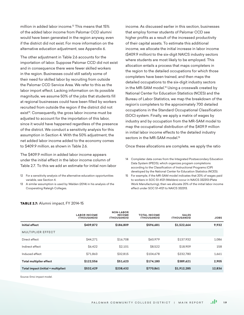million in added labor income.12 This means that 15% of the added labor income from Palomar CCD alumni would have been generated in the region anyway, even if the district did not exist. For more information on the alternative education adjustment, see Appendix 6.

The other adjustment in Table 2.6 accounts for the importation of labor. Suppose Palomar CCD did not exist and in consequence there were fewer skilled workers in the region. Businesses could still satisfy some of their need for skilled labor by recruiting from outside the Palomar CCD Service Area. We refer to this as the labor import effect. Lacking information on its possible magnitude, we assume 50% of the jobs that students fill at regional businesses could have been filled by workers recruited from outside the region if the district did not exist<sup>13</sup>. Consequently, the gross labor income must be adjusted to account for the importation of this labor, since it would have happened regardless of the presence of the district. We conduct a sensitivity analysis for this assumption in Section 4. With the 50% adjustment, the net added labor income added to the economy comes to \$409.9 million, as shown in Table 2.6.

The \$409.9 million in added labor income appears under the initial effect in the labor income column of Table 2.7. To this we add an estimate for initial non-labor

- 12 For a sensitivity analysis of the alternative education opportunities variable, see Section 4.
- 13 A similar assumption is used by Walden (2014) in his analysis of the Cooperating Raleigh Colleges.

income. As discussed earlier in this section, businesses that employ former students of Palomar CCD see higher profits as a result of the increased productivity of their capital assets. To estimate this additional income, we allocate the initial increase in labor income (\$409.9 million) to the six-digit NAICS industry sectors where students are most likely to be employed. This allocation entails a process that maps completers in the region to the detailed occupations for which those completers have been trained, and then maps the detailed occupations to the six-digit industry sectors in the MR-SAM model.<sup>14</sup> Using a crosswalk created by National Center for Education Statistics (NCES) and the Bureau of Labor Statistics, we map the breakdown of the region's completers to the approximately 700 detailed occupations in the Standard Occupational Classification (SOC) system. Finally, we apply a matrix of wages by industry and by occupation from the MR-SAM model to map the occupational distribution of the \$409.9 million in initial labor income effects to the detailed industry sectors in the MR-SAM model.<sup>15</sup>

Once these allocations are complete, we apply the ratio

- 14 Completer data comes from the Integrated Postsecondary Education Data System (IPEDS), which organizes program completions according to the Classification of Instructional Programs (CIP) developed by the National Center for Education Statistics (NCES).
- 15 For example, if the MR-SAM model indicates that 20% of wages paid to workers in SOC 51-4121 (Welders) occur in NAICS 332313 (Plate Work Manufacturing), then we allocate 20% of the initial labor income effect under SOC 51-4121 to NAICS 332313.

|                                     | <b>LABOR INCOME</b><br>(THOUSANDS) | <b>NON-LABOR</b><br><b>INCOME</b><br>(THOUSANDS) | <b>TOTAL INCOME</b><br>(THOUSANDS) | <b>SALES</b><br>(THOUSANDS) | <b>JOBS</b> |
|-------------------------------------|------------------------------------|--------------------------------------------------|------------------------------------|-----------------------------|-------------|
| Initial effect                      | \$409,872                          | \$186,809                                        | \$596,681                          | \$1,522,664                 | 9,932       |
| MULTIPLIER EFFECT                   |                                    |                                                  |                                    |                             |             |
| Direct effect                       | S44.271                            | \$16,708                                         | \$60,979                           | \$137,932                   | 1,086       |
| Indirect effect                     | \$6,422                            | \$2,101                                          | \$8,522                            | \$18,909                    | 158         |
| Induced effect                      | \$71.863                           | \$32.815                                         | \$104,678                          | \$232.780                   | 1.661       |
| <b>Total multiplier effect</b>      | \$122.556                          | \$51.623                                         | \$174.180                          | \$389,621                   | 2,905       |
| Total impact (initial + multiplier) | \$532,429                          | \$238,432                                        | \$770,861                          | \$1,912,285                 | 12,836      |
|                                     |                                    |                                                  |                                    |                             |             |

#### TABLE 2.7: Alumni impact, FY 2014-15

Source: Emsi impact model.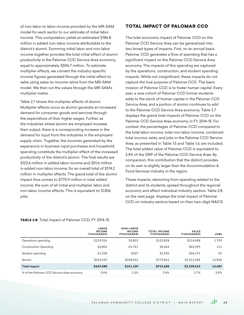of non-labor to labor income provided by the MR-SAM model for each sector to our estimate of initial labor income. This computation yields an estimated \$186.8 million in added non-labor income attributable to the district's alumni. Summing initial labor and non-labor income together provides the total initial effect of alumni productivity in the Palomar CCD Service Area economy, equal to approximately \$596.7 million. To estimate multiplier effects, we convert the industry-specific income figures generated through the initial effect to sales using sales-to-income ratios from the MR-SAM model. We then run the values through the MR-SAM's multiplier matrix.

Table 2.7 shows the multiplier effects of alumni. Multiplier effects occur as alumni generate an increased demand for consumer goods and services through the expenditure of their higher wages. Further, as the industries where alumni are employed increase their output, there is a corresponding increase in the demand for input from the industries in the employers' supply chain. Together, the incomes generated by the expansions in business input purchases and household spending constitute the multiplier effect of the increased productivity of the district's alumni. The final results are \$122.6 million in added labor income and \$51.6 million in added non-labor income, for an overall total of \$174.2 million in multiplier effects. The grand total of the alumni impact thus comes to \$770.9 million in total added income, the sum of all initial and multiplier labor and non-labor income effects. This is equivalent to 12,836 jobs.

# TOTAL IMPACT OF PALOMAR CCD

The total economic impact of Palomar CCD on the Palomar CCD Service Area can be generalized into two broad types of impacts. First, on an annual basis, Palomar CCD generates a flow of spending that has a significant impact on the Palomar CCD Service Area economy. The impacts of this spending are captured by the operations, construction, and student spending impacts. While not insignificant, these impacts do not capture the true purpose of Palomar CCD. The basic mission of Palomar CCD is to foster human capital. Every year, a new cohort of Palomar CCD former students adds to the stock of human capital in the Palomar CCD Service Area, and a portion of alumni continues to add to the Palomar CCD Service Area economy. Table 2.7 displays the grand total impacts of Palomar CCD on the Palomar CCD Service Area economy in FY 2014-15. For context, the percentages of Palomar CCD compared to the total labor income, total non-labor income, combined total income, sales, and jobs in the Palomar CCD Service Area, as presented in Table 1.5 and Table 1.6, are included. The total added value of Palomar CCD is equivalent to 2.4% of the GRP of the Palomar CCD Service Area. By comparison, this contribution that the district provides on its own is slightly larger than the Accommodation & Food Services industry in the region.

These impacts, stemming from spending related to the district and its students, spread throughout the regional economy and affect individual industry sectors. Table 2.8, on the next page, displays the total impact of Palomar CCD on industry sectors based on their two–digit NAICS

#### TABLE 2.8: Total impact of Palomar CCD, FY 2014-15

|                                           | <b>LABOR</b><br><b>INCOME</b><br>(THOUSANDS) | <b>NON-LABOR</b><br><b>INCOME</b><br>(THOUSANDS) | <b>TOTAL INCOME</b><br>(THOUSANDS) | <b>SALES</b><br>(THOUSANDS) | <b>JOBS</b> |
|-------------------------------------------|----------------------------------------------|--------------------------------------------------|------------------------------------|-----------------------------|-------------|
| Operations spending                       | \$129,026                                    | \$3,802                                          | \$132.828                          | \$214,688                   | 1.709       |
| <b>Construction Spending</b>              | <b>\$6,805</b>                               | $-51.741$                                        | \$5.064                            | \$45,399                    | 111         |
| Student spending                          | \$1,328                                      | <b>\$607</b>                                     | \$1.935                            | \$36.191                    | 33          |
| Alumni                                    | \$532.429                                    | \$238.432                                        | \$770.861                          | \$1,912.285                 | 12,836      |
| <b>Total impact</b>                       | \$669,588                                    | \$241.100                                        | \$910,688                          | \$2,208,563                 | 14,689      |
| % of the Palomar CCD Service Area economy | 3.4%                                         | 1.3%                                             | 2.4%                               | 2.7%                        | 3.9%        |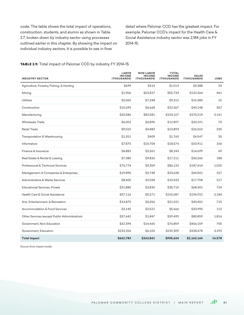code. The table shows the total impact of operations, construction, students, and alumni as shown in Table 2.7, broken down by industry sector using processes outlined earlier in this chapter. By showing the impact on individual industry sectors, it is possible to see in finer

detail where Palomar CCD has the greatest impact. For example, Palomar CCD's impact for the Health Care & Social Assistance industry sector was 2,184 jobs in FY 2014-15.

#### TABLE 2.9: Total impact of Palomar CCD by industry, FY 2014-15

| <b>INDUSTRY SECTOR</b>                        | <b>LABOR</b><br><b>INCOME</b><br>(THOUSANDS) | <b>NON-LABOR</b><br><b>INCOME</b><br>(THOUSANDS) | <b>TOTAL</b><br><b>INCOME</b><br>(THOUSANDS) | <b>SALES</b><br>(THOUSANDS) | <b>JOBS</b> |
|-----------------------------------------------|----------------------------------------------|--------------------------------------------------|----------------------------------------------|-----------------------------|-------------|
| Agriculture, Forestry, Fishing, & Hunting     | \$699                                        | \$314                                            | \$1,013                                      | \$3,388                     | 24          |
| Mining                                        | \$1,906                                      | \$53,827                                         | \$55,733                                     | \$132,364                   | 441         |
| <b>Utilities</b>                              | \$2,065                                      | \$7,248                                          | \$9,312                                      | \$15,385                    | 15          |
| Construction                                  | \$15,699                                     | \$6,668                                          | \$22,367                                     | \$43,148                    | 307         |
| Manufacturing                                 | \$20,586                                     | \$82,581                                         | \$103,167                                    | \$370,219                   | 2,141       |
| <b>Wholesale Trade</b>                        | \$6,002                                      | \$6,895                                          | \$12,897                                     | \$20,191                    | 70          |
| <b>Retail Trade</b>                           | \$9,010                                      | \$4,883                                          | \$13,893                                     | \$26,262                    | 235         |
| Transportation & Warehousing                  | \$1,351                                      | \$409                                            | \$1,760                                      | \$4,547                     | 35          |
| Information                                   | \$7,870                                      | \$10,704                                         | \$18,574                                     | \$33,911                    | 106         |
| Finance & Insurance                           | \$4,882                                      | \$3,361                                          | \$8,243                                      | \$14,699                    | 69          |
| Real Estate & Rental & Leasing                | \$7,385                                      | \$9,826                                          | \$17,211                                     | \$36,266                    | 188         |
| Professional & Technical Services             | \$76,774                                     | \$9,359                                          | \$86,133                                     | \$187,414                   | 1,025       |
| Management of Companies & Enterprises         | \$19,890                                     | \$3,748                                          | \$23,638                                     | \$44,501                    | 157         |
| Administrative & Waste Services               | \$8,405                                      | \$2,028                                          | \$10,433                                     | \$17,758                    | 217         |
| <b>Educational Services, Private</b>          | \$31,880                                     | \$3,830                                          | \$35,710                                     | \$68,301                    | 724         |
| Health Care & Social Assistance               | \$97,116                                     | \$5,571                                          | \$102,687                                    | \$194,922                   | 2,184       |
| Arts, Entertainment, & Recreation             | \$14,875                                     | \$6,656                                          | \$21,531                                     | \$40,401                    | 715         |
| Accommodation & Food Services                 | \$3,145                                      | \$2,521                                          | \$5,666                                      | \$33,990                    | 112         |
| Other Services (except Public Administration) | \$37,642                                     | \$1,847                                          | \$39,490                                     | \$80,859                    | 1,816       |
| Government, Non-Education                     | \$62,394                                     | \$14,465                                         | \$76,859                                     | \$456,159                   | 705         |
| Government, Education                         | \$233,206                                    | \$6,102                                          | \$239,309                                    | \$338,478                   | 3,293       |
| <b>Total impact</b>                           | \$662,783                                    | \$242,841                                        | \$905,624                                    | \$2,163,164                 | 14,578      |

Source: Emsi impact model.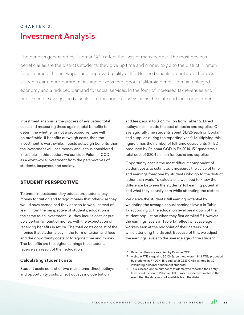# CHAPTER 3: Investment Analysis

The benefits generated by Palomar CCD affect the lives of many people. The most obvious beneficiaries are the district's students; they give up time and money to go to the district in return for a lifetime of higher wages and improved quality of life. But the benefits do not stop there. As students earn more, communities and citizens throughout California benefit from an enlarged economy and a reduced demand for social services. In the form of increased tax revenues and public sector savings, the benefits of education extend as far as the state and local government.

Investment analysis is the process of evaluating total costs and measuring these against total benefits to determine whether or not a proposed venture will be profitable. If benefits outweigh costs, then the investment is worthwhile. If costs outweigh benefits, then the investment will lose money and is thus considered infeasible. In this section, we consider Palomar CCD as a worthwhile investment from the perspectives of students, taxpayers, and society.

# STUDENT PERSPECTIVE

To enroll in postsecondary education, students pay money for tuition and forego monies that otherwise they would have earned had they chosen to work instead of learn. From the perspective of students, education is the same as an investment; i.e., they incur a cost, or put up a certain amount of money, with the expectation of receiving benefits in return. The total costs consist of the monies that students pay in the form of tuition and fees and the opportunity costs of foregone time and money. The benefits are the higher earnings that students receive as a result of their education.

## **Calculating student costs**

Student costs consist of two main items: direct outlays and opportunity costs. Direct outlays include tuition

and fees, equal to \$16.1 million from Table 1.2. Direct outlays also include the cost of books and supplies. On average, full-time students spent \$1,726 each on books and supplies during the reporting year.<sup>16</sup> Multiplying this figure times the number of full-time equivalents (FTEs) produced by Palomar CCD in FY 2014-15<sup>17</sup> generates a total cost of \$20.4 million for books and supplies.

Opportunity cost is the most difficult component of student costs to estimate. It measures the value of time and earnings foregone by students who go to the district rather than work. To calculate it, we need to know the difference between the students' full earning potential and what they actually earn while attending the district.

We derive the students' full earning potential by weighting the average annual earnings levels in Table 1.7 according to the education level breakdown of the student population when they first enrolled.<sup>18</sup> However, the earnings levels in Table 1.7 reflect what average workers earn at the midpoint of their careers, not while attending the district. Because of this, we adjust the earnings levels to the average age of the student

- 16 Based on the data supplied by Palomar CCD.
- 17 A single FTE is equal to 30 CHEs, so there were 11,843 FTEs produced by students in FY 2014-15, equal to 360,329 CHEs divided by 30 (excluding personal enrichment students).
- 18 This is based on the number of students who reported their entry level of education to Palomar CCD. Emsi provided estimates in the event that the data was not available from the district.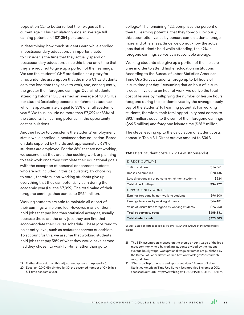population (22) to better reflect their wages at their current age.19 This calculation yields an average full earning potential of \$21,354 per student.

In determining how much students earn while enrolled in postsecondary education, an important factor to consider is the time that they actually spend on postsecondary education, since this is the only time that they are required to give up a portion of their earnings. We use the students' CHE production as a proxy for time, under the assumption that the more CHEs students earn, the less time they have to work, and, consequently, the greater their foregone earnings. Overall, students attending Palomar CCD earned an average of 10.0 CHEs per student (excluding personal enrichment students), which is approximately equal to 33% of a full academic year.20 We thus include no more than \$7,099 (or 33%) of the students' full earning potential in the opportunity cost calculations.

Another factor to consider is the students' employment status while enrolled in postsecondary education. Based on data supplied by the district, approximately 62% of students are employed. For the 38% that are not working, we assume that they are either seeking work or planning to seek work once they complete their educational goals (with the exception of personal enrichment students, who are not included in this calculation). By choosing to enroll, therefore, non-working students give up everything that they can potentially earn during the academic year (i.e., the \$7,099). The total value of their foregone earnings thus comes to \$96.1 million.

Working students are able to maintain all or part of their earnings while enrolled. However, many of them hold jobs that pay less than statistical averages, usually because those are the only jobs they can find that accommodate their course schedule. These jobs tend to be at entry level, such as restaurant servers or cashiers. To account for this, we assume that working students hold jobs that pay 58% of what they would have earned had they chosen to work full-time rather than go to

19 Further discussion on this adjustment appears in Appendix 5.

20 Equal to 10.0 CHEs divided by 30, the assumed number of CHEs in a full-time academic year.

college.21 The remaining 42% comprises the percent of their full earning potential that they forego. Obviously this assumption varies by person; some students forego more and others less. Since we do not know the actual jobs that students hold while attending, the 42% in foregone earnings serves as a reasonable average.

Working students also give up a portion of their leisure time in order to attend higher education institutions. According to the Bureau of Labor Statistics American Time Use Survey, students forego up to 1.4 hours of leisure time per day.<sup>22</sup> Assuming that an hour of leisure is equal in value to an hour of work, we derive the total cost of leisure by multiplying the number of leisure hours foregone during the academic year by the average hourly pay of the students' full earning potential. For working students, therefore, their total opportunity cost comes to \$93.4 million, equal to the sum of their foregone earnings (\$66.5 million) and foregone leisure time (\$26.9 million).

The steps leading up to the calculation of student costs appear in Table 3.1. Direct outlays amount to \$36.3

#### TABLE 3.1: Student costs, FY 2014-15 (thousands)

DIRECT OUTLAYS

| Tuition and fees                                    | \$16,061  |
|-----------------------------------------------------|-----------|
|                                                     |           |
| Books and supplies                                  | \$20.435  |
|                                                     |           |
| Less direct outlays of personal enrichment students | $-$ \$224 |
| <b>Total direct outlays</b>                         | \$36,272  |
|                                                     |           |
| <b>OPPORTUNITY COSTS</b>                            |           |
| Earnings foregone by non-working students           | \$96,100  |
|                                                     |           |
| Earnings foregone by working students               | \$66,481  |
|                                                     |           |
| Value of leisure time foregone by working students  | \$26,950  |
|                                                     |           |
| <b>Total opportunity costs</b>                      | \$189.531 |
|                                                     |           |
| <b>Total student costs</b>                          | \$225,803 |

Source: Based on data supplied by Palomar CCD and outputs of the Emsi impact model.

- 21 The 58% assumption is based on the average hourly wage of the jobs most commonly held by working students divided by the national average hourly wage. Occupational wage estimates are published by the Bureau of Labor Statistics (see http://www.bls.gov/oes/current/ oes\_nat.htm).
- 22 "Charts by Topic: Leisure and sports activities," Bureau of Labor Statistics American Time Use Survey, last modified November 2012, accessed July 2013, http://www.bls.gov/TUS/CHARTS/LEISURE.HTM.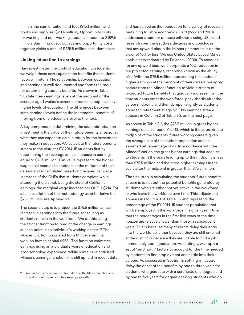million, the sum of tuition and fees (\$16.1 million) and books and supplies (\$20.4 million). Opportunity costs for working and non-working students amount to \$189.5 million. Summing direct outlays and opportunity costs together yields a total of \$225.8 million in student costs.

#### **Linking education to earnings**

Having estimated the costs of education to students, we weigh these costs against the benefits that students receive in return. The relationship between education and earnings is well documented and forms the basis for determining student benefits. As shown in Table 1.7, state mean earnings levels at the midpoint of the average-aged worker's career increase as people achieve higher levels of education. The differences between state earnings levels define the incremental benefits of moving from one education level to the next.

A key component in determining the students' return on investment is the value of their future benefits stream; i.e., what they can expect to earn in return for the investment they make in education. We calculate the future benefits stream to the district's FY 2014-15 students first by determining their average annual increase in earnings, equal to \$75.5 million. This value represents the higher wages that accrues to students at the midpoint of their careers and is calculated based on the marginal wage increases of the CHEs that students complete while attending the district. Using the state of California earnings, the marginal wage increase per CHE is \$214. For a full description of the methodology used to derive the \$75.5 million, see Appendix 5.

The second step is to project the \$75.5 million annual increase in earnings into the future, for as long as students remain in the workforce. We do this using the Mincer function to predict the change in earnings at each point in an individual's working career. <sup>23</sup> The Mincer function originated from Mincer's seminal work on human capital (1958). The function estimates earnings using an individual's years of education and post-schooling experience. While some have criticized Mincer's earnings function, it is still upheld in recent data and has served as the foundation for a variety of research pertaining to labor economics. Card (1999 and 2001) addresses a number of these criticisms using US based research over the last three decades and concludes that any upward bias in the Mincer parameters is on the order of 10% or less. We use United States based Mincer coefficients estimated by Polachek (2003). To account for any upward bias, we incorporate a 10% reduction in our projected earnings, otherwise known as the ability bias. With the \$75.5 million representing the students' higher earnings at the midpoint of their careers, we apply scalars from the Mincer function to yield a stream of projected future benefits that gradually increase from the time students enter the workforce, peak shortly after the career midpoint, and then dampen slightly as students approach retirement at age 67. This earnings stream appears in Column 2 of Table 3.2, on the next page.

As shown in Table 3.2, the \$75.5 million in gross higher earnings occurs around Year 18, which is the approximate midpoint of the students' future working careers given the average age of the student population and an assumed retirement age of 67. In accordance with the Mincer function, the gross higher earnings that accrues to students in the years leading up to the midpoint is less than \$75.5 million and the gross higher earnings in the years after the midpoint is greater than \$75.5 million.

The final step in calculating the students' future benefits stream is to net out the potential benefits generated by students who are either not yet active in the workforce or who leave the workforce over time. This adjustment appears in Column 3 of Table 3.2 and represents the percentage of the FY 2014-15 student population that will be employed in the workforce in a given year. Note that the percentages in the first five years of the time horizon are relatively lower than those in subsequent years. This is because many students delay their entry into the workforce, either because they are still enrolled at the district or because they are unable to find a job immediately upon graduation. Accordingly, we apply a set of "settling-in" factors to account for the time needed by students to find employment and settle into their careers. As discussed in Section 2, settling-in factors delay the onset of the benefits by one to three years for students who graduate with a certificate or a degree and by one to five years for degree-seeking students who do

<sup>23</sup> Appendix 5 provides more information on the Mincer function and how it is used to predict future earnings growth.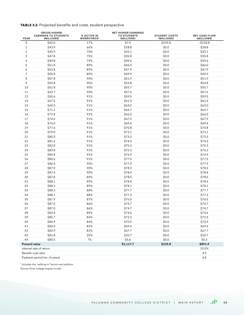# TABLE 3.2: Projected benefits and costs, student perspective

| <b>YEAR</b>                      | <b>GROSS HIGHER</b><br><b>EARNINGS TO STUDENTS</b><br>(MILLIONS) | % ACTIVE IN<br><b>WORKFORCE*</b> | <b>NET HIGHER EARNINGS</b><br><b>TO STUDENTS</b><br>(MILLIONS) | <b>STUDENT COSTS</b><br>(MILLIONS) | <b>NET CASH FLOW</b><br>(MILLIONS) |
|----------------------------------|------------------------------------------------------------------|----------------------------------|----------------------------------------------------------------|------------------------------------|------------------------------------|
| 0                                | \$42.0                                                           | 17%                              | \$7.0                                                          | \$225.8                            | $-$ \$218.8                        |
| 1                                | \$43.9                                                           | 66%                              | \$28.8                                                         | \$0.0                              | \$28.8                             |
| $\overline{2}$                   | \$45.9                                                           | 70%                              | \$32.1                                                         | \$0.0                              | \$32.1                             |
| 3                                | \$47.8                                                           | 75%                              | \$35.8                                                         | \$0.0                              | \$35.8                             |
| 4                                | \$49.8                                                           | 79%                              | \$39.6                                                         | \$0.0                              | \$39.6                             |
| 5                                | \$51.8                                                           | 89%                              | \$46.0                                                         | \$0.0                              | \$46.0                             |
| 6                                | \$53.8                                                           | 89%                              | \$47.9                                                         | \$0.0                              | \$47.9                             |
| 7                                | \$55.8                                                           | 89%                              | \$49.9                                                         | \$0.0                              | \$49.9                             |
| 8                                | \$57.8                                                           | 90%                              | \$51.9                                                         | \$0.0                              | \$51.9                             |
| 9                                | \$59.8                                                           | 90%                              | \$53.8                                                         | \$0.0                              | \$53.8                             |
| 10                               | \$61.8                                                           | 90%                              | \$55.7                                                         | \$0.0                              | \$55.7                             |
| 11                               | \$63.7                                                           | 90%                              | \$57.6                                                         | \$0.0                              | \$57.6                             |
| 12                               | \$65.6                                                           | 91%                              | \$59.5                                                         | \$0.0                              | \$59.5                             |
| 13                               | \$67.5                                                           | 91%                              | \$61.3                                                         | \$0.0                              | \$61.3                             |
| 14                               | \$69.3                                                           | 91%                              | \$63.0                                                         | \$0.0                              | \$63.0                             |
| 15                               | \$71.1                                                           | 91%                              | \$64.7                                                         | \$0.0                              | \$64.7                             |
| 16                               | \$72.8                                                           | 91%                              | \$66.3                                                         | \$0.0                              | \$66.3                             |
| 17                               | \$74.5                                                           | 91%                              | \$67.9                                                         | \$0.0                              | \$67.9                             |
| 18                               | \$76.0                                                           | 91%                              | \$69.4                                                         | \$0.0                              | \$69.4                             |
| 19                               | \$77.6                                                           | 91%                              | \$70.8                                                         | \$0.0                              | \$70.8                             |
| 20                               | \$79.0                                                           | 91%                              | \$72.1                                                         | \$0.0                              | \$72.1                             |
| 21                               | \$80.3                                                           | 91%                              | \$73.3                                                         | \$0.0                              | \$73.3                             |
| 22                               | \$81.6                                                           | 91%                              | \$74.3                                                         | \$0.0                              | \$74.3                             |
| 23                               | \$82.8                                                           | 91%                              | \$75.3                                                         | \$0.0                              | \$75.3                             |
| 24                               | \$83.8                                                           | 91%                              | \$76.2                                                         | \$0.0                              | \$76.2                             |
| 25                               | \$84.8                                                           | 91%                              | \$76.9                                                         | \$0.0                              | \$76.9                             |
| 26                               | \$85.6                                                           | 91%                              | \$77.5                                                         | \$0.0                              | \$77.5                             |
| 27                               | \$86.3                                                           | 90%                              | \$77.9                                                         | \$0.0                              | \$77.9                             |
| 28                               | \$87.0                                                           | 90%                              | \$78.3                                                         | \$0.0                              | \$78.3                             |
| 29                               | \$87.4                                                           | 90%                              | \$78.4                                                         | \$0.0                              | \$78.4                             |
| 30                               | \$87.8                                                           | 89%                              | \$78.5                                                         | \$0.0                              | \$78.5                             |
| 31                               | \$88.1                                                           | 89%                              | \$78.4                                                         | \$0.0                              | \$78.4                             |
| 32                               | \$88.2                                                           | 89%                              | \$78.1                                                         | \$0.0                              | \$78.1                             |
| 33                               | \$88.2                                                           | 88%                              | \$77.7                                                         | \$0.0                              | \$77.7                             |
| 34                               | \$88.1                                                           | 88%                              | \$77.2                                                         | \$0.0                              | \$77.2                             |
| 35                               | \$87.9                                                           | 87%                              | \$76.5                                                         | \$0.0                              | \$76.5                             |
| 36                               | \$87.5                                                           | 86%                              | \$75.7                                                         | \$0.0                              | \$75.7                             |
| 37                               | \$87.0                                                           | 86%                              | \$74.7                                                         | \$0.0                              | \$74.7                             |
| 38                               | \$86.4                                                           | 85%                              | \$73.6                                                         | \$0.0                              | \$73.6                             |
| 39                               | \$85.7                                                           | 84%                              | \$72.3                                                         | \$0.0                              | \$72.3                             |
| 40                               | \$84.9                                                           | 84%                              | \$70.9                                                         | \$0.0                              | \$70.9                             |
| 41                               | \$84.0                                                           | 83%                              | \$69.4                                                         | \$0.0                              | \$69.4                             |
| 42                               | \$82.9                                                           | 82%                              | \$67.7                                                         | \$0.0                              | \$67.7                             |
| 43                               | \$81.8                                                           | 25%                              | \$20.7                                                         | \$0.0                              | \$20.7                             |
| 44                               | \$80.5                                                           | 7%                               | \$5.6                                                          | \$0.0                              | \$5.6                              |
| <b>Present value</b>             |                                                                  |                                  | \$1,117.7                                                      | \$225.8                            | \$891.9                            |
| Internal rate of return<br>20.0% |                                                                  |                                  |                                                                |                                    |                                    |
|                                  | Benefit-cost ratio                                               |                                  |                                                                |                                    | 4.9                                |
|                                  | Payback period (no. of years)                                    |                                  |                                                                |                                    | 6.8                                |
|                                  |                                                                  |                                  |                                                                |                                    |                                    |

\* Includes the "settling-in" factors and attrition.

Source: Emsi college impact model.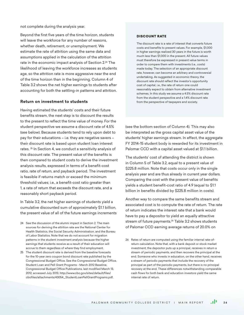not complete during the analysis year.

Beyond the first five years of the time horizon, students will leave the workforce for any number of reasons, whether death, retirement, or unemployment. We estimate the rate of attrition using the same data and assumptions applied in the calculation of the attrition rate in the economic impact analysis of Section 2.<sup>24</sup> The likelihood of leaving the workforce increases as students age, so the attrition rate is more aggressive near the end of the time horizon than in the beginning. Column 4 of Table 3.2 shows the net higher earnings to students after accounting for both the settling-in patterns and attrition.

## **Return on investment to students**

Having estimated the students' costs and their future benefits stream, the next step is to discount the results to the present to reflect the time value of money. For the student perspective we assume a discount rate of 4.5% (see below). Because students tend to rely upon debt to pay for their educations – i.e. they are negative savers – their discount rate is based upon student loan interest rates. 25 In Section 4, we conduct a sensitivity analysis of this discount rate. The present value of the benefits is then compared to student costs to derive the investment analysis results, expressed in terms of a benefit-cost ratio, rate of return, and payback period. The investment is feasible if returns match or exceed the minimum threshold values; i.e., a benefit-cost ratio greater than 1, a rate of return that exceeds the discount rate, and a reasonably short payback period.

In Table 3.2, the net higher earnings of students yield a cumulative discounted sum of approximately \$1.1 billion, the present value of all of the future earnings increments

24 See the discussion of the alumni impact in Section 2. The main sources for deriving the attrition rate are the National Center for Health Statistics, the Social Security Administration, and the Bureau of Labor Statistics. Note that we do not account for migration patterns in the student investment analysis because the higher earnings that students receive as a result of their education will accrue to them regardless of where they find employment.

25 The student discount rate is derived from the baseline forecasts for the 10-year zero coupon bond discount rate published by the Congressional Budget Office. See the Congressional Budget Office, Student Loan and Pell Grant Programs - March 2012 Baseline, Congressional Budget Office Publications, last modified March 13, 2012, accessed July 2013, http://www.cbo.gov/sites/default/files/ cbofiles/attachments/43054\_StudentLoanPellGrantPrograms.pdf.

#### DISCOUNT RATE

The discount rate is a rate of interest that converts future costs and benefits to present values. For example, \$1,000 in higher earnings realized 30 years in the future is worth much less than \$1,000 in the present. All future values must therefore be expressed in present value terms in order to compare them with investments (i.e., costs) made today. The selection of an appropriate discount rate, however, can become an arbitrary and controversial undertaking. As suggested in economic theory, the discount rate should reflect the investor's opportunity cost of capital, i.e., the rate of return one could reasonably expect to obtain from alternative investment schemes. In this study we assume a 4.5% discount rate from the student perspective and a 1.4% discount rate from the perspective of taxpayers and society.

(see the bottom section of Column 4). This may also be interpreted as the gross capital asset value of the students' higher earnings stream. In effect, the aggregate FY 2014-15 student body is rewarded for its investment in Palomar CCD with a capital asset valued at \$1.1 billion.

The students' cost of attending the district is shown in Column 5 of Table 3.2, equal to a present value of \$225.8 million. Note that costs occur only in the single analysis year and are thus already in current year dollars. Comparing the cost with the present value of benefits yields a student benefit-cost ratio of 4.9 (equal to \$1.1 billion in benefits divided by \$225.8 million in costs).

Another way to compare the same benefits stream and associated cost is to compute the rate of return. The rate of return indicates the interest rate that a bank would have to pay a depositor to yield an equally attractive stream of future payments.<sup>26</sup> Table 3.2 shows students of Palomar CCD earning average returns of 20.0% on

26 Rates of return are computed using the familiar internal rate-ofreturn calculation. Note that, with a bank deposit or stock market investment, the depositor puts up a principal, receives in return a stream of periodic payments, and then recovers the principal at the end. Someone who invests in education, on the other hand, receives a stream of periodic payments that include the recovery of the principal as part of the periodic payments, but there is no principal recovery at the end. These differences notwithstanding comparable cash flows for both bank and education investors yield the same internal rate of return.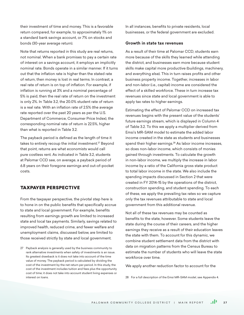their investment of time and money. This is a favorable return compared, for example, to approximately 1% on a standard bank savings account, or 7% on stocks and bonds (30-year average return).

Note that returns reported in this study are real returns, not nominal. When a bank promises to pay a certain rate of interest on a savings account, it employs an implicitly nominal rate. Bonds operate in a similar manner. If it turns out that the inflation rate is higher than the stated rate of return, then money is lost in real terms. In contrast, a real rate of return is on top of inflation. For example, if inflation is running at 3% and a nominal percentage of 5% is paid, then the real rate of return on the investment is only 2%. In Table 3.2, the 20.0% student rate of return is a real rate. With an inflation rate of 2.5% (the average rate reported over the past 20 years as per the U.S. Department of Commerce, Consumer Price Index), the corresponding nominal rate of return is 22.5%, higher than what is reported in Table 3.2.

The payback period is defined as the length of time it takes to entirely recoup the initial investment.<sup>27</sup> Beyond that point, returns are what economists would call pure costless rent. As indicated in Table 3.2, students at Palomar CCD see, on average, a payback period of 6.8 years on their foregone earnings and out-of-pocket costs.

# TAXPAYER PERSPECTIVE

From the taxpayer perspective, the pivotal step here is to hone in on the public benefits that specifically accrue to state and local government. For example, benefits resulting from earnings growth are limited to increased state and local tax payments. Similarly, savings related to improved health, reduced crime, and fewer welfare and unemployment claims, discussed below, are limited to those received strictly by state and local government.

In all instances, benefits to private residents, local businesses, or the federal government are excluded.

## **Growth in state tax revenues**

As a result of their time at Palomar CCD, students earn more because of the skills they learned while attending the district, and businesses earn more because student skills make capital more productive (buildings, machinery, and everything else). This in turn raises profits and other business property income. Together, increases in labor and non-labor (i.e., capital) income are considered the effect of a skilled workforce. These in turn increase tax revenues since state and local government is able to apply tax rates to higher earnings.

Estimating the effect of Palomar CCD on increased tax revenues begins with the present value of the students' future earnings stream, which is displayed in Column 4 of Table 3.2. To this we apply a multiplier derived from Emsi's MR-SAM model to estimate the added labor income created in the state as students and businesses spend their higher earnings.<sup>28</sup> As labor income increases, so does non-labor income, which consists of monies gained through investments. To calculate the growth in non-labor income, we multiply the increase in labor income by a ratio of the California gross state product to total labor income in the state. We also include the spending impacts discussed in Section 2 that were created in FY 2014-15 by the operations of the district, construction spending, and student spending. To each of these, we apply the prevailing tax rates so we capture only the tax revenues attributable to state and local government from this additional revenue.

Not all of these tax revenues may be counted as benefits to the state, however. Some students leave the state during the course of their careers, and the higher earnings they receive as a result of their education leaves the state with them. To account for this dynamic, we combine student settlement data from the district with data on migration patterns from the Census Bureau to estimate the number of students who will leave the state workforce over time.

We apply another reduction factor to account for the

28 For a full description of the Emsi MR-SAM model, see Appendix 4.

<sup>27</sup> Payback analysis is generally used by the business community to rank alternative investments when safety of investments is an issue. Its greatest drawback is it does not take into account of the time value of money. The payback period is calculated by dividing the cost of the investment by the net return per period. In this study, the cost of the investment includes tuition and fees plus the opportunity cost of time; it does not take into account student living expenses or interest on loans.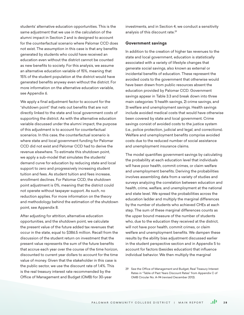students' alternative education opportunities. This is the same adjustment that we use in the calculation of the alumni impact in Section 2 and is designed to account for the counterfactual scenario where Palomar CCD does not exist. The assumption in this case is that any benefits generated by students who could have received an education even without the district cannot be counted as new benefits to society. For this analysis, we assume an alternative education variable of 15%, meaning that 15% of the student population at the district would have generated benefits anyway even without the district. For more information on the alternative education variable, see Appendix 6.

We apply a final adjustment factor to account for the "shutdown point" that nets out benefits that are not directly linked to the state and local government costs of supporting the district. As with the alternative education variable discussed under the alumni impact, the purpose of this adjustment is to account for counterfactual scenarios. In this case, the counterfactual scenario is where state and local government funding for Palomar CCD did not exist and Palomar CCD had to derive the revenue elsewhere. To estimate this shutdown point, we apply a sub-model that simulates the students' demand curve for education by reducing state and local support to zero and progressively increasing student tuition and fees. As student tuition and fees increase, enrollment declines. For Palomar CCD, the shutdown point adjustment is 0%, meaning that the district could not operate without taxpayer support. As such, no reduction applies. For more information on the theory and methodology behind the estimation of the shutdown point, see Appendix 8.

After adjusting for attrition, alternative education opportunities, and the shutdown point, we calculate the present value of the future added tax revenues that occur in the state, equal to \$386.5 million. Recall from the discussion of the student return on investment that the present value represents the sum of the future benefits that accrue each year over the course of the time horizon, discounted to current year dollars to account for the time value of money. Given that the stakeholder in this case is the public sector, we use the discount rate of 1.4%. This is the real treasury interest rate recommended by the Office of Management and Budget (OMB) for 30-year

investments, and in Section 4, we conduct a sensitivity analysis of this discount rate.29

#### **Government savings**

In addition to the creation of higher tax revenues to the state and local government, education is statistically associated with a variety of lifestyle changes that generate social savings, also known as external or incidental benefits of education. These represent the avoided costs to the government that otherwise would have been drawn from public resources absent the education provided by Palomar CCD. Government savings appear in Table 3.3 and break down into three main categories: 1) health savings, 2) crime savings, and 3) welfare and unemployment savings. Health savings include avoided medical costs that would have otherwise been covered by state and local government. Crime savings consist of avoided costs to the justice system (i.e., police protection, judicial and legal, and corrections). Welfare and unemployment benefits comprise avoided costs due to the reduced number of social assistance and unemployment insurance claims.

The model quantifies government savings by calculating the probability at each education level that individuals will have poor health, commit crimes, or claim welfare and unemployment benefits. Deriving the probabilities involves assembling data from a variety of studies and surveys analyzing the correlation between education and health, crime, welfare, and unemployment at the national and state level. We spread the probabilities across the education ladder and multiply the marginal differences by the number of students who achieved CHEs at each step. The sum of these marginal differences counts as the upper bound measure of the number of students who, due to the education they received at the district, will not have poor health, commit crimes, or claim welfare and unemployment benefits. We dampen these results by the ability bias adjustment discussed earlier in the student perspective section and in Appendix 5 to account for factors (besides education) that influence individual behavior. We then multiply the marginal

<sup>29</sup> See the Office of Management and Budget, Real Treasury Interest Rates in "Table of Past Years Discount Rates" from Appendix C of OMB Circular No. A-94 (revised December 2012).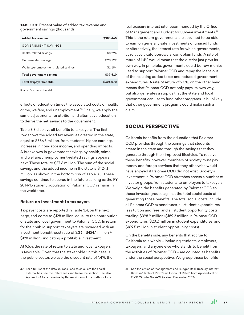**TABLE 3.3:** Present value of added tax revenue and government savings (thousands)

| Added tax revenue                    | \$386,460 |
|--------------------------------------|-----------|
| <b>GOVERNMENT SAVINGS</b>            |           |
| Health-related savings               | \$8.294   |
| Crime-related savings                | \$28.122  |
| Welfare/unemployment-related savings | \$1,194   |
| <b>Total government savings</b>      | \$37,610  |
| <b>Total taxpayer benefits</b>       | S424,070  |

Source: Emsi impact model.

effects of education times the associated costs of health, crime, welfare, and unemployment.30 Finally, we apply the same adjustments for attrition and alternative education to derive the net savings to the government.

Table 3.3 displays all benefits to taxpayers. The first row shows the added tax revenues created in the state, equal to \$386.5 million, from students' higher earnings, increases in non-labor income, and spending impacts. A breakdown in government savings by health, crime, and welfare/unemployment-related savings appears next. These total to \$37.6 million. The sum of the social savings and the added income in the state is \$424.1 million, as shown in the bottom row of Table 3.3. These savings continue to accrue in the future as long as the FY 2014-15 student population of Palomar CCD remains in the workforce.

#### **Return on investment to taxpayers**

Taxpayer costs are reported in Table 3.4, on the next page, and come to \$128 million, equal to the contribution of state and local government to Palomar CCD. In return for their public support, taxpayers are rewarded with an investment benefit-cost ratio of 3.3 ( =  $$424.1$  million  $\div$ \$128 million), indicating a profitable investment.

At 9.5%, the rate of return to state and local taxpayers is favorable. Given that the stakeholder in this case is the public sector, we use the discount rate of 1.4%, the real treasury interest rate recommended by the Office of Management and Budget for 30-year investments.<sup>31</sup> This is the return governments are assumed to be able to earn on generally safe investments of unused funds, or alternatively, the interest rate for which governments, as relatively safe borrowers, can obtain funds. A rate of return of 1.4% would mean that the district just pays its own way. In principle, governments could borrow monies used to support Palomar CCD and repay the loans out of the resulting added taxes and reduced government expenditures. A rate of return of 9.5%, on the other hand, means that Palomar CCD not only pays its own way, but also generates a surplus that the state and local government can use to fund other programs. It is unlikely that other government programs could make such a claim.

## SOCIAL PERSPECTIVE

California benefits from the education that Palomar CCD provides through the earnings that students create in the state and through the savings that they generate through their improved lifestyles. To receive these benefits, however, members of society must pay money and forego services that they otherwise would have enjoyed if Palomar CCD did not exist. Society's investment in Palomar CCD stretches across a number of investor groups, from students to employers to taxpayers. We weigh the benefits generated by Palomar CCD to these investor groups against the total social costs of generating those benefits. The total social costs include all Palomar CCD expenditures, all student expenditures less tuition and fees, and all student opportunity costs, totaling \$398.9 million (\$189.2 million in Palomar CCD expenditures, \$20.2 million in student expenditures, and \$189.5 million in student opportunity costs).

On the benefits side, any benefits that accrue to California as a whole – including students, employers, taxpayers, and anyone else who stands to benefit from the activities of Palomar CCD – are counted as benefits under the social perspective. We group these benefits

<sup>30</sup> For a full list of the data sources used to calculate the social externalities, see the References and Resource section. See also Appendix 4 for a more in-depth description of the methodology.

<sup>31</sup> See the Office of Management and Budget, Real Treasury Interest Rates in "Table of Past Years Discount Rates" from Appendix C of OMB Circular No. A-94 (revised December 2012).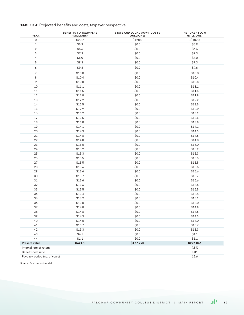# TABLE 3.4: Projected benefits and costs, taxpayer perspective

| <b>YEAR</b>                   | <b>BENEFITS TO TAXPAYERS</b><br>(MILLIONS) | <b>STATE AND LOCAL GOV'T COSTS</b><br>(MILLIONS) | <b>NET CASH FLOW</b><br>(MILLIONS) |
|-------------------------------|--------------------------------------------|--------------------------------------------------|------------------------------------|
| 0                             | \$20.7                                     | \$128.0                                          | $-$107.3$                          |
| $\mathbf{1}$                  | \$5.9                                      | \$0.0\$                                          | \$5.9                              |
| $\overline{2}$                | \$6.6                                      | \$0.0\$                                          | \$6.6                              |
| 3                             | \$7.3                                      | \$0.0\$                                          | \$7.3                              |
| 4                             | \$8.0                                      | \$0.0\$                                          | \$8.0                              |
| 5                             | \$9.3                                      | \$0.0\$                                          | \$9.3                              |
| 6                             | \$9.6                                      | \$0.0\$                                          | \$9.6                              |
| 7                             | \$10.0                                     | \$0.0\$                                          | \$10.0                             |
| 8                             | \$10.4                                     | \$0.0                                            | \$10.4                             |
| 9                             | \$10.8                                     | \$0.0                                            | \$10.8                             |
| 10                            | \$11.1                                     | \$0.0\$                                          | \$11.1                             |
| 11                            | \$11.5                                     | \$0.0\$                                          | \$11.5                             |
| 12                            | \$11.8                                     | \$0.0                                            | \$11.8                             |
| 13                            | \$12.2                                     | \$0.0                                            | \$12.2                             |
| 14                            | \$12.5                                     | \$0.0                                            | \$12.5                             |
| 15                            | \$12.9                                     | \$0.0                                            | \$12.9                             |
| 16                            | \$13.2                                     | \$0.0                                            | \$13.2                             |
| 17                            | \$13.5                                     | \$0.0                                            | \$13.5                             |
| 18                            | \$13.8                                     | \$0.0                                            | \$13.8                             |
| 19                            | \$14.1                                     | \$0.0                                            | \$14.1                             |
| 20                            | \$14.3                                     | \$0.0                                            | \$14.3                             |
| 21                            | \$14.6                                     | \$0.0                                            | \$14.6                             |
| 22                            | \$14.8                                     | \$0.0                                            | \$14.8                             |
| 23                            | \$15.0                                     | \$0.0\$                                          | \$15.0                             |
| 24                            | \$15.2                                     | \$0.0                                            | \$15.2                             |
| 25                            | \$15.3                                     | \$0.0                                            | \$15.3                             |
| 26                            | \$15.5                                     | \$0.0\$                                          | \$15.5                             |
| 27                            | \$15.5                                     | \$0.0\$                                          | \$15.5                             |
| 28                            | \$15.6                                     | \$0.0                                            | \$15.6                             |
| 29                            | \$15.6                                     | \$0.0                                            | \$15.6                             |
| 30                            | \$15.7                                     | \$0.0                                            | \$15.7                             |
| 31                            | \$15.6                                     | \$0.0                                            | \$15.6                             |
| 32                            | \$15.6                                     | \$0.0                                            | \$15.6                             |
| 33                            | \$15.5                                     | \$0.0                                            | \$15.5                             |
| 34                            | \$15.4                                     | \$0.0                                            | \$15.4                             |
| 35                            | \$15.2                                     | \$0.0\$                                          | \$15.2                             |
| 36                            | \$15.0                                     | \$0.0\$                                          | \$15.0                             |
| 37                            | \$14.8                                     | \$0.0\$                                          | \$14.8                             |
| 38                            | \$14.6                                     | \$0.0\$                                          | \$14.6                             |
| 39                            | \$14.3                                     | \$0.0\$                                          | \$14.3                             |
| 40                            | \$14.0                                     | \$0.0\$                                          | \$14.0                             |
| 41                            | \$13.7                                     | \$0.0\$                                          | \$13.7                             |
| 42                            | \$13.3                                     | \$0.0\$                                          | \$13.3                             |
| 43                            | \$4.1                                      | \$0.0\$                                          | \$4.1                              |
| 44                            | \$1.1                                      | \$0.0\$                                          | $$1.1$                             |
| <b>Present value</b>          | \$424.1                                    | \$127.990                                        | \$296.066                          |
| Internal rate of return       |                                            |                                                  | 9.5%                               |
| Benefit-cost ratio            |                                            |                                                  | 3.31                               |
| Payback period (no. of years) |                                            |                                                  | 12.6                               |
|                               |                                            |                                                  |                                    |

Source: Emsi impact model.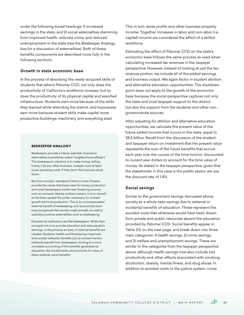under the following broad headings: 1) increased earnings in the state, and 2) social externalities stemming from improved health, reduced crime, and reduced unemployment in the state (see the Beekeeper Analogy box for a discussion of externalities). Both of these benefits components are described more fully in the following sections.

## **Growth in state economic base**

In the process of absorbing the newly-acquired skills of students that attend Palomar CCD, not only does the productivity of California's workforce increase, but so does the productivity of its physical capital and assorted infrastructure. Students earn more because of the skills they learned while attending the district, and businesses earn more because student skills make capital more productive (buildings, machinery, and everything else).

#### BEEKEEPER ANALOGY

Beekeepers provide a classic example of positive externalities (sometimes called "neighborhood effects"). The beekeeper's intention is to make money selling honey. Like any other business, receipts must at least cover operating costs. If they don't, the business shuts down.

But from society's standpoint there is more. Flowers provide the nectar that bees need for honey production, and smart beekeepers locate near flowering sources such as orchards. Nearby orchard owners, in turn, benefit as the bees spread the pollen necessary for orchard growth and fruit production. This is an uncompensated external benefit of beekeeping, and economists have long recognized that society might actually do well to subsidize positive externalities such as beekeeping.

Educational institutions are like beekeepers. While their principal aim is to provide education and raise people's earnings, in the process an array of external benefits are created. Students' health and lifestyles are improved, and society indirectly benefits just as orchard owners indirectly benefit from beekeepers. Aiming at a more complete accounting of the benefits generated by education, the model tracks and accounts for many of these external social benefits.

This in turn raises profits and other business property income. Together, increases in labor and non-labor (i.e., capital) income are considered the effect of a skilled workforce.

Estimating the effect of Palomar CCD on the state's economic base follows the same process as used when calculating increased tax revenues in the taxpayer perspective. However, instead of looking at just the tax revenue portion, we include all of the added earnings and business output. We again factor in student attrition and alternative education opportunities. The shutdown point does not apply to the growth of the economic base because the social perspective captures not only the state and local taxpayer support to the district, but also the support from the students and other nongovernmental sources.

After adjusting for attrition and alternative education opportunities, we calculate the present value of the future added income that occurs in the state, equal to \$5.5 billion. Recall from the discussion of the student and taxpayer return on investment that the present value represents the sum of the future benefits that accrue each year over the course of the time horizon, discounted to current year dollars to account for the time value of money. As stated in the taxpayer perspective, given that the stakeholder in this case is the public sector, we use the discount rate of 14%

#### **Social savings**

Similar to the government savings discussed above, society as a whole sees savings due to external or incidental benefits of education. These represent the avoided costs that otherwise would have been drawn from private and public resources absent the education provided by Palomar CCD. Social benefits appear in Table 3.5, on the next page, and break down into three main categories: 1) health savings, 2) crime savings, and 3) welfare and unemployment savings. These are similar to the categories from the taxpayer perspective above, although health savings now also include lost productivity and other effects associated with smoking, alcoholism, obesity, mental illness, and drug abuse. In addition to avoided costs to the justice system, crime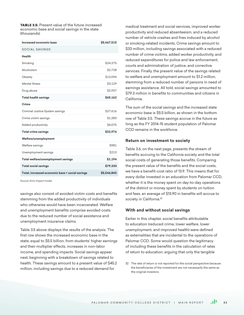**TABLE 3.5:** Present value of the future increased economic base and social savings in the state (thousands)

| Increased economic base                         | \$5,467,515  |
|-------------------------------------------------|--------------|
| <b>SOCIAL SAVINGS</b>                           |              |
| Health                                          |              |
| Smoking                                         | \$24,275     |
| Alcoholism                                      | \$2,728      |
| Obesity                                         | \$12,094     |
| Mental illness                                  | \$3,129      |
| Drug abuse                                      | \$2,937      |
| <b>Total health savings</b>                     | \$45,162     |
| Crime                                           |              |
| Criminal Justice System savings                 | \$27,616     |
| Crime victim savings                            | \$1,283      |
| Added productivity                              | \$4,075      |
| <b>Total crime savings</b>                      | \$32,974     |
| Welfare/unemployment                            |              |
| Welfare savings                                 | \$981        |
| Unemployment savings                            | <b>\$213</b> |
| Total welfare/unemployment savings              | \$1,194      |
| <b>Total social savings</b>                     | \$79,330     |
| Total, increased economic base + social savings | \$5,546,845  |

Source: Emsi impact model.

savings also consist of avoided victim costs and benefits stemming from the added productivity of individuals who otherwise would have been incarcerated. Welfare and unemployment benefits comprise avoided costs due to the reduced number of social assistance and unemployment insurance claims.

Table 3.5 above displays the results of the analysis. The first row shows the increased economic base in the state, equal to \$5.5 billion, from students' higher earnings and their multiplier effects, increases in non-labor income, and spending impacts. Social savings appear next, beginning with a breakdown of savings related to health. These savings amount to a present value of \$45.2 million, including savings due to a reduced demand for

medical treatment and social services, improved worker productivity and reduced absenteeism, and a reduced number of vehicle crashes and fires induced by alcohol or smoking-related incidents. Crime savings amount to \$33 million, including savings associated with a reduced number of crime victims, added worker productivity, and reduced expenditures for police and law enforcement, courts and administration of justice, and corrective services. Finally, the present value of the savings related to welfare and unemployment amount to \$1.2 million, stemming from a reduced number of persons in need of earnings assistance. All told, social savings amounted to \$79.3 million in benefits to communities and citizens in California.

The sum of the social savings and the increased state economic base is \$5.5 billion, as shown in the bottom row of Table 3.5. These savings accrue in the future as long as the FY 2014-15 student population of Palomar CCD remains in the workforce.

#### **Return on investment to society**

Table 3.6, on the next page, presents the stream of benefits accruing to the California society and the total social costs of generating those benefits. Comparing the present value of the benefits and the social costs, we have a benefit-cost ratio of 13.9. This means that for every dollar invested in an education from Palomar CCD, whether it is the money spent on day-to-day operations of the district or money spent by students on tuition and fees, an average of \$13.90 in benefits will accrue to society in California.<sup>32</sup>

#### **With and without social savings**

Earlier in this chapter, social benefits attributable to education (reduced crime, lower welfare, lower unemployment, and improved health) were defined as externalities that are incidental to the operations of Palomar CCD. Some would question the legitimacy of including these benefits in the calculation of rates of return to education, arguing that only the tangible

<sup>32</sup> The rate of return is not reported for the social perspective because the beneficiaries of the investment are not necessarily the same as the original investors.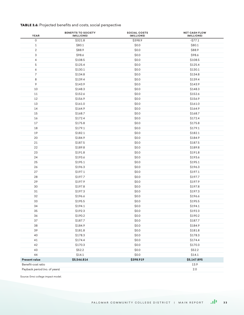# TABLE 3.6: Projected benefits and costs, social perspective

| <b>YEAR</b>                              | <b>BENEFITS TO SOCIETY</b><br>(MILLIONS) | <b>SOCIAL COSTS</b><br>(MILLIONS) | <b>NET CASH FLOW</b><br>(MILLIONS) |  |  |
|------------------------------------------|------------------------------------------|-----------------------------------|------------------------------------|--|--|
| $\mathsf{O}\xspace$                      | \$321.8                                  | \$398.9                           | $-$ \$77.1                         |  |  |
| 1                                        | \$80.1                                   | \$0.0                             | \$80.1                             |  |  |
| $\overline{2}$                           | \$88.9                                   | \$0.0                             | \$88.9                             |  |  |
| 3                                        | \$98.6                                   | \$0.0                             | \$98.6                             |  |  |
| 4                                        | \$108.5                                  | \$0.0                             | \$108.5                            |  |  |
| 5                                        | \$125.4                                  | \$0.0                             | \$125.4                            |  |  |
| 6                                        | \$130.1                                  | \$0.0\$                           | \$130.1                            |  |  |
| 7                                        | \$134.8                                  | \$0.0                             | \$134.8                            |  |  |
| 8                                        | \$139.4                                  | \$0.0                             | \$139.4                            |  |  |
| 9                                        | \$143.9                                  | \$0.0                             | \$143.9                            |  |  |
| 10                                       | \$148.3                                  | \$0.0                             | \$148.3                            |  |  |
| 11                                       | \$152.6                                  | \$0.0                             | \$152.6                            |  |  |
| 12                                       | \$156.9                                  | \$0.0                             | \$156.9                            |  |  |
| 13                                       | \$161.0                                  | \$0.0                             | \$161.0                            |  |  |
| 14                                       | \$164.9                                  | \$0.0                             | \$164.9                            |  |  |
| 15                                       | \$168.7                                  | \$0.0                             | \$168.7                            |  |  |
| 16                                       | \$172.4                                  | \$0.0                             | \$172.4                            |  |  |
| 17                                       | \$175.8                                  | \$0.0                             | \$175.8                            |  |  |
| 18                                       | \$179.1                                  | \$0.0                             | \$179.1                            |  |  |
| 19                                       | \$182.1                                  | \$0.0                             | \$182.1                            |  |  |
| 20                                       | \$184.9                                  | \$0.0                             | \$184.9                            |  |  |
| 21                                       | \$187.5                                  | \$0.0                             | \$187.5                            |  |  |
| 22                                       | \$189.8                                  | \$0.0                             | \$189.8                            |  |  |
| 23                                       | \$191.8                                  | \$0.0                             | \$191.8                            |  |  |
| 24                                       | \$193.6                                  | \$0.0                             | \$193.6                            |  |  |
| 25                                       | \$195.1                                  | \$0.0                             | \$195.1                            |  |  |
| 26                                       | \$196.3                                  | \$0.0                             | \$196.3                            |  |  |
| 27                                       | \$197.1                                  | \$0.0                             | \$197.1                            |  |  |
| 28                                       | \$197.7                                  | \$0.0                             | \$197.7                            |  |  |
| 29                                       | \$197.9                                  | \$0.0                             | \$197.9                            |  |  |
| 30                                       | \$197.8                                  | \$0.0\$                           | \$197.8                            |  |  |
| 31                                       | \$197.3                                  | \$0.0                             | \$197.3                            |  |  |
| 32                                       | \$196.6                                  | \$0.0                             | \$196.6                            |  |  |
| 33                                       | \$195.5                                  | \$0.0                             | \$195.5                            |  |  |
| 34                                       | \$194.1                                  | \$0.0                             | \$194.1                            |  |  |
| 35                                       | \$192.3                                  | \$0.0\$                           | \$192.3                            |  |  |
| 36                                       | \$190.2                                  | \$0.0\$                           | \$190.2                            |  |  |
| 37                                       | \$187.7                                  | \$0.0\$                           | \$187.7                            |  |  |
| 38                                       | \$184.9                                  | \$0.0\$                           | \$184.9                            |  |  |
| 39                                       | \$181.8                                  | \$0.0\$                           | \$181.8                            |  |  |
| 40                                       | \$178.3                                  | \$0.0\$                           | \$178.3                            |  |  |
| 41                                       | \$174.4                                  | \$0.0\$                           | \$174.4                            |  |  |
| 42                                       | \$170.3                                  | \$0.0\$                           | \$170.3                            |  |  |
| 43                                       | \$52.2                                   | \$0.0\$                           | \$52.2                             |  |  |
| 44                                       | \$14.1                                   | \$0.0\$                           | \$14.1                             |  |  |
| Present value                            | \$5,546.814                              | \$398.919                         | \$5,147.895                        |  |  |
| Benefit-cost ratio                       |                                          |                                   | 13.9                               |  |  |
| Payback period (no. of years)<br>$2.0\,$ |                                          |                                   |                                    |  |  |

Source: Emsi college impact model.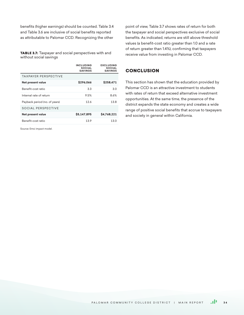benefits (higher earnings) should be counted. Table 3.4 and Table 3.6 are inclusive of social benefits reported as attributable to Palomar CCD. Recognizing the other

TABLE 3.7: Taxpayer and social perspectives with and without social savings

|                               | <b>INCLUDING</b><br><b>SOCIAL</b><br><b>SAVINGS</b> | <b>EXCLUDING</b><br><b>SOCIAL</b><br><b>SAVINGS</b> |
|-------------------------------|-----------------------------------------------------|-----------------------------------------------------|
| <b>TAXPAYER PERSPECTIVE</b>   |                                                     |                                                     |
| Net present value             | \$296,066                                           | \$258,471                                           |
| Benefit-cost ratio            | 3.3                                                 | 3.0                                                 |
| Internal rate of return       | 9.5%                                                | 8.6%                                                |
| Payback period (no. of years) | 12.6                                                | 13.8                                                |
| <b>SOCIAL PERSPECTIVE</b>     |                                                     |                                                     |
| Net present value             | \$5,147,895                                         | \$4,768,221                                         |
| Benefit-cost ratio            | 13.9                                                | 130                                                 |

Source: Emsi impact model.

point of view, Table 3.7 shows rates of return for both the taxpayer and social perspectives exclusive of social benefits. As indicated, returns are still above threshold values (a benefit-cost ratio greater than 1.0 and a rate of return greater than 1.4%), confirming that taxpayers receive value from investing in Palomar CCD.

# **CONCLUSION**

This section has shown that the education provided by Palomar CCD is an attractive investment to students with rates of return that exceed alternative investment opportunities. At the same time, the presence of the district expands the state economy and creates a wide range of positive social benefits that accrue to taxpayers and society in general within California.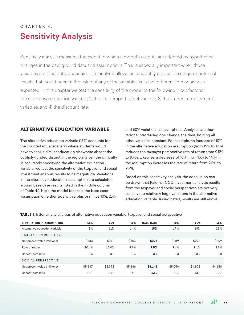# C hapter 4: Sensitivity Analysis

Sensitivity analysis measures the extent to which a model's outputs are affected by hypothetical changes in the background data and assumptions. This is especially important when those variables are inherently uncertain. This analysis allows us to identify a plausible range of potential results that would occur if the value of any of the variables is in fact different from what was expected. In this chapter we test the sensitivity of the model to the following input factors: 1) the alternative education variable, 2) the labor import effect variable, 3) the student employment variables, and 4) the discount rate.

# ALTERNATIVE EDUCATION VARIABLE

The alternative education variable (15%) accounts for the counterfactual scenario where students would have to seek a similar education elsewhere absent the publicly-funded district in the region. Given the difficulty in accurately specifying the alternative education variable, we test the sensitivity of the taxpayer and social investment analysis results to its magnitude. Variations in the alternative education assumption are calculated around base case results listed in the middle column of Table 4.1. Next, the model brackets the base case assumption on either side with a plus or minus 10%, 25%,

and 50% variation in assumptions. Analyses are then redone introducing one change at a time, holding all other variables constant. For example, an increase of 10% in the alternative education assumption (from 15% to 17%) reduces the taxpayer perspective rate of return from 9.5% to 9.4%. Likewise, a decrease of 10% (from 15% to 14%) in the assumption increases the rate of return from 9.5% to 9.7%.

Based on this sensitivity analysis, the conclusion can be drawn that Palomar CCD investment analysis results from the taxpayer and social perspectives are not very sensitive to relatively large variations in the alternative education variable. As indicated, results are still above

TABLE 4.1: Sensitivity analysis of alternative education variable, taxpayer and social perspective

| % VARIATION IN ASSUMPTION      | -50%    | $-25%$        | $-10%$         | <b>BASE CASE</b> | 10%     | 25%          | 50%          |
|--------------------------------|---------|---------------|----------------|------------------|---------|--------------|--------------|
| Alternative education variable | 8%      | 11%           | 14%            | 15%              | 17%     | 19%          | 23%          |
| <b>TAXPAYER PERSPECTIVE</b>    |         |               |                |                  |         |              |              |
| Net present value (millions)   | \$333   | <b>\$315</b>  | <b>\$304</b>   | \$296            | \$289   | <b>\$277</b> | <b>\$259</b> |
| Rate of return                 | 10.4%   | 10.0%         | 9.7%           | 9.5%             | 9.4%    | 9.1%         | 8.7%         |
| Benefit-cost ratio             | 3.6     | 3.5           | 3.4            | 3.3              | 3.3     | 3.2          | 3.0          |
| SOCIAL PERSPECTIVE             |         |               |                |                  |         |              |              |
| Net present value (millions)   | \$5.637 | <b>S5.393</b> | <b>\$5.246</b> | \$5,148          | \$5,050 | \$4,903      | \$4,658      |
| Benefit-cost ratio             | 15.1    | 14.5          | 14.1           | 13.9             | 13.7    | 13.3         | 12.7         |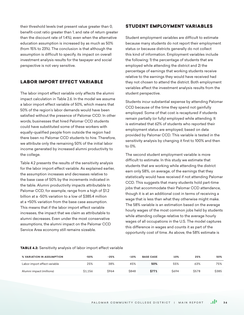their threshold levels (net present value greater than 0, benefit-cost ratio greater than 1, and rate of return greater than the discount rate of 1.4%), even when the alternative education assumption is increased by as much as 50% (from 15% to 23%). The conclusion is that although the assumption is difficult to specify, its impact on overall investment analysis results for the taxpayer and social perspective is not very sensitive.

# LABOR IMPORT EFFECT VARIABLE

The labor import effect variable only affects the alumni impact calculation in Table 2.6. In the model we assume a labor import effect variable of 50%, which means that 50% of the region's labor demands would have been satisfied without the presence of Palomar CCD. In other words, businesses that hired Palomar CCD students could have substituted some of these workers with equally-qualified people from outside the region had there been no Palomar CCD students to hire. Therefore, we attribute only the remaining 50% of the initial labor income generated by increased alumni productivity to the college.

Table 4.2 presents the results of the sensitivity analysis for the labor import effect variable. As explained earlier, the assumption increases and decreases relative to the base case of 50% by the increments indicated in the table. Alumni productivity impacts attributable to Palomar CCD, for example, range from a high of \$1.2 billion at a -50% variation to a low of \$385.4 million at a +50% variation from the base case assumption. This means that if the labor import effect variable increases, the impact that we claim as attributable to alumni decreases. Even under the most conservative assumptions, the alumni impact on the Palomar CCD Service Area economy still remains sizeable.

# STUDENT EMPLOYMENT VARIABLES

Student employment variables are difficult to estimate because many students do not report their employment status or because districts generally do not collect this kind of information. Employment variables include the following: 1) the percentage of students that are employed while attending the district and 2) the percentage of earnings that working students receive relative to the earnings they would have received had they not chosen to attend the district. Both employment variables affect the investment analysis results from the student perspective.

Students incur substantial expense by attending Palomar CCD because of the time they spend not gainfully employed. Some of that cost is recaptured if students remain partially (or fully) employed while attending. It is estimated that 62% of students who reported their employment status are employed, based on data provided by Palomar CCD. This variable is tested in the sensitivity analysis by changing it first to 100% and then to 0%.

The second student employment variable is more difficult to estimate. In this study we estimate that students that are working while attending the district earn only 58%, on average, of the earnings that they statistically would have received if not attending Palomar CCD. This suggests that many students hold part-time jobs that accommodate their Palomar CCD attendance, though it is at an additional cost in terms of receiving a wage that is less than what they otherwise might make. The 58% variable is an estimation based on the average hourly wages of the most common jobs held by students while attending college relative to the average hourly wages of all occupations in the U.S. The model captures this difference in wages and counts it as part of the opportunity cost of time. As above, the 58% estimate is

#### TABLE 4.2: Sensitivity analysis of labor import effect variable

| % VARIATION IN ASSUMPTION    | -50%    | $-25%$       | $-10%$      | <b>BASE CASE</b> | 10%         | 25%          | 50%          |
|------------------------------|---------|--------------|-------------|------------------|-------------|--------------|--------------|
| Labor import effect variable | 25%     | 38%          | 45%         | 50%              | 55%         | 63%          | 75%          |
| Alumni impact (millions)     | \$1.156 | <b>\$964</b> | <b>S848</b> | \$771            | <b>S694</b> | <b>\$578</b> | <b>\$385</b> |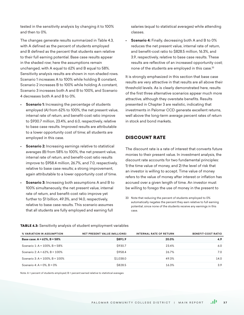tested in the sensitivity analysis by changing it to 100% and then to 0%.

The changes generate results summarized in Table 4.3, with A defined as the percent of students employed and B defined as the percent that students earn relative to their full earning potential. Base case results appear in the shaded row; here the assumptions remain unchanged, with A equal to 62% and B equal to 58%. Sensitivity analysis results are shown in non-shaded rows. Scenario 1 increases A to 100% while holding B constant, Scenario 2 increases B to 100% while holding A constant, Scenario 3 increases both A and B to 100%, and Scenario 4 decreases both A and B to 0%.

- **Scenario 1:** Increasing the percentage of students employed (A) from 62% to 100%, the net present value, internal rate of return, and benefit-cost ratio improve to \$930.7 million, 23.4%, and 6.0, respectively, relative to base case results. Improved results are attributable to a lower opportunity cost of time; all students are employed in this case.
- **Scenario 2:** Increasing earnings relative to statistical averages (B) from 58% to 100%, the net present value, internal rate of return, and benefit-cost ratio results improve to \$958.4 million, 26.7%, and 7.0, respectively, relative to base case results; a strong improvement, again attributable to a lower opportunity cost of time.
- **Scenario 3:** Increasing both assumptions A and B to 100% simultaneously, the net present value, internal rate of return, and benefit-cost ratio improve yet further to \$1 billion, 49.3%, and 14.0, respectively, relative to base case results. This scenario assumes that all students are fully employed and earning full

salaries (equal to statistical averages) while attending classes.

• **Scenario 4:** Finally, decreasing both A and B to 0% reduces the net present value, internal rate of return, and benefit-cost ratio to \$828.5 million, 16.3%, and 3.9, respectively, relative to base case results. These results are reflective of an increased opportunity cost; none of the students are employed in this case.<sup>33</sup>

It is strongly emphasized in this section that base case results are very attractive in that results are all above their threshold levels. As is clearly demonstrated here, results of the first three alternative scenarios appear much more attractive, although they overstate benefits. Results presented in Chapter 3 are realistic, indicating that investments in Palomar CCD generate excellent returns, well above the long-term average percent rates of return in stock and bond markets.

# DISCOUNT RATE

The discount rate is a rate of interest that converts future monies to their present value. In investment analysis, the discount rate accounts for two fundamental principles: 1) the time value of money, and 2) the level of risk that an investor is willing to accept. Time value of money refers to the value of money after interest or inflation has accrued over a given length of time. An investor must be willing to forego the use of money in the present to

33 Note that reducing the percent of students employed to 0% automatically negates the percent they earn relative to full earning potential, since none of the students receive any earnings in this case.

**TABLE 4.3:** Sensitivity analysis of student employment variables

| <b>% VARIATION IN ASSUMPTION</b>     | <b>NET PRESENT VALUE (MILLIONS)</b> | <b>INTERNAL RATE OF RETURN</b> | <b>BENEFIT-COST RATIO</b> |
|--------------------------------------|-------------------------------------|--------------------------------|---------------------------|
| Base case: A = 62%, B = 58%          | \$891.9                             | 20.0%                          | 4.9                       |
| Scenario 1: A = $100\%$ , B = $58\%$ | \$930.7                             | 23.4%                          | 6.0                       |
| Scenario 2: A = $62\%$ , B = $100\%$ | \$958.4                             | 26.7%                          | 7.0                       |
| Scenario 3: A = 100%, B = 100%       | \$1,038.0                           | 49.3%                          | 14.0                      |
| Scenario 4: A = $0\%$ , B = $0\%$    | <b>\$828.5</b>                      | 16.3%                          | 3.9                       |

Note: A = percent of students employed; B = percent earned relative to statistical averages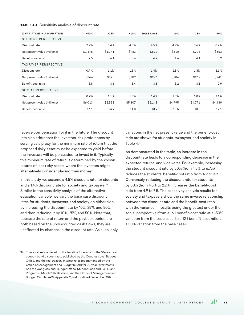#### TABLE 4.4: Sensitivity analysis of discount rate

| % VARIATION IN ASSUMPTION    | $-50%$  | $-25%$  | $-10%$  | <b>BASE CASE</b> | 10%     | 25%     | 50%     |
|------------------------------|---------|---------|---------|------------------|---------|---------|---------|
| STUDENT PERSPECTIVE          |         |         |         |                  |         |         |         |
| Discount rate                | 2.2%    | 3.4%    | 4.0%    | 4.5%             | 4.9%    | 5.6%    | 6.7%    |
| Net present value (millions) | \$1,476 | \$1,141 | \$983   | \$892            | \$810   | \$703   | \$653   |
| Benefit-cost ratio           | 7.5     | 6.1     | 5.4     | 4.9              | 4.6     | 4.1     | 3.9     |
| <b>TAXPAYER PERSPECTIVE</b>  |         |         |         |                  |         |         |         |
| Discount rate                | 0.7%    | 1.1%    | 1.3%    | 1.4%             | 1.5%    | 1.8%    | 2.1%    |
| Net present value (millions) | \$364   | \$328   | \$309   | \$296            | \$284   | \$267   | \$241   |
| Benefit-cost ratio           | 3.8     | 3.6     | 3.4     | 3.3              | 3.2     | 3.1     | 2.9     |
| <b>SOCIAL PERSPECTIVE</b>    |         |         |         |                  |         |         |         |
| Discount rate                | 0.7%    | 1.1%    | 1.3%    | 1.4%             | 1.5%    | 1.8%    | 2.1%    |
| Net present value (millions) | \$6,013 | \$5,558 | \$5,307 | \$5,148          | \$4,995 | \$4,776 | \$4,439 |
| Benefit-cost ratio           | 16.1    | 14.9    | 14.3    | 13.9             | 13.5    | 13.0    | 12.1    |

receive compensation for it in the future. The discount rate also addresses the investors' risk preferences by serving as a proxy for the minimum rate of return that the proposed risky asset must be expected to yield before the investors will be persuaded to invest in it. Typically, this minimum rate of return is determined by the known returns of less risky assets where the investors might alternatively consider placing their money.

In this study, we assume a 4.5% discount rate for students and a 1.4% discount rate for society and taxpayers.<sup>34</sup> Similar to the sensitivity analysis of the alternative education variable, we vary the base case discount rates for students, taxpayers, and society on either side by increasing the discount rate by 10%, 25%, and 50%, and then reducing it by 10%, 25%, and 50%. Note that, because the rate of return and the payback period are both based on the undiscounted cash flows, they are unaffected by changes in the discount rate. As such, only variations in the net present value and the benefit-cost ratio are shown for students, taxpayers, and society in Table 4.4.

As demonstrated in the table, an increase in the discount rate leads to a corresponding decrease in the expected returns, and vice versa. For example, increasing the student discount rate by 50% (from 4.5% to 6.7%) reduces the students' benefit-cost ratio from 4.9 to 3.9. Conversely, reducing the discount rate for students by 50% (from 4.5% to 2.2%) increases the benefit-cost ratio from 4.9 to 7.5. The sensitivity analysis results for society and taxpayers show the same inverse relationship between the discount rate and the benefit-cost ratio, with the variance in results being the greatest under the social perspective (from a 16.1 benefit-cost ratio at a -50% variation from the base case, to a 12.1 benefit-cost ratio at a 50% variation from the base case).

<sup>34</sup> These values are based on the baseline forecasts for the 10-year zero coupon bond discount rate published by the Congressional Budget Office, and the real treasury interest rates recommended by the Office of Management and Budget (OMB) for 30-year investments. See the Congressional Budget Office, Student Loan and Pell Grant Programs - March 2012 Baseline, and the Office of Management and Budget, Circular A-94 Appendix C, last modified December 2012.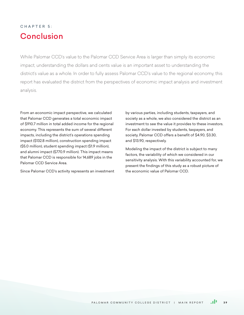# CHAPTER 5: Conclusion

While Palomar CCD's value to the Palomar CCD Service Area is larger than simply its economic impact, understanding the dollars and cents value is an important asset to understanding the district's value as a whole. In order to fully assess Palomar CCD's value to the regional economy, this report has evaluated the district from the perspectives of economic impact analysis and investment analysis.

From an economic impact perspective, we calculated that Palomar CCD generates a total economic impact of \$910.7 million in total added income for the regional economy. This represents the sum of several different impacts, including the district's operations spending impact (\$132.8 million), construction spending impact (\$5.0 million), student spending impact (\$1.9 million), and alumni impact (\$770.9 million). This impact means that Palomar CCD is responsible for 14,689 jobs in the Palomar CCD Service Area.

Since Palomar CCD's activity represents an investment

by various parties, including students, taxpayers, and society as a whole, we also considered the district as an investment to see the value it provides to these investors. For each dollar invested by students, taxpayers, and society, Palomar CCD offers a benefit of \$4.90, \$3.30, and \$13.90, respectively.

Modeling the impact of the district is subject to many factors, the variability of which we considered in our sensitivity analysis. With this variability accounted for, we present the findings of this study as a robust picture of the economic value of Palomar CCD.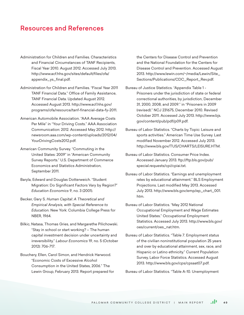# Resources and References

- Administration for Children and Families. Characteristics and Financial Circumstances of TANF Recipients, Fiscal Year 2010. August 2012. Accessed July 2013. http://www.acf.hhs.gov/sites/default/files/ofa/ appendix\_ys\_final.pdf.
- Administration for Children and Families. "Fiscal Year 2011 TANF Financial Data." Office of Family Assistance, TANF Financial Data. Updated August 2012. Accessed August 2013. http://www.acf.hhs.gov/ programs/ofa/resource/tanf-financial-data-fy-2011.
- American Automobile Association. "AAA Average Costs Per Mile" in "Your Driving Costs." AAA Association Communication: 2012. Accessed May 2012. http:// newsroom.aaa.com/wp-content/uploads/2012/04/ YourDrivingCosts2012.pdf.
- American Community Survey. "Commuting in the United States: 2009" in "American Community Survey Reports." U.S. Department of Commerce Economics and Statistics Administration, September 2011.
- Baryla, Edward and Douglas Dotterweich. "Student Migration: Do Significant Factors Vary by Region?" *Education Economics* 9, no. 3 (2001).
- Becker, Gary S. *Human Capital: A Theoretical and Empirical Analysis, with Special Reference to Education.* New York: Columbia College Press for NBER, 1964.
- Bilkic, Natasa, Thomas Gries, and Margarethe Pilichowski. "Stay in school or start working? – The human capital investment decision under uncertainty and irreversibility." *Labour Economics* 19, no. 5 (October 2012): 706-717.
- Bouchery, Ellen, Carol Simon, and Hendrick Harwood. "Economic Costs of Excessive Alcohol Consumption in the United States, 2006." The Lewin Group, February 2013. Report prepared for

the Centers for Disease Control and Prevention and the National Foundation for the Centers for Disease Control and Prevention. Accessed August 2013. http://www.lewin.com/~/media/Lewin/Site\_ Sections/Publications/CDC\_Report\_Rev.pdf.

- Bureau of Justice Statistics. "Appendix Table 1 Prisoners under the jurisdiction of state or federal correctional authorities, by jurisdiction, December 31, 2000, 2008, and 2009." in "Prisoners in 2009 (revised)." NCJ 231675, December 2010. Revised October 2011. Accessed July 2013. http://www.bjs. gov/content/pub/pdf/p09.pdf.
- Bureau of Labor Statistics. "Charts by Topic: Leisure and sports activities." American Time Use Survey. Last modified November 2012. Accessed July 2013. http://www.bls.gov/TUS/CHARTS/LEISURE.HTM.
- Bureau of Labor Statistics. Consumer Price Index. Accessed January 2013. ftp://ftp.bls.gov/pub/ special.requests/cpi/cpiai.txt.
- Bureau of Labor Statistics. "Earnings and unemployment rates by educational attainment." BLS Employment Projections. Last modified May 2013. Accessed July 2013. http://www.bls.gov/emp/ep\_chart\_001. htm.
- Bureau of Labor Statistics. "May 2012 National Occupational Employment and Wage Estimates United States." Occupational Employment Statistics. Accessed July 2013. http://www.bls.gov/ oes/current/oes\_nat.htm.
- Bureau of Labor Statistics. "Table 7. Employment status of the civilian noninstitutional population 25 years and over by educational attainment, sex, race, and Hispanic or Latino ethnicity." Current Population Survey, Labor Force Statistics. Accessed August 2013. http://www.bls.gov/cps/cpsaat07.pdf.

Bureau of Labor Statistics. "Table A-10. Unemployment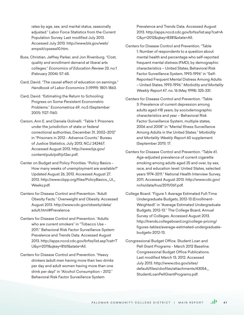rates by age, sex, and marital status, seasonally adjusted." Labor Force Statistics from the Current Population Survey. Last modified July 2013. Accessed July 2013. http://www.bls.gov/web/ empsit/cpseea10.htm.

- Buss, Christian, Jeffrey Parker, and Jon Rivenburg. "Cost, quality and enrollment demand at liberal arts colleges." *Economics of Education Review* 23, no.1 (February 2004): 57-65.
- Card, David. "The causal effect of education on earnings." *Handbook of Labor Economics* 3 (1999): 1801-1863.
- Card, David. "Estimating the Return to Schooling: Progress on Some Persistent Econometric Problems." *Econometrica* 69, no.5 (September 2001): 1127-1160.
- Carson, Ann E. and Daniela Golinelli. "Table 1: Prisoners under the jurisdiction of state or federal correctional authorities, December 31, 2002–2012" in "Prisoners in 2012 - Advance Counts." Bureau of Justice Statistics, July 2013, NCJ 242467. Accessed August 2013. http://www.bjs.gov/ content/pub/pdf/p12ac.pdf.
- Center on Budget and Policy Priorities. "Policy Basics How many weeks of unemployment are available?" Updated August 26, 2013. Accessed August 27, 2013. http://www.cbpp.org/files/PolicyBasics\_UI\_ Weeks.pdf.
- Centers for Disease Control and Prevention. "Adult Obesity Facts." Overweight and Obesity. Accessed August 2013. http://www.cdc.gov/obesity/data/ adult.html#Prevalence.
- Centers for Disease Control and Prevention. "Adults who are current smokers" in "Tobacco Use - 2011." Behavioral Risk Factor Surveillance System Prevalence and Trends Data. Accessed August 2013. http://apps.nccd.cdc.gov/brfss/list.asp?cat=T U&yr=2011&qkey=8161&state=All.
- Centers for Disease Control and Prevention. "Heavy drinkers (adult men having more than two drinks per day and adult women having more than one drink per day)" in "Alcohol Consumption - 2012." Behavioral Risk Factor Surveillance System

Prevalence and Trends Data. Accessed August 2013. http://apps.nccd.cdc.gov/brfss/list.asp?cat=A C&yr=2012&qkey=8381&state=All.

- Centers for Disease Control and Prevention. "Table 1. Number of respondents to a question about mental health and percentage who self-reported frequent mental distress (FMD), by demographic characteristics – United States, Behavioral Risk Factor Surveillance System, 1993-1996" in "Self-Reported Frequent Mental Distress Among Adults – United States, 1993-1996." *Morbidity and Mortality Weekly Report* 47, no. 16 (May 1998): 325-331.
- Centers for Disease Control and Prevention. "Table 3: Prevalence of current depression among adults aged ≥18 years, by sociodemographic characteristics and year – Behavioral Risk Factor Surveillance System, multiple states, 2006 and 2008" in "Mental Illness Surveillance Among Adults in the United States." *Morbidity and Mortality Weekly Report* 60 supplement (September 2011): 17.
- Centers for Disease Control and Prevention. "Table 61. Age-adjusted prevalence of current cigarette smoking among adults aged 25 and over, by sex, race, and education level: United States, selected years 1974-2011." National Health Interview Survey, 2011. Accessed August 2013. http://www.cdc.gov/ nchs/data/hus/2011/061.pdf.
- College Board. "Figure 1: Average Estimated Full-Time Undergraduate Budgets, 2012-13 (Enrollment-Weighted)" in "Average Estimated Undergraduate Budgets, 2012-13." The College Board, Annual Survey of Colleges. Accessed August 2013. http://trends.collegeboard.org/college-pricing/ figures-tables/average-estimated-undergraduatebudgets-2012-13.
- Congressional Budget Office. Student Loan and Pell Grant Programs - March 2012 Baseline. Congressional Budget Office Publications. Last modified March 13, 2012. Accessed July 2013. http://www.cbo.gov/sites/ default/files/cbofiles/attachments/43054\_ StudentLoanPellGrantPrograms.pdf.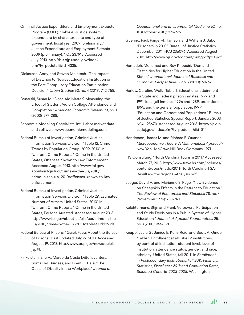- Criminal Justice Expenditure and Employment Extracts Program (CJEE). "Table 4. Justice system expenditure by character, state and type of government, fiscal year 2009 (preliminary)." Justice Expenditure and Employment Extracts 2009 (preliminary), NCJ 237913. Accessed July 2013. http://bjs.ojp.usdoj.gov/index. cfm?ty=pbdetail&iid=4335.
- Dickerson, Andy, and Steven McIntosh. "The Impact of Distance to Nearest Education Institution on the Post Compulsory Education Participation Decision." *Urban Studies* 50, no. 4 (2013): 742-758.
- Dynarski, Susan M. "Does Aid Matter? Measuring the Effect of Student Aid on College Attendance and Completion." *American Economic Review* 93, no. 1 (2003): 279-288.
- Economic Modeling Specialists, Intl. Labor market data and software. www.economicmodeling.com.
- Federal Bureau of Investigation, Criminal Justice Information Services Division. "Table 12: Crime Trends by Population Group, 2009-2010" in "Uniform Crime Reports." Crime in the United States, Offenses Known to Law Enforcement. Accessed August 2013. http://www.fbi.gov/ about-us/cjis/ucr/crime-in-the-u.s/2010/ crime-in-the-u.s.-2010/offenses-known-to-lawenforcement.
- Federal Bureau of Investigation, Criminal Justice Information Services Division. "Table 29: Estimated Number of Arrests, United States, 2010" in "Uniform Crime Reports." Crime in the United States, Persons Arrested. Accessed August 2013. http://www.fbi.gov/about-us/cjis/ucr/crime-in-theu.s/2010/crime-in-the-u.s.-2010/tables/10tbl29.xls.
- Federal Bureau of Prisons. "Quick Facts About the Bureau of Prisons." Last updated July 27, 2013. Accessed August 19, 2013. http://www.bop.gov/news/quick. jsp#1.
- Finkelstein, Eric A., Marco da Costa DiBonaventura, Somali M. Burgess, and Brent C. Hale. "The Costs of Obesity in the Workplace." *Journal of*

*Occupational and Environmental Medicine* 52, no. 10 (October 2010): 971-976.

- Guerino, Paul, Paige M. Harrison, and William J. Sabol. "Prisoners in 2010." Bureau of Justice Statistics, December 2011, NCJ 236096. Accessed August 2013. http://www.bjs.gov/content/pub/pdf/p10.pdf.
- Hamadeh, Mohamad and Roy Khoueiri. "Demand Elasticities for Higher Education in the United States." *International Journal of Business and Economic Perspectives* 5, no. 2 (2010): 60-67.
- Harlow, Caroline Wolf. "Table 1. Educational attainment for State and Federal prison inmates, 1997 and 1991, local jail inmates, 1996 and 1989, probationers, 1995, and the general population, 1997" in "Education and Correctional Populations." Bureau of Justice Statistics Special Report, January 2003, NCJ 195670. Accessed August 2013. http://bjs.ojp. usdoj.gov/index.cfm?ty=pbdetail&iid=814.
- Henderson, James M. and Richard E. Quandt. *Microeconomic Theory: A Mathematical Approach.*  New York: McGraw-Hill Book Company, 1971.
- IHS Consulting. "North Carolina Tourism 2011." Accessed March 27, 2013. http://www.travelks.com/includes/ content/docs/media/2011-North Carolina-TSA-Results-with-Regional-Analysis.pdf.
- Jaeger, David A. and Marianne E. Page. "New Evidence on Sheepskin Effects in the Returns to Education." *The Review of Economics and Statistics* 78, no. 4 (November 1996): 733-740.
- Kelchtermans, Stijn and Frank Verboven. "Participation and Study Decisions in a Public System of Higher Education." *Journal of Applied Econometrics* 25, no.3 (2010): 355-391.
- Knapp, Laura G., Janice E. Kelly-Reid, and Scott A. Ginder. "Table 1. Enrollment at all Title IV institutions, by control of institution, student level, level of institution, attendance status, gender, and race/ ethnicity: United States, fall 2011" in *Enrollment in Postsecondary Institutions, Fall 2011; Financial Statistics, Fiscal Year 2011; and Graduation Rates, Selected Cohorts, 2003-2008.* Washington,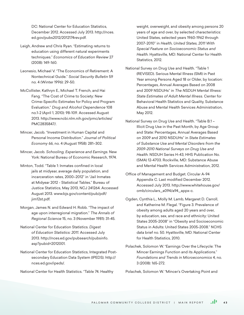DC: National Center for Education Statistics, December 2012. Accessed July 2013. http://nces. ed.gov/pubs2012/2012174rev.pdf.

- Leigh, Andrew and Chris Ryan. "Estimating returns to education using different natural experiments techniques." *Economics of Education Review* 27 (2008): 149-160.
- Leonesio, Michael V. "The Economics of Retirement: A Nontechnical Guide." *Social Security Bulletin* 59 no. 4 (Winter 1996): 29-50.
- McCollister, Kathryn E., Michael T. French, and Hai Fang. "The Cost of Crime to Society: New Crime-Specific Estimates for Policy and Program Evaluation." *Drug and Alcohol Dependence* 108 no.1-2 (April 1, 2010): 98-109. Accessed August 2013. http://www.ncbi.nlm.nih.gov/pmc/articles/ PMC2835847/.
- Mincer, Jacob. "Investment in Human Capital and Personal Income Distribution." *Journal of Political Economy* 66, no. 4 (August 1958): 281–302.
- Mincer, Jacob. *Schooling, Experience and Earnings.* New York: National Bureau of Economic Research, 1974.
- Minton, Todd. "Table 1: Inmates confined in local jails at midyear, average daily population, and incarceration rates, 2000–2012" in "Jail Inmates at Midyear 2012 - Statistical Tables." Bureau of Justice Statistics, May 2013, NCJ 241264. Accessed August 2013. www.bjs.gov/content/pub/pdf/ jim12st.pdf.
- Morgan, James N. and Edward H. Robb. "The impact of age upon interregional migration." *The Annals of Regional Science* 15, no. 3 (November 1981): 31-45.
- National Center for Education Statistics. *Digest of Education Statistics: 2011.* Accessed July 2013. http://nces.ed.gov/pubsearch/pubsinfo. asp?pubid=2012001.
- National Center for Education Statistics, Integrated Postsecondary Education Data System (IPEDS). http:// nces.ed.gov/ipeds/.
- National Center for Health Statistics. "Table 74. Healthy

weight, overweight, and obesity among persons 20 years of age and over, by selected characteristics: United States, selected years 1960-1962 through 2007-2010" in *Health, United States, 2011 With Special Feature on Socioeconomic Status and Health.* Hyattsville, MD: National Center for Health Statistics, 2012.

- National Survey on Drug Use and Health. "Table 1 (REVISED). Serious Mental Illness (SMI) in Past Year among Persons Aged 18 or Older, by location: Percentages, Annual Averages Based on 2008 and 2009 NSDUHs" in *The NSDUH Mental Illness: State Estimates of Adult Mental Illness.* Center for Behavioral Health Statistics and Quality, Substance Abuse and Mental Health Services Administration, May 2012.
- National Survey on Drug Use and Health. "Table B.1 Illicit Drug Use in the Past Month, by Age Group and State: Percentages, Annual Averages Based on 2009 and 2010 NSDUHs" in *State Estimates of Substance Use and Mental Disorders from the 2009-2010 National Surveys on Drug Use and Health.* NSDUH Series H-43, HHS Publication No. (SMA) 12-4703. Rockville, MD: Substance Abuse and Mental Health Services Administration, 2012.
- Office of Management and Budget. Circular A-94 Appendix C. Last modified December 2012. Accessed July 2013. http://www.whitehouse.gov/ omb/circulars\_a094/a94\_appx-c.
- Ogden, Cynthia L., Molly M. Lamb, Margaret D. Carroll, and Katherine M. Flegal. "Figure 3. Prevalence of obesity among adults aged 20 years and over, by education, sex, and race and ethnicity: United States 2005-2008" in "Obesity and Socioeconomic Status in Adults: United States 2005-2008." NCHS data brief no. 50. Hyattsville, MD: National Center for Health Statistics, 2010.
- Polachek, Solomon W. "Earnings Over the Lifecycle: The Mincer Earnings Function and its Applications." *Foundations and Trends in Microeconomics* 4, no. 3 (2008): 165-272.

Polachek, Solomon W. "Mincer's Overtaking Point and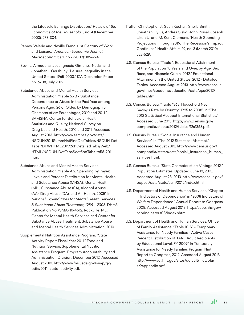the Lifecycle Earnings Distribution." *Review of the Economics of the Household* 1, no. 4 (December 2003): 273-304.

- Ramey, Valerie and Neville Francis. "A Century of Work and Leisure." *American Economic Journal: Macroeconomics* 1, no.2 (2009): 189-224.
- Sevilla, Almudena, Jose Ignacio Gimenez-Nadal, and Jonathan I. Gershuny. "Leisure Inequality in the United States: 1965-2003." IZA Discussion Paper no. 6708, July 2012.
- Substance Abuse and Mental Health Services Administration. "Table 5.7B - Substance Dependence or Abuse in the Past Year among Persons Aged 26 or Older, by Demographic Characteristics: Percentages, 2010 and 2011." SAMSHA, Center for Behavioral Health Statistics and Quality, National Survey on Drug Use and Health, 2010 and 2011. Accessed August 2013. http://www.samhsa.gov/data/ NSDUH/2011SummNatFindDetTables/NSDUH-Det TabsPDFWHTML2011/2k11DetailedTabs/Web/ HTML/NSDUH-DetTabsSect5peTabs1to56-2011. htm.
- Substance Abuse and Mental Health Services Administration. "Table A.2. Spending by Payer: Levels and Percent Distribution for Mental Health and Substance Abuse (MHSA), Mental Health (MH), Substance Abuse (SA), Alcohol Abuse (AA), Drug Abuse (DA), and All-Health, 2005" in *National Expenditures for Mental Health Services & Substance Abuse Treatment, 1986 – 2005.* DHHS Publication No. (SMA) 10-4612. Rockville, MD: Center for Mental Health Services and Center for Substance Abuse Treatment, Substance Abuse and Mental Health Services Administration, 2010.
- Supplemental Nutrition Assistance Program. "State Activity Report Fiscal Year 2011." Food and Nutrition Service, Supplemental Nutrition Assistance Program, Program Accountability and Administration Division, December 2012. Accessed August 2013. http://www.fns.usda.gov/snap/qc/ pdfs/2011\_state\_activity.pdf.
- Truffer, Christopher J., Sean Keehan, Sheila Smith, Jonathan Cylus, Andrea Sisko, John Poisal, Joseph Lizonitz, and M. Kent Clemens. "Health Spending Projections Through 2019: The Recession's Impact Continues." Health Affairs 29, no. 3 (March 2010): 522-529.
- U.S. Census Bureau. "Table 1. Educational Attainment of the Population 18 Years and Over, by Age, Sex, Race, and Hispanic Origin: 2012." Educational Attainment in the United States: 2012 - Detailed Tables. Accessed August 2013. http://www.census. gov/hhes/socdemo/education/data/cps/2012/ tables.html.
- U.S. Census Bureau. "Table 1363. Household Net Savings Rate by Country: 1995 to 2008" in "The 2012 Statistical Abstract International Statistics." Accessed June 2013. http://www.census.gov/ compendia/statab/2012/tables/12s1363.pdf.
- U.S. Census Bureau. "Social Insurance and Human Services" in "The 2012 Statistical Abstract." Accessed August 2013. http://www.census.gov/ compendia/statab/cats/social\_insurance\_human\_ services.html.
- U.S. Census Bureau. "State Characteristics: Vintage 2012." Population Estimates. Updated June 13, 2013. Accessed August 28, 2013. http://www.census.gov/ popest/data/state/asrh/2012/index.html.
- U.S. Department of Health and Human Services. "Chapter II. Indicators of Dependence" in "2008 Indicators of Welfare Dependence." Annual Report to Congress, 2008. Accessed August 2013. http://aspe.hhs.gov/ hsp/indicators08/index.shtml.
- U.S. Department of Health and Human Services, Office of Family Assistance. "Table 10:26 - Temporary Assistance for Needy Families - Active Cases: Percent Distribution of TANF Adult Recipients by Educational Level, FY 2009" in Temporary Assistance for Needy Families Program Ninth Report to Congress, 2012. Accessed August 2013. http://www.acf.hhs.gov/sites/default/files/ofa/ ar9appendix.pdf.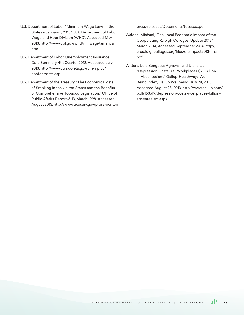- U.S. Department of Labor. "Minimum Wage Laws in the States - January 1, 2013." U.S. Department of Labor Wage and Hour Division (WHD). Accessed May 2013. http://www.dol.gov/whd/minwage/america. htm.
- U.S. Department of Labor. Unemployment Insurance Data Summary, 4th Quarter 2012. Accessed July 2013. http://www.ows.doleta.gov/unemploy/ content/data.asp.
- U.S. Department of the Treasury. "The Economic Costs of Smoking in the United States and the Benefits of Comprehensive Tobacco Legislation." Office of Public Affairs Report-3113, March 1998. Accessed August 2013. http://www.treasury.gov/press-center/

press-releases/Documents/tobacco.pdf.

- Walden, Michael, "The Local Economic Impact of the Cooperating Raleigh Colleges: Update 2013." March 2014, Accessed September 2014. http:// crcraleighcolleges.org/files/crcimpact2013-final. pdf
- Witters, Dan, Sengeeta Agrawal, and Diana Liu. "Depression Costs U.S. Workplaces \$23 Billion in Absenteeism." Gallup-Healthways Well-Being Index, Gallup Wellbeing, July 24, 2013. Accessed August 28, 2013. http://www.gallup.com/ poll/163619/depression-costs-workplaces-billionabsenteeism.aspx.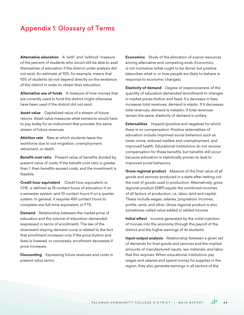# Appendix 1: Glossary of Terms

**Alternative education** A "with" and "without" measure of the percent of students who would still be able to avail themselves of education if the district under analysis did not exist. An estimate of 10%, for example, means that 10% of students do not depend directly on the existence of the district in order to obtain their education.

**Alternative use of funds** A measure of how monies that are currently used to fund the district might otherwise have been used if the district did not exist.

**Asset value** Capitalized value of a stream of future returns. Asset value measures what someone would have to pay today for an instrument that provides the same stream of future revenues.

**Attrition rate** Rate at which students leave the workforce due to out-migration, unemployment, retirement, or death.

**Benefit-cost ratio** Present value of benefits divided by present value of costs. If the benefit-cost ratio is greater than 1, then benefits exceed costs, and the investment is feasible.

**Credit hour equivalent** Credit hour equivalent, or CHE, is defined as 15 contact hours of education if on a semester system, and 10 contact hours if on a quarter system. In general, it requires 450 contact hours to complete one full-time equivalent, or FTE.

**Demand** Relationship between the market price of education and the volume of education demanded (expressed in terms of enrollment). The law of the downward-sloping demand curve is related to the fact that enrollment increases only if the price (tuition and fees) is lowered, or conversely, enrollment decreases if price increases.

**Discounting** Expressing future revenues and costs in present value terms.

**Economics** Study of the allocation of scarce resources among alternative and competing ends. Economics is not normative (what ought to be done), but positive (describes what is, or how people are likely to behave in response to economic changes).

**Elasticity of demand** Degree of responsiveness of the quantity of education demanded (enrollment) to changes in market prices (tuition and fees). If a decrease in fees increases total revenues, demand is elastic. If it decreases total revenues, demand is inelastic. If total revenues remain the same, elasticity of demand is unitary.

**Externalities** Impacts (positive and negative) for which there is no compensation. Positive externalities of education include improved social behaviors such as lower crime, reduced welfare and unemployment, and improved health. Educational institutions do not receive compensation for these benefits, but benefits still occur because education is statistically proven to lead to improved social behaviors.

**Gross regional product** Measure of the final value of all goods and services produced in a state after netting out the cost of goods used in production. Alternatively, gross regional product (GRP) equals the combined incomes of all factors of production; i.e., labor, land and capital. These include wages, salaries, proprietors' incomes, profits, rents, and other. Gross regional product is also sometimes called value added or added income.

**Initial effect** Income generated by the initial injection of monies into the economy through the payroll of the district and the higher earnings of its students.

**Input-output analysis** Relationship between a given set of demands for final goods and services and the implied amounts of manufactured inputs, raw materials, and labor that this requires. When educational institutions pay wages and salaries and spend money for supplies in the region, they also generate earnings in all sectors of the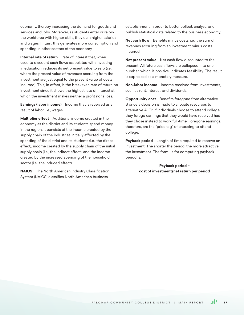economy, thereby increasing the demand for goods and services and jobs. Moreover, as students enter or rejoin the workforce with higher skills, they earn higher salaries and wages. In turn, this generates more consumption and spending in other sectors of the economy.

**Internal rate of return** Rate of interest that, when used to discount cash flows associated with investing in education, reduces its net present value to zero (i.e., where the present value of revenues accruing from the investment are just equal to the present value of costs incurred). This, in effect, is the breakeven rate of return on investment since it shows the highest rate of interest at which the investment makes neither a profit nor a loss.

**Earnings (labor income)** Income that is received as a result of labor; i.e., wages.

**Multiplier effect** Additional income created in the economy as the district and its students spend money in the region. It consists of the income created by the supply chain of the industries initially affected by the spending of the district and its students (i.e., the direct effect), income created by the supply chain of the initial supply chain (i.e., the indirect effect), and the income created by the increased spending of the household sector (i.e., the induced effect).

**NAICS** The North American Industry Classification System (NAICS) classifies North American business

establishment in order to better collect, analyze, and publish statistical data related to the business economy.

Net cash flow Benefits minus costs, i.e., the sum of revenues accruing from an investment minus costs incurred.

**Net present value** Net cash flow discounted to the present. All future cash flows are collapsed into one number, which, if positive, indicates feasibility. The result is expressed as a monetary measure.

**Non-labor income** Income received from investments, such as rent, interest, and dividends.

**Opportunity cost** Benefits foregone from alternative B once a decision is made to allocate resources to alternative A. Or, if individuals choose to attend college, they forego earnings that they would have received had they chose instead to work full-time. Foregone earnings, therefore, are the "price tag" of choosing to attend college.

**Payback period** Length of time required to recover an investment. The shorter the period, the more attractive the investment. The formula for computing payback period is:

> **Payback period = cost of investment/net return per period**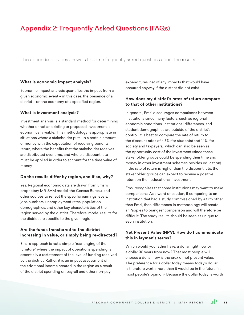# Appendix 2: Frequently Asked Questions (FAQs)

This appendix provides answers to some frequently asked questions about the results.

## **What is economic impact analysis?**

Economic impact analysis quantifies the impact from a given economic event – in this case, the presence of a district – on the economy of a specified region.

## **What is investment analysis?**

Investment analysis is a standard method for determining whether or not an existing or proposed investment is economically viable. This methodology is appropriate in situations where a stakeholder puts up a certain amount of money with the expectation of receiving benefits in return, where the benefits that the stakeholder receives are distributed over time, and where a discount rate must be applied in order to account for the time value of money.

#### **Do the results differ by region, and if so, why?**

Yes. Regional economic data are drawn from Emsi's proprietary MR-SAM model, the Census Bureau, and other sources to reflect the specific earnings levels, jobs numbers, unemployment rates, population demographics, and other key characteristics of the region served by the district. Therefore, model results for the district are specific to the given region.

# **Are the funds transferred to the district increasing in value, or simply being re-directed?**

Emsi's approach is not a simple "rearranging of the furniture" where the impact of operations spending is essentially a restatement of the level of funding received by the district. Rather, it is an impact assessment of the additional income created in the region as a result of the district spending on payroll and other non-pay

expenditures, net of any impacts that would have occurred anyway if the district did not exist.

## **How does my district's rates of return compare to that of other institutions?**

In general, Emsi discourages comparisons between institutions since many factors, such as regional economic conditions, institutional differences, and student demographics are outside of the district's control. It is best to compare the rate of return to the discount rates of 4.5% (for students) and 1.1% (for society and taxpayers), which can also be seen as the opportunity cost of the investment (since these stakeholder groups could be spending their time and money in other investment schemes besides education). If the rate of return is higher than the discount rate, the stakeholder groups can expect to receive a positive return on their educational investment.

Emsi recognizes that some institutions may want to make comparisons. As a word of caution, if comparing to an institution that had a study commissioned by a firm other than Emsi, then differences in methodology will create an "apples to oranges" comparison and will therefore be difficult. The study results should be seen as unique to each institution.

# **Net Present Value (NPV): How do I communicate this in laymen's terms?**

Which would you rather have: a dollar right now or a dollar 30 years from now? That most people will choose a dollar now is the crux of net present value. The preference for a dollar today means today's dollar is therefore worth more than it would be in the future (in most people's opinion). Because the dollar today is worth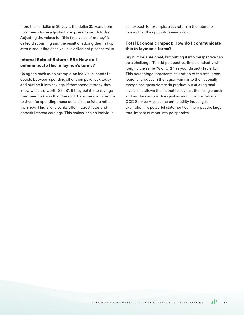more than a dollar in 30 years, the dollar 30 years from now needs to be adjusted to express its worth today. Adjusting the values for "this time value of money" is called discounting and the result of adding them all up after discounting each value is called net present value.

# **Internal Rate of Return (IRR): How do I communicate this in laymen's terms?**

Using the bank as an example, an individual needs to decide between spending all of their paycheck today and putting it into savings. If they spend it today, they know what it is worth:  $$1 = $1$ . If they put it into savings, they need to know that there will be some sort of return to them for spending those dollars in the future rather than now. This is why banks offer interest rates and deposit interest earnings. This makes it so an individual

can expect, for example, a 3% return in the future for money that they put into savings now.

# **Total Economic Impact: How do I communicate this in laymen's terms?**

Big numbers are great, but putting it into perspective can be a challenge. To add perspective, find an industry with roughly the same "% of GRP" as your district (Table 1.5). This percentage represents its portion of the total gross regional product in the region (similar to the nationally recognized gross domestic product but at a regional level). This allows the district to say that their single brick and mortar campus does just as much for the Palomar CCD Service Area as the entire utility industry, for example. This powerful statement can help put the large total impact number into perspective.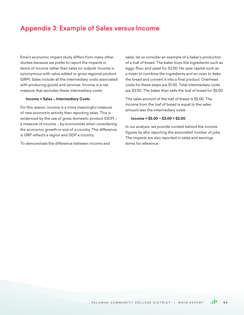# Appendix 3: Example of Sales versus Income

Emsi's economic impact study differs from many other studies because we prefer to report the impacts in terms of income rather than sales (or output). Income is synonymous with value added or gross regional product (GRP). Sales include all the intermediary costs associated with producing goods and services. Income is a net measure that excludes these intermediary costs:

#### **Income = Sales – Intermediary Costs**

For this reason, income is a more meaningful measure of new economic activity than reporting sales. This is evidenced by the use of gross domestic product (GDP) – a measure of income – by economists when considering the economic growth or size of a country. The difference is GRP reflects a region and GDP a country.

To demonstrate the difference between income and

sales, let us consider an example of a baker's production of a loaf of bread. The baker buys the ingredients such as eggs, flour, and yeast for \$2.00. He uses capital such as a mixer to combine the ingredients and an oven to bake the bread and convert it into a final product. Overhead costs for these steps are \$1.00. Total intermediary costs are \$3.00. The baker then sells the loaf of bread for \$5.00.

The sales amount of the loaf of bread is \$5.00. The income from the loaf of bread is equal to the sales amount less the intermediary costs:

### **Income = \$5.00 − \$3.00 = \$2.00**

In our analysis, we provide context behind the income figures by also reporting the associated number of jobs. The impacts are also reported in sales and earnings terms for reference.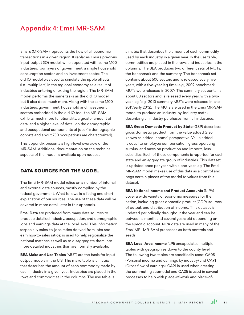# Appendix 4: Emsi MR-SAM

Emsi's (MR-SAM) represents the flow of all economic transactions in a given region. It replaces Emsi's previous input-output (IO) model, which operated with some 1,100 industries, four layers of government, a single household consumption sector, and an investment sector. The old IO model was used to simulate the ripple effects (i.e., multipliers) in the regional economy as a result of industries entering or exiting the region. The MR-SAM model performs the same tasks as the old IO model, but it also does much more. Along with the same 1,100 industries, government, household and investment sectors embedded in the old IO tool, the MR-SAM exhibits much more functionality, a greater amount of data, and a higher level of detail on the demographic and occupational components of jobs (16 demographic cohorts and about 750 occupations are characterized).

This appendix presents a high-level overview of the MR-SAM. Additional documentation on the technical aspects of the model is available upon request.

# DATA SOURCES FOR THE MODEL

The Emsi MR-SAM model relies on a number of internal and external data sources, mostly compiled by the federal government. What follows is a listing and short explanation of our sources. The use of these data will be covered in more detail later in this appendix.

**Emsi Data** are produced from many data sources to produce detailed industry, occupation, and demographic jobs and earnings data at the local level. This information (especially sales-to-jobs ratios derived from jobs and earnings-to-sales ratios) is used to help regionalize the national matrices as well as to disaggregate them into more detailed industries than are normally available.

**BEA Make and Use Tables** (MUT) are the basis for inputoutput models in the U.S. The make table is a matrix that describes the amount of each commodity made by each industry in a given year. Industries are placed in the rows and commodities in the columns. The use table is

a matrix that describes the amount of each commodity used by each industry in a given year. In the use table, commodities are placed in the rows and industries in the columns. The BEA produces two different sets of MUTs, the benchmark and the summary. The benchmark set contains about 500 sectors and is released every five years, with a five-year lag time (e.g., 2002 benchmark MUTs were released in 2007). The summary set contains about 80 sectors and is released every year, with a twoyear lag (e.g., 2010 summary MUTs were released in late 2011/early 2012). The MUTs are used in the Emsi MR-SAM model to produce an industry-by-industry matrix describing all industry purchases from all industries.

**BEA Gross Domestic Product by State** (GSP) describes gross domestic product from the value added (also known as added income) perspective. Value added is equal to employee compensation, gross operating surplus, and taxes on production and imports, less subsidies. Each of these components is reported for each state and an aggregate group of industries. This dataset is updated once per year, with a one-year lag. The Emsi MR-SAM model makes use of this data as a control and pegs certain pieces of the model to values from this dataset.

**BEA National Income and Product Accounts** (NIPA) cover a wide variety of economic measures for the nation, including gross domestic product (GDP), sources of output, and distribution of income. This dataset is updated periodically throughout the year and can be between a month and several years old depending on the specific account. NIPA data are used in many of the Emsi MR- MR-SAM processes as both controls and seeds.

**BEA Local Area Income** (LPI) encapsulates multiple tables with geographies down to the county level. The following two tables are specifically used: CA05 (Personal income and earnings by industry) and CA91 (Gross flow of earnings). CA91 is used when creating the commuting submodel and CA05 is used in several processes to help with place-of-work and place-of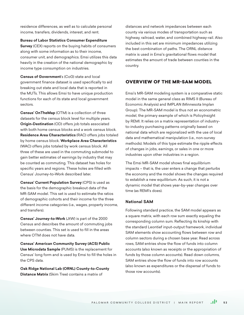residence differences, as well as to calculate personal income, transfers, dividends, interest, and rent.

**Bureau of Labor Statistics Consumer Expenditure Survey** (CEX) reports on the buying habits of consumers along with some information as to their income, consumer unit, and demographics. Emsi utilizes this data heavily in the creation of the national demographic by income type consumption on industries.

**Census of Government**'s (CoG) state and local government finance dataset is used specifically to aid breaking out state and local data that is reported in the MUTs. This allows Emsi to have unique production functions for each of its state and local government sectors.

**Census' OnTheMap** (OTM) is a collection of three datasets for the census block level for multiple years. **Origin-Destination** (OD) offers job totals associated with both home census blocks and a work census block. **Residence Area Characteristics** (RAC) offers jobs totaled by home census block. **Workplace Area Characteristics**  (WAC) offers jobs totaled by work census block. All three of these are used in the commuting submodel to gain better estimates of earnings by industry that may be counted as commuting. This dataset has holes for specific years and regions. These holes are filled with Census' Journey-to-Work described later.

**Census' Current Population Survey** (CPS) is used as the basis for the demographic breakout data of the MR-SAM model. This set is used to estimate the ratios of demographic cohorts and their income for the three different income categories (i.e., wages, property income, and transfers).

**Census' Journey-to-Work** (JtW) is part of the 2000 Census and describes the amount of commuting jobs between counties. This set is used to fill in the areas where OTM does not have data.

**Census' American Community Survey (ACS) Public Use Microdata Sample** (PUMS) is the replacement for Census' long form and is used by Emsi to fill the holes in the CPS data.

**Oak Ridge National Lab (ORNL) County-to-County Distance Matrix** (Skim Tree) contains a matrix of

distances and network impedances between each county via various modes of transportation such as highway, railroad, water, and combined highway-rail. Also included in this set are minimum impedances utilizing the best combination of paths. The ORNL distance matrix is used in Emsi's gravitational flows model that estimates the amount of trade between counties in the country.

# OVERVIEW OF THE MR-SAM MODEL

Emsi's MR-SAM modeling system is a comparative static model in the same general class as RIMS II (Bureau of Economic Analysis) and IMPLAN (Minnesota Implan Group). The MR-SAM model is thus not an econometric model, the primary example of which is PolicyInsight by REMI. It relies on a matrix representation of industryto-industry purchasing patterns originally based on national data which are regionalized with the use of local data and mathematical manipulation (i.e., non-survey methods). Models of this type estimate the ripple effects of changes in jobs, earnings, or sales in one or more industries upon other industries in a region.

The Emsi MR-SAM model shows final equilibrium impacts – that is, the user enters a change that perturbs the economy and the model shows the changes required to establish a new equilibrium. As such, it is not a dynamic model that shows year-by-year changes over time (as REMI's does).

### **National SAM**

Following standard practice, the SAM model appears as a square matrix, with each row sum exactly equaling the corresponding column sum. Reflecting its kinship with the standard Leontief input-output framework, individual SAM elements show accounting flows between row and column sectors during a chosen base year. Read across rows, SAM entries show the flow of funds into column accounts (also known as receipts or the appropriation of funds by those column accounts). Read down columns, SAM entries show the flow of funds into row accounts (also known as expenditures or the dispersal of funds to those row accounts).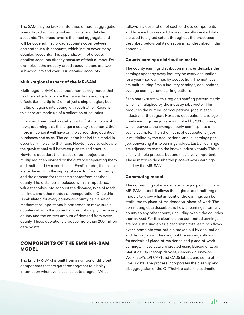The SAM may be broken into three different aggregation layers: broad accounts, sub-accounts, and detailed accounts. The broad layer is the most aggregate and will be covered first. Broad accounts cover between one and four sub-accounts, which in turn cover many detailed accounts. This appendix will not discuss detailed accounts directly because of their number. For example, in the industry broad account, there are two sub-accounts and over 1,100 detailed accounts.

#### **Multi-regional aspect of the MR-SAM**

Multi-regional (MR) describes a non-survey model that has the ability to analyze the transactions and ripple effects (i.e., multipliers) of not just a single region, but multiple regions interacting with each other. Regions in this case are made up of a collection of counties.

Emsi's multi-regional model is built off of gravitational flows, assuming that the larger a county's economy, the more influence it will have on the surrounding counties' purchases and sales. The equation behind this model is essentially the same that Isaac Newton used to calculate the gravitational pull between planets and stars. In Newton's equation, the masses of both objects are multiplied, then divided by the distance separating them and multiplied by a constant. In Emsi's model, the masses are replaced with the supply of a sector for one county and the demand for that same sector from another county. The distance is replaced with an impedance value that takes into account the distance, type of roads, rail lines, and other modes of transportation. Once this is calculated for every county-to-county pair, a set of mathematical operations is performed to make sure all counties absorb the correct amount of supply from every county and the correct amount of demand from every county. These operations produce more than 200 million data points.

# COMPONENTS OF THE EMSI MR-SAM **MODEL**

The Emsi MR-SAM is built from a number of different components that are gathered together to display information whenever a user selects a region. What

follows is a description of each of these components and how each is created. Emsi's internally created data are used to a great extent throughout the processes described below, but its creation is not described in this appendix.

#### **County earnings distribution matrix**

The county earnings distribution matrices describe the earnings spent by every industry on every occupation for a year – i.e., earnings by occupation. The matrices are built utilizing Emsi's industry earnings, occupational average earnings, and staffing patterns.

Each matrix starts with a region's staffing pattern matrix which is multiplied by the industry jobs vector. This produces the number of occupational jobs in each industry for the region. Next, the occupational average hourly earnings per job are multiplied by 2,080 hours, which converts the average hourly earnings into a yearly estimate. Then the matrix of occupational jobs is multiplied by the occupational annual earnings per job, converting it into earnings values. Last, all earnings are adjusted to match the known industry totals. This is a fairly simple process, but one that is very important. These matrices describe the place-of-work earnings used by the MR-SAM.

#### **Commuting model**

The commuting sub-model is an integral part of Emsi's MR-SAM model. It allows the regional and multi-regional models to know what amount of the earnings can be attributed to place-of-residence vs. place-of-work. The commuting data describe the flow of earnings from any county to any other county (including within the counties themselves). For this situation, the commuted earnings are not just a single value describing total earnings flows over a complete year, but are broken out by occupation and demographic. Breaking out the earnings allows for analysis of place-of-residence and place-of-work earnings. These data are created using Bureau of Labor Statistics' OnTheMap dataset, Census' Journey-to-Work, BEA's LPI CA91 and CA05 tables, and some of Emsi's data. The process incorporates the cleanup and disaggregation of the OnTheMap data, the estimation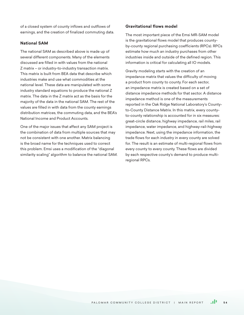of a closed system of county inflows and outflows of earnings, and the creation of finalized commuting data.

### **National SAM**

The national SAM as described above is made up of several different components. Many of the elements discussed are filled in with values from the national Z matrix – or industry-to-industry transaction matrix. This matrix is built from BEA data that describe which industries make and use what commodities at the national level. These data are manipulated with some industry standard equations to produce the national Z matrix. The data in the Z matrix act as the basis for the majority of the data in the national SAM. The rest of the values are filled in with data from the county earnings distribution matrices, the commuting data, and the BEA's National Income and Product Accounts.

One of the major issues that affect any SAM project is the combination of data from multiple sources that may not be consistent with one another. Matrix balancing is the broad name for the techniques used to correct this problem. Emsi uses a modification of the "diagonal similarity scaling" algorithm to balance the national SAM.

## **Gravitational flows model**

The most important piece of the Emsi MR-SAM model is the gravitational flows model that produces countyby-county regional purchasing coefficients (RPCs). RPCs estimate how much an industry purchases from other industries inside and outside of the defined region. This information is critical for calculating all IO models.

Gravity modeling starts with the creation of an impedance matrix that values the difficulty of moving a product from county to county. For each sector, an impedance matrix is created based on a set of distance impedance methods for that sector. A distance impedance method is one of the measurements reported in the Oak Ridge National Laboratory's Countyto-County Distance Matrix. In this matrix, every countyto-county relationship is accounted for in six measures: great-circle distance, highway impedance, rail miles, rail impedance, water impedance, and highway-rail-highway impedance. Next, using the impedance information, the trade flows for each industry in every county are solved for. The result is an estimate of multi-regional flows from every county to every county. These flows are divided by each respective county's demand to produce multiregional RPCs.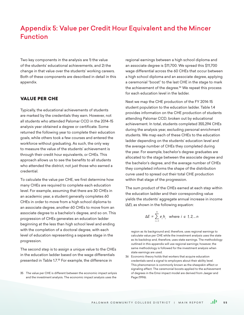# Appendix 5: Value per Credit Hour Equivalent and the Mincer Function

Two key components in the analysis are 1) the value of the students' educational achievements, and 2) the change in that value over the students' working careers. Both of these components are described in detail in this appendix.

# VALUE PER CHE

Typically, the educational achievements of students are marked by the credentials they earn. However, not all students who attended Palomar CCD in the 2014-15 analysis year obtained a degree or certificate. Some returned the following year to complete their education goals, while others took a few courses and entered the workforce without graduating. As such, the only way to measure the value of the students' achievement is through their credit hour equivalents, or CHEs. This approach allows us to see the benefits to all students who attended the district, not just those who earned a credential.

To calculate the value per CHE, we first determine how many CHEs are required to complete each education level. For example, assuming that there are 30 CHEs in an academic year, a student generally completes 60 CHEs in order to move from a high school diploma to an associate degree, another 60 CHEs to move from an associate degree to a bachelor's degree, and so on. This progression of CHEs generates an education ladder beginning at the less than high school level and ending with the completion of a doctoral degree, with each level of education representing a separate stage in the progression.

The second step is to assign a unique value to the CHEs in the education ladder based on the wage differentials presented in Table 1.7.<sup>35</sup> For example, the difference in

35 The value per CHE is different between the economic impact anlysis and the investment analysis. The economic impact analysis uses the

regional earnings between a high school diploma and an associate degree is \$11,700. We spread this \$11,700 wage differential across the 60 CHEs that occur between a high school diploma and an associate degree, applying a ceremonial "boost" to the last CHE in the stage to mark the achievement of the degree.<sup>36</sup> We repeat this process for each education level in the ladder.

Next we map the CHE production of the FY 2014-15 student population to the education ladder. Table 1.4 provides information on the CHE production of students attending Palomar CCD, broken out by educational achievement. In total, students completed 355,294 CHEs during the analysis year, excluding personal enrichment students. We map each of these CHEs to the education ladder depending on the students' education level and the average number of CHEs they completed during the year. For example, bachelor's degree graduates are allocated to the stage between the associate degree and the bachelor's degree, and the average number of CHEs they completed informs the shape of the distribution curve used to spread out their total CHE production within that stage of the progression.

The sum product of the CHEs earned at each step within the education ladder and their corresponding value yields the students' aggregate annual increase in income (∆*E*), as shown in the following equation:

$$
\Delta E = \sum_{i=1}^{n} e_i h_i \text{ where } i \in 1, 2, \dots n
$$

region as its background and, therefore, uses regional earnings to calculate value per CHE while the investment analysis uses the state as its backdrop and, therefore, uses state earnings. The methodology outlined in this appendix will use regional earnings; however, the same methodology is followed for the investment analysis when state earnings are used.

36 Economic theory holds that workers that acquire education credentials send a signal to employers about their ability level. This phenomenon is commonly known as the sheepskin effect or signaling effect. The ceremonial boosts applied to the achievement of degrees in the Emsi impact model are derived from Jaeger and Page (1996).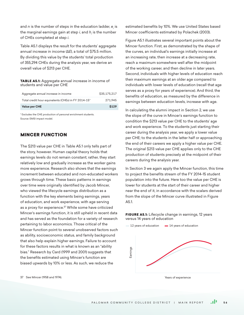and *n* is the number of steps in the education ladder,  $\boldsymbol{e}_{_{i}}$  is the marginal earnings gain at step *i*, and *hi* is the number of CHEs completed at step *i*.

Table A5.1 displays the result for the students' aggregate annual increase in income (∆*E*), a total of \$75.5 million. By dividing this value by the students' total production of 355,294 CHEs during the analysis year, we derive an overall value of \$213 per CHE.

#### TABLE A5.1: Aggregate annual increase in income of students and value per CHE

| <b>Value per CHE</b>                                | \$129        |
|-----------------------------------------------------|--------------|
| Total credit hour equivalents (CHEs) in FY 2014-15* | 271.945      |
| Aggregate annual increase in income                 | \$35.175.217 |

\* Excludes the CHE production of personal enrichment students. Source: EMSI impact model.

# MINCER FUNCTION

The \$213 value per CHE in Table A5.1 only tells part of the story, however. Human capital theory holds that earnings levels do not remain constant; rather, they start relatively low and gradually increase as the worker gains more experience. Research also shows that the earnings increment between educated and non-educated workers grows through time. These basic patterns in earnings over time were originally identified by Jacob Mincer, who viewed the lifecycle earnings distribution as a function with the key elements being earnings, years of education, and work experience, with age serving as a proxy for experience.<sup>37</sup> While some have criticized Mincer's earnings function, it is still upheld in recent data and has served as the foundation for a variety of research pertaining to labor economics. Those critical of the Mincer function point to several unobserved factors such as ability, socioeconomic status, and family background that also help explain higher earnings. Failure to account for these factors results in what is known as an "ability bias." Research by Card (1999 and 2001) suggests that the benefits estimated using Mincer's function are biased upwards by 10% or less. As such, we reduce the

estimated benefits by 10%. We use United States based Mincer coefficients estimated by Polachek (2003).

Figure A5.1 illustrates several important points about the Mincer function. First, as demonstrated by the shape of the curves, an individual's earnings initially increase at an increasing rate, then increase at a decreasing rate, reach a maximum somewhere well after the midpoint of the working career, and then decline in later years. Second, individuals with higher levels of education reach their maximum earnings at an older age compared to individuals with lower levels of education (recall that age serves as a proxy for years of experience). And third, the benefits of education, as measured by the difference in earnings between education levels, increase with age.

In calculating the alumni impact in Section 2, we use the slope of the curve in Mincer's earnings function to condition the \$213 value per CHE to the students' age and work experience. To the students just starting their career during the analysis year, we apply a lower value per CHE; to the students in the latter half or approaching the end of their careers we apply a higher value per CHE. The original \$213 value per CHE applies only to the CHE production of students precisely at the midpoint of their careers during the analysis year.

In Section 3 we again apply the Mincer function, this time to project the benefits stream of the FY 2014-15 student population into the future. Here too the value per CHE is lower for students at the start of their career and higher near the end of it, in accordance with the scalars derived from the slope of the Mincer curve illustrated in Figure A5.1.

FIGURE A5.1: Lifecycle change in earnings, 12 years versus 14 years of education



37 See Mincer (1958 and 1974).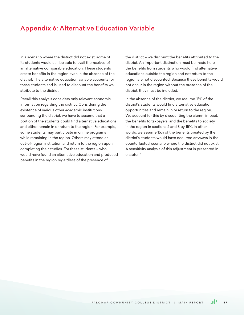# Appendix 6: Alternative Education Variable

In a scenario where the district did not exist, some of its students would still be able to avail themselves of an alternative comparable education. These students create benefits in the region even in the absence of the district. The alternative education variable accounts for these students and is used to discount the benefits we attribute to the district.

Recall this analysis considers only relevant economic information regarding the district. Considering the existence of various other academic institutions surrounding the district, we have to assume that a portion of the students could find alternative educations and either remain in or return to the region. For example, some students may participate in online programs while remaining in the region. Others may attend an out-of-region institution and return to the region upon completing their studies. For these students – who would have found an alternative education and produced benefits in the region regardless of the presence of

the district – we discount the benefits attributed to the district. An important distinction must be made here: the benefits from students who would find alternative educations outside the region and not return to the region are not discounted. Because these benefits would not occur in the region without the presence of the district, they must be included.

In the absence of the district, we assume 15% of the district's students would find alternative education opportunities and remain in or return to the region. We account for this by discounting the alumni impact, the benefits to taxpayers, and the benefits to society in the region in sections 2 and 3 by 15%. In other words, we assume 15% of the benefits created by the district's students would have occurred anyways in the counterfactual scenario where the district did not exist. A sensitivity analysis of this adjustment is presented in chapter 4.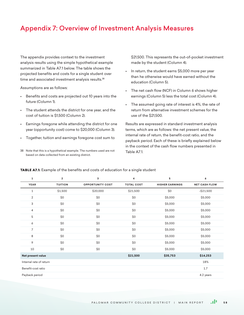# Appendix 7: Overview of Investment Analysis Measures

The appendix provides context to the investment analysis results using the simple hypothetical example summarized in Table A7.1 below. The table shows the projected benefits and costs for a single student over time and associated investment analysis results.<sup>38</sup>

Assumptions are as follows:

- Benefits and costs are projected out 10 years into the future (Column 1).
- The student attends the district for one year, and the cost of tuition is \$1,500 (Column 2).
- Earnings foregone while attending the district for one year (opportunity cost) come to \$20,000 (Column 3).
- Together, tuition and earnings foregone cost sum to
- 38 Note that this is a hypothetical example. The numbers used are not based on data collected from an existing district.

\$21,500. This represents the out-of-pocket investment made by the student (Column 4).

- In return, the student earns \$5,000 more per year than he otherwise would have earned without the education (Column 5).
- The net cash flow (NCF) in Column 6 shows higher earnings (Column 5) less the total cost (Column 4).
- The assumed going rate of interest is 4%, the rate of return from alternative investment schemes for the use of the \$21,500.

Results are expressed in standard investment analysis terms, which are as follows: the net present value, the internal rate of return, the benefit-cost ratio, and the payback period. Each of these is briefly explained below in the context of the cash flow numbers presented in Table A7.1.

| 1                       | $\overline{2}$ | 3                       | 4                 | 5                      | 6                    |
|-------------------------|----------------|-------------------------|-------------------|------------------------|----------------------|
| <b>YEAR</b>             | <b>TUITION</b> | <b>OPPORTUNITY COST</b> | <b>TOTAL COST</b> | <b>HIGHER EARNINGS</b> | <b>NET CASH FLOW</b> |
| 1                       | \$1,500        | \$20,000                | \$21,500          | \$0                    | $-$ \$21,500         |
| $\overline{2}$          | \$0            | \$0                     | \$0               | \$5,000                | \$5,000              |
| 3                       | \$0            | \$0                     | \$0               | \$5,000                | \$5,000              |
| 4                       | \$0            | \$0                     | \$0               | \$5,000                | \$5,000              |
| 5                       | \$0            | \$0                     | \$0               | \$5,000                | \$5,000              |
| 6                       | \$0            | \$0                     | \$0               | \$5,000                | \$5,000              |
| 7                       | \$0            | \$0                     | \$0               | \$5,000                | \$5,000              |
| 8                       | \$0            | \$0                     | \$0               | \$5,000                | \$5,000              |
| 9                       | \$0            | \$0                     | \$0               | \$5,000                | \$5,000              |
| 10                      | \$0            | \$0                     | \$0               | \$5,000                | \$5,000              |
| Net present value       |                |                         | \$21,500          | \$35,753               | \$14,253             |
| Internal rate of return |                |                         |                   |                        | 18%                  |
| Benefit-cost ratio      |                |                         |                   |                        | 1.7                  |
| Payback period          |                |                         |                   |                        | 4.2 years            |
|                         |                |                         |                   |                        |                      |

#### TABLE A7.1: Example of the benefits and costs of education for a single student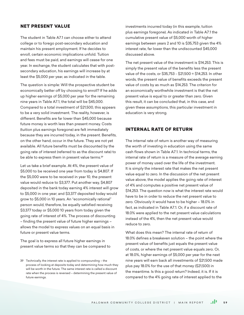## NET PRESENT VALUE

The student in Table A7.1 can choose either to attend college or to forego post-secondary education and maintain his present employment. If he decides to enroll, certain economic implications unfold. Tuition and fees must be paid, and earnings will cease for one year. In exchange, the student calculates that with postsecondary education, his earnings will increase by at least the \$5,000 per year, as indicated in the table.

The question is simple: Will the prospective student be economically better off by choosing to enroll? If he adds up higher earnings of \$5,000 per year for the remaining nine years in Table A7.1, the total will be \$45,000. Compared to a total investment of \$21,500, this appears to be a very solid investment. The reality, however, is different. Benefits are far lower than \$45,000 because future money is worth less than present money. Costs (tuition plus earnings foregone) are felt immediately because they are incurred today, in the present. Benefits, on the other hand, occur in the future. They are not yet available. All future benefits must be discounted by the going rate of interest (referred to as the discount rate) to be able to express them in present value terms.<sup>39</sup>

Let us take a brief example. At 4%, the present value of \$5,000 to be received one year from today is \$4,807. If the \$5,000 were to be received in year 10, the present value would reduce to \$3,377. Put another way, \$4,807 deposited in the bank today earning 4% interest will grow to \$5,000 in one year; and \$3,377 deposited today would grow to \$5,000 in 10 years. An "economically rational" person would, therefore, be equally satisfied receiving \$3,377 today or \$5,000 10 years from today given the going rate of interest of 4%. The process of discounting – finding the present value of future higher earnings – allows the model to express values on an equal basis in future or present value terms.

The goal is to express all future higher earnings in present value terms so that they can be compared to investments incurred today (in this example, tuition plus earnings foregone). As indicated in Table A7.1 the cumulative present value of \$5,000 worth of higher earnings between years 2 and 10 is \$35,753 given the 4% interest rate, far lower than the undiscounted \$45,000 discussed above.

The net present value of the investment is \$14,253. This is simply the present value of the benefits less the present value of the costs, or \$35,753 - \$21,500 = \$14,253. In other words, the present value of benefits exceeds the present value of costs by as much as \$14,253. The criterion for an economically worthwhile investment is that the net present value is equal to or greater than zero. Given this result, it can be concluded that, in this case, and given these assumptions, this particular investment in education is very strong.

## INTERNAL RATE OF RETURN

The internal rate of return is another way of measuring the worth of investing in education using the same cash flows shown in Table A7.1. In technical terms, the internal rate of return is a measure of the average earning power of money used over the life of the investment. It is simply the interest rate that makes the net present value equal to zero. In the discussion of the net present value above, the model applies the going rate of interest of 4% and computes a positive net present value of \$14,253. The question now is what the interest rate would have to be in order to reduce the net present value to zero. Obviously it would have to be higher – 18.0% in fact, as indicated in Table A7.1. Or, if a discount rate of 18.0% were applied to the net present value calculations instead of the 4%, then the net present value would reduce to zero.

What does this mean? The internal rate of return of 18.0% defines a breakeven solution – the point where the present value of benefits just equals the present value of costs, or where the net present value equals zero. Or, at 18.0%, higher earnings of \$5,000 per year for the next nine years will earn back all investments of \$21,500 made plus pay 18.0% for the use of that money (\$21,500) in the meantime. Is this a good return? Indeed, it is. If it is compared to the 4% going rate of interest applied to the

<sup>39</sup> Technically, the interest rate is applied to compounding – the process of looking at deposits today and determining how much they will be worth in the future. The same interest rate is called a discount rate when the process is reversed – determining the present value of future earnings.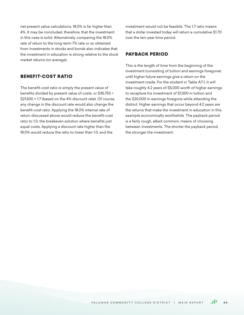net present value calculations, 18.0% is far higher than 4%. It may be concluded, therefore, that the investment in this case is solid. Alternatively, comparing the 18.0% rate of return to the long-term 7% rate or so obtained from investments in stocks and bonds also indicates that the investment in education is strong relative to the stock market returns (on average).

# BENEFIT-COST RATIO

The benefit-cost ratio is simply the present value of benefits divided by present value of costs, or \$35,753 ÷ \$21,500 = 1.7 (based on the 4% discount rate). Of course, any change in the discount rate would also change the benefit-cost ratio. Applying the 18.0% internal rate of return discussed above would reduce the benefit-cost ratio to 1.0, the breakeven solution where benefits just equal costs. Applying a discount rate higher than the 18.0% would reduce the ratio to lower than 1.0, and the

investment would not be feasible. The 1.7 ratio means that a dollar invested today will return a cumulative \$1.70 over the ten-year time period.

## PAYBACK PERIOD

This is the length of time from the beginning of the investment (consisting of tuition and earnings foregone) until higher future earnings give a return on the investment made. For the student in Table A7.1, it will take roughly 4.2 years of \$5,000 worth of higher earnings to recapture his investment of \$1,500 in tuition and the \$20,000 in earnings foregone while attending the district. Higher earnings that occur beyond 4.2 years are the returns that make the investment in education in this example economically worthwhile. The payback period is a fairly rough, albeit common, means of choosing between investments. The shorter the payback period, the stronger the investment.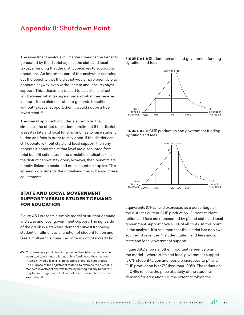# Appendix 8: Shutdown Point

The investment analysis in Chapter 3 weighs the benefits generated by the district against the state and local taxpayer funding that the district receives to support its operations. An important part of this analysis is factoring out the benefits that the district would have been able to generate anyway, even without state and local taxpayer support. This adjustment is used to establish a direct link between what taxpayers pay and what they receive in return. If the district is able to generate benefits without taxpayer support, then it would not be a true investment.40

The overall approach includes a sub-model that simulates the effect on student enrollment if the district loses its state and local funding and has to raise student tuition and fees in order to stay open. If the district can still operate without state and local support, then any benefits it generates at that level are discounted from total benefit estimates. If the simulation indicates that the district cannot stay open, however, then benefits are directly linked to costs, and no discounting applies. This appendix documents the underlying theory behind these adjustments.

# STATE AND LOCAL GOVERNMENT SUPPORT VERSUS STUDENT DEMAND FOR EDUCATION

Figure A8.1 presents a simple model of student demand and state and local government support. The right side of the graph is a standard demand curve (D) showing student enrollment as a function of student tuition and fees. Enrollment is measured in terms of total credit hour



FIGURE A8.1: Student demand and government funding

by tuition and fees





equivalents (CHEs) and expressed as a percentage of the district's current CHE production. Current student tuition and fees are represented by p', and state and local government support covers C% of all costs. At this point in the analysis, it is assumed that the district has only two sources of revenues: 1) student tuition and fees and 2) state and local government support.

Figure A8.2 shows another important reference point in the model – where state and local government support is 0%, student tuition and fees are increased to p'', and CHE production is at Z% (less than 100%). The reduction in CHEs reflects the price elasticity of the students' demand for education, i.e., the extent to which the

<sup>40</sup> Of course, as a public training provider, the district would not be permitted to continue without public funding, so the situation in which it would lose all state support is entirely hypothetical. The purpose of the adjustment factor is to examine the district in standard investment analysis terms by netting out any benefits it may be able to generate that are not directly linked to the costs of supporting it.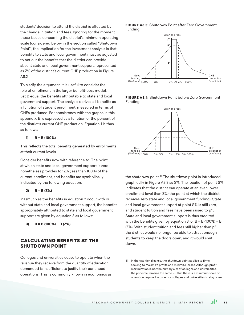students' decision to attend the district is affected by the change in tuition and fees. Ignoring for the moment those issues concerning the district's minimum operating scale (considered below in the section called "Shutdown Point"), the implication for the investment analysis is that benefits to state and local government must be adjusted to net out the benefits that the district can provide absent state and local government support, represented as Z% of the district's current CHE production in Figure A8.2.

To clarify the argument, it is useful to consider the role of enrollment in the larger benefit-cost model. Let B equal the benefits attributable to state and local government support. The analysis derives all benefits as a function of student enrollment, measured in terms of CHEs produced. For consistency with the graphs in this appendix, B is expressed as a function of the percent of the district's current CHE production. Equation 1 is thus as follows:

#### **1) B = B (100%)**

This reflects the total benefits generated by enrollments at their current levels.

Consider benefits now with reference to. The point at which state and local government support is zero nonetheless provides for Z% (less than 100%) of the current enrollment, and benefits are symbolically indicated by the following equation:

#### **2) B = B (Z%)**

Inasmuch as the benefits in equation 2 occur with or without state and local government support, the benefits appropriately attributed to state and local government support are given by equation 3 as follows:

**3) B = B (100%) − B (Z%)**

# CALCULATING BENEFITS AT THE SHUTDOWN POINT

Colleges and universities cease to operate when the revenue they receive from the quantity of education demanded is insufficient to justify their continued operations. This is commonly known in economics as





FIGURE A8.4: Shutdown Point before Zero Government Funding



the shutdown point.41 The shutdown point is introduced graphically in Figure A8.3 as S%. The location of point S% indicates that the district can operate at an even lower enrollment level than Z% (the point at which the district receives zero state and local government funding). State and local government support at point S% is still zero, and student tuition and fees have been raised to p'''. State and local government support is thus credited with the benefits given by equation 3, or B = B (100%) − B (Z%). With student tuition and fees still higher than p''', the district would no longer be able to attract enough students to keep the doors open, and it would shut down.

<sup>41</sup> In the traditional sense, the shutdown point applies to firms seeking to maximize profits and minimize losses. Although profit maximization is not the primary aim of colleges and universitites, the principle remains the same, *i.e.*, that there is a minimum scale of operation required in order for colleges and universities to stay open.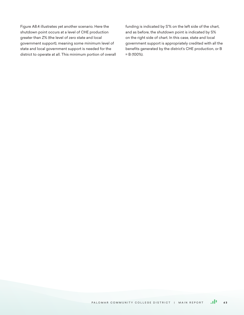Figure A8.4 illustrates yet another scenario. Here the shutdown point occurs at a level of CHE production greater than Z% (the level of zero state and local government support), meaning some minimum level of state and local government support is needed for the district to operate at all. This minimum portion of overall funding is indicated by S'% on the left side of the chart, and as before, the shutdown point is indicated by S% on the right side of chart. In this case, state and local government support is appropriately credited with all the benefits generated by the district's CHE production, or B = B (100%).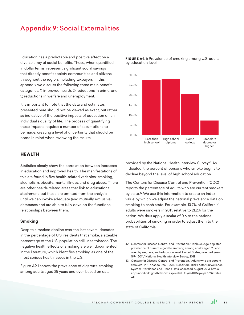# Appendix 9: Social Externalities

Education has a predictable and positive effect on a diverse array of social benefits. These, when quantified in dollar terms, represent significant social savings that directly benefit society communities and citizens throughout the region, including taxpayers. In this appendix we discuss the following three main benefit categories: 1) improved health, 2) reductions in crime, and 3) reductions in welfare and unemployment.

It is important to note that the data and estimates presented here should not be viewed as exact, but rather as indicative of the positive impacts of education on an individual's quality of life. The process of quantifying these impacts requires a number of assumptions to be made, creating a level of uncertainty that should be borne in mind when reviewing the results.

## HEALTH

Statistics clearly show the correlation between increases in education and improved health. The manifestations of this are found in five health-related variables: smoking, alcoholism, obesity, mental illness, and drug abuse. There are other health-related areas that link to educational attainment, but these are omitted from the analysis until we can invoke adequate (and mutually exclusive) databases and are able to fully develop the functional relationships between them.

#### **Smoking**

Despite a marked decline over the last several decades in the percentage of U.S. residents that smoke, a sizeable percentage of the U.S. population still uses tobacco. The negative health effects of smoking are well documented in the literature, which identifies smoking as one of the most serious health issues in the U.S.

Figure A9.1 shows the prevalence of cigarette smoking among adults aged 25 years and over, based on data



FIGURE A9.1: Prevalence of smoking among U.S. adults by education level

provided by the National Health Interview Survey.42 As indicated, the percent of persons who smoke begins to decline beyond the level of high school education.

The Centers for Disease Control and Prevention (CDC) reports the percentage of adults who are current smokers by state.43 We use this information to create an index value by which we adjust the national prevalence data on smoking to each state. For example, 13.7% of California' adults were smokers in 2011, relative to 21.2% for the nation. We thus apply a scalar of 0.6 to the national probabilities of smoking in order to adjust them to the state of California.

<sup>42</sup> Centers for Disease Control and Prevention, "Table 61. Age-adjusted prevalence of current cigarette smoking among adults aged 25 and over, by sex, race, and education level: United States, selected years 1974-2011," National Health Interview Survey, 2011.

<sup>43</sup> Centers for Disease Control and Prevention, "Adults who are current smokers" in "Tobacco Use – 2011," Behavioral Risk Factor Surveillance System Prevalence and Trends Data, accessed August 2013, http:// apps.nccd.cdc.gov/brfss/list.asp?cat=TU&yr=2011&qkey=8161&state= All.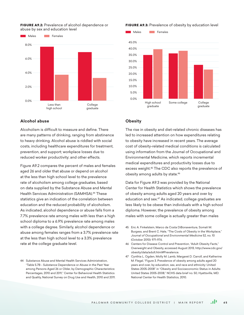

#### FIGURE A9.2: Prevalence of alcohol dependence or abuse by sex and education level

## **Alcohol abuse**

Alcoholism is difficult to measure and define. There are many patterns of drinking, ranging from abstinence to heavy drinking. Alcohol abuse is riddled with social costs, including healthcare expenditures for treatment, prevention, and support; workplace losses due to reduced worker productivity; and other effects.

Figure A9.2 compares the percent of males and females aged 26 and older that abuse or depend on alcohol at the less than high school level to the prevalence rate of alcoholism among college graduates, based on data supplied by the Substance Abuse and Mental Health Services Administration (SAMHSA)<sup>44</sup> These statistics give an indication of the correlation between education and the reduced probability of alcoholism. As indicated, alcohol dependence or abuse falls from a 7.7% prevalence rate among males with less than a high school diploma to a 6.9% prevalence rate among males with a college degree. Similarly, alcohol dependence or abuse among females ranges from a 3.7% prevalence rate at the less than high school level to a 3.3% prevalence rate at the college graduate level.

44 Substance Abuse and Mental Health Services Administration, "Table 5.7B - Substance Dependence or Abuse in the Past Year among Persons Aged 26 or Older, by Demographic Characteristics: Percentages, 2010 and 2011," Center for Behavioral Health Statistics and Quality, National Survey on Drug Use and Health, 2010 and 2011.

## FIGURE A9.3: Prevalence of obesity by education level



## **Obesity**

The rise in obesity and diet-related chronic diseases has led to increased attention on how expenditures relating to obesity have increased in recent years. The average cost of obesity-related medical conditions is calculated using information from the Journal of Occupational and Environmental Medicine, which reports incremental medical expenditures and productivity losses due to excess weight.45 The CDC also reports the prevalence of obesity among adults by state.46

Data for Figure A9.3 was provided by the National Center for Health Statistics which shows the prevalence of obesity among adults aged 20 years and over by education and sex.47 As indicated, college graduates are less likely to be obese than individuals with a high school diploma. However, the prevalence of obesity among males with some college is actually greater than males

- 45 Eric A. Finkelstein, Marco da Costa DiBonaventura, Somali M. Burgess, and Brent C. Hale, "The Costs of Obesity in the Workplace," *Journal of Occupational and Environmental Medicine* 52, no. 10 (October 2010): 971-976.
- 46 Centers for Disease Control and Prevention, "Adult Obesity Facts," Overweight and Obesity, accessed August 2013, http://www.cdc.gov/ obesity/data/adult.html#Prevalence.
- 47 Cynthia L. Ogden, Molly M. Lamb, Margaret D. Carroll, and Katherine M. Flegal, "Figure 3. Prevalence of obesity among adults aged 20 years and over, by education, sex, and race and ethnicity: United States 2005-2008" in "Obesity and Socioeconomic Status in Adults: United States 2005-2008," NCHS data brief no. 50, Hyattsville, MD: National Center for Health Statistics, 2010.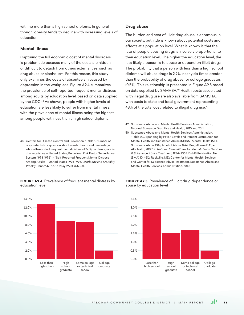with no more than a high school diploma. In general, though, obesity tends to decline with increasing levels of education.

## **Mental illness**

Capturing the full economic cost of mental disorders is problematic because many of the costs are hidden or difficult to detach from others externalities, such as drug abuse or alcoholism. For this reason, this study only examines the costs of absenteeism caused by depression in the workplace. Figure A9.4 summarizes the prevalence of self-reported frequent mental distress among adults by education level, based on data supplied by the CDC.<sup>48</sup> As shown, people with higher levels of education are less likely to suffer from mental illness, with the prevalence of mental illness being the highest among people with less than a high school diploma.

48 Centers for Disease Control and Prevention, "Table 1. Number of respondents to a question about mental health and percentage who self-reported frequent mental distress (FMD), by demographic characteristics -- United States, Behavioral Risk Factor Surveillance System, 1993-1996" in "Self-Reported Frequent Mental Distress Among Adults -- United States, 1993-1996." *Morbidity and Mortality Weekly Report* 47, no. 16 (May 1998): 325-331.

#### FIGURE A9.4: Prevalence of frequent mental distress by education level



## **Drug abuse**

The burden and cost of illicit drug abuse is enormous in our society, but little is known about potential costs and effects at a population level. What is known is that the rate of people abusing drugs is inversely proportional to their education level. The higher the education level, the less likely a person is to abuse or depend on illicit drugs. The probability that a person with less than a high school diploma will abuse drugs is 2.9%, nearly six times greater than the probability of drug abuse for college graduates (0.5%). This relationship is presented in Figure A9.5 based on data supplied by SAMHSA.49 Health costs associated with illegal drug use are also available from SAMSHA, with costs to state and local government representing 48% of the total cost related to illegal drug use.<sup>50</sup>

- 49 Substance Abuse and Mental Health Services Administration, National Survey on Drug Use and Health, 2010 and 2011.
- 50 Substance Abuse and Mental Health Services Administration. "Table A.2. Spending by Payer: Levels and Percent Distribution for Mental Health and Substance Abuse (MHSA), Mental Health (MH), Substance Abuse (SA), Alcohol Abuse (AA), Drug Abuse (DA), and All-Health, 2005" in *National Expenditures for Mental Health Services & Substance Abuse Treatment, 1986–2005.* DHHS Publication No. (SMA) 10-4612. Rockville, MD: Center for Mental Health Services and Center for Substance Abuse Treatment, Substance Abuse and Mental Health Services Administration, 2010.

#### FIGURE A9.5: Prevalence of illicit drug dependence or abuse by education level

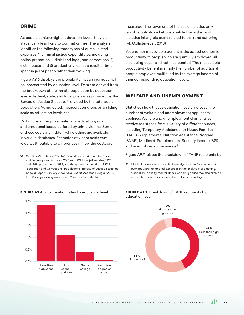# CRIME

As people achieve higher education levels, they are statistically less likely to commit crimes. The analysis identifies the following three types of crime-related expenses: 1) criminal justice expenditures, including police protection, judicial and legal, and corrections, 2) victim costs, and 3) productivity lost as a result of time spent in jail or prison rather than working.

Figure A9.6 displays the probability that an individual will be incarcerated by education level. Data are derived from the breakdown of the inmate population by education level in federal, state, and local prisons as provided by the Bureau of Justice Statistics,<sup>51</sup> divided by the total adult population. As indicated, incarceration drops on a sliding scale as education levels rise.

Victim costs comprise material, medical, physical, and emotional losses suffered by crime victims. Some of these costs are hidden, while others are available in various databases. Estimates of victim costs vary widely, attributable to differences in how the costs are

51 Caroline Wolf Harlow. "Table 1. Educational attainment for State and Federal prison inmates, 1997 and 1991, local jail inmates, 1996 and 1989, probationers, 1995, and the general population, 1997" in "Education and Correctional Populations." Bureau of Justice Statistics Special Report, January 2003, NCJ 195670. Accessed August 2013. http://bjs.ojp.usdoj.gov/index.cfm?ty=pbdetail&iid=814.

#### FIGURE A9.6: Incarceration rates by education level FIGURE A9.7: Breakdown of TANF recipients by

High school graduate

Some college Associate degree or above

Less than high school

2.5%

2.0%

1.5%

1.0%

measured. The lower end of the scale includes only tangible out-of-pocket costs, while the higher end includes intangible costs related to pain and suffering (McCollister et al., 2010).

Yet another measurable benefit is the added economic productivity of people who are gainfully employed, all else being equal, and not incarcerated. The measurable productivity benefit is simply the number of additional people employed multiplied by the average income of their corresponding education levels.

## WELFARE AND UNEMPLOYMENT

Statistics show that as education levels increase, the number of welfare and unemployment applicants declines. Welfare and unemployment claimants can receive assistance from a variety of different sources, including Temporary Assistance for Needy Families (TANF), Supplemental Nutrition Assistance Program (SNAP), Medicaid, Supplemental Security Income (SSI), and unemployment insurance.<sup>52</sup>

Figure A9.7 relates the breakdown of TANF recipients by

52 Medicaid is not considered in the analysis for welfare because it overlaps with the medical expenses in the analyses for smoking, alcoholism, obesity, mental illness, and drug abuse. We also exclude any welfare benefits associated with disability and age.